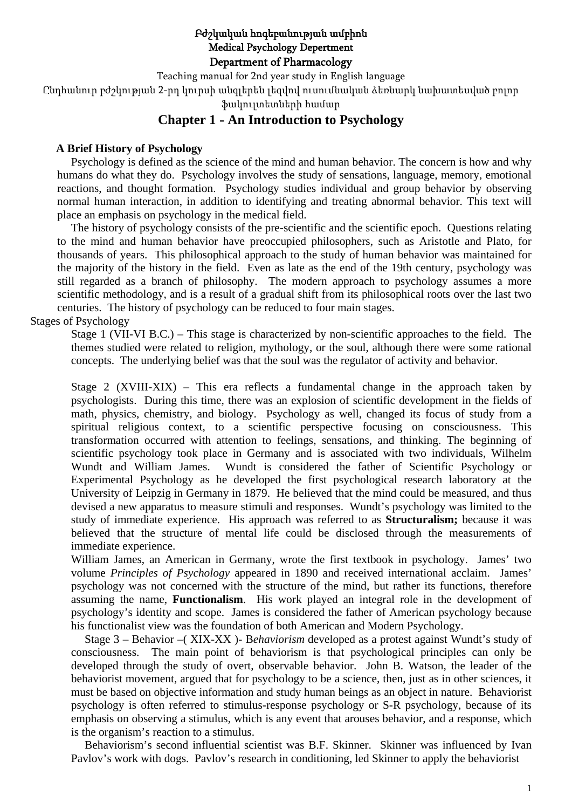# Բժշկական հոգեբանության ամբիոն Medical Psychology Depertment Department of Pharmacology

Teaching manual for 2nd year study in English language

Ընդհանուր բժշկության 2-րդ կուրսի անգլերեն լեզվով ուսումնական ձեռնարկ նախատեսված բոլոր

ֆակուլտետների համար

# **Chapter 1** - **An Introduction to Psychology**

# **A Brief History of Psychology**

Psychology is defined as the science of the mind and human behavior. The concern is how and why humans do what they do. Psychology involves the study of sensations, language, memory, emotional reactions, and thought formation. Psychology studies individual and group behavior by observing normal human interaction, in addition to identifying and treating abnormal behavior. This text will place an emphasis on psychology in the medical field.

The history of psychology consists of the pre-scientific and the scientific epoch. Questions relating to the mind and human behavior have preoccupied philosophers, such as Aristotle and Plato, for thousands of years. This philosophical approach to the study of human behavior was maintained for the majority of the history in the field. Even as late as the end of the 19th century, psychology was still regarded as a branch of philosophy. The modern approach to psychology assumes a more scientific methodology, and is a result of a gradual shift from its philosophical roots over the last two centuries. The history of psychology can be reduced to four main stages.

Stages of Psychology

Stage 1 (VII-VI B.C.) – This stage is characterized by non-scientific approaches to the field. The themes studied were related to religion, mythology, or the soul, although there were some rational concepts. The underlying belief was that the soul was the regulator of activity and behavior.

Stage 2 (XVIII-XIX) – This era reflects a fundamental change in the approach taken by psychologists. During this time, there was an explosion of scientific development in the fields of math, physics, chemistry, and biology. Psychology as well, changed its focus of study from a spiritual religious context, to a scientific perspective focusing on consciousness. This transformation occurred with attention to feelings, sensations, and thinking. The beginning of scientific psychology took place in Germany and is associated with two individuals, Wilhelm Wundt and William James. Wundt is considered the father of Scientific Psychology or Wundt is considered the father of Scientific Psychology or Experimental Psychology as he developed the first psychological research laboratory at the University of Leipzig in Germany in 1879. He believed that the mind could be measured, and thus devised a new apparatus to measure stimuli and responses. Wundt's psychology was limited to the study of immediate experience. His approach was referred to as **Structuralism;** because it was believed that the structure of mental life could be disclosed through the measurements of immediate experience.

William James, an American in Germany, wrote the first textbook in psychology. James' two volume *Principles of Psychology* appeared in 1890 and received international acclaim. James' psychology was not concerned with the structure of the mind, but rather its functions, therefore assuming the name, **Functionalism**. His work played an integral role in the development of psychology's identity and scope. James is considered the father of American psychology because his functionalist view was the foundation of both American and Modern Psychology.

Stage 3 – Behavior –( XIX-XX )- B*ehaviorism* developed as a protest against Wundt's study of consciousness. The main point of behaviorism is that psychological principles can only be developed through the study of overt, observable behavior. John B. Watson, the leader of the behaviorist movement, argued that for psychology to be a science, then, just as in other sciences, it must be based on objective information and study human beings as an object in nature. Behaviorist psychology is often referred to stimulus-response psychology or S-R psychology, because of its emphasis on observing a stimulus, which is any event that arouses behavior, and a response, which is the organism's reaction to a stimulus.

Behaviorism's second influential scientist was B.F. Skinner. Skinner was influenced by Ivan Pavlov's work with dogs. Pavlov's research in conditioning, led Skinner to apply the behaviorist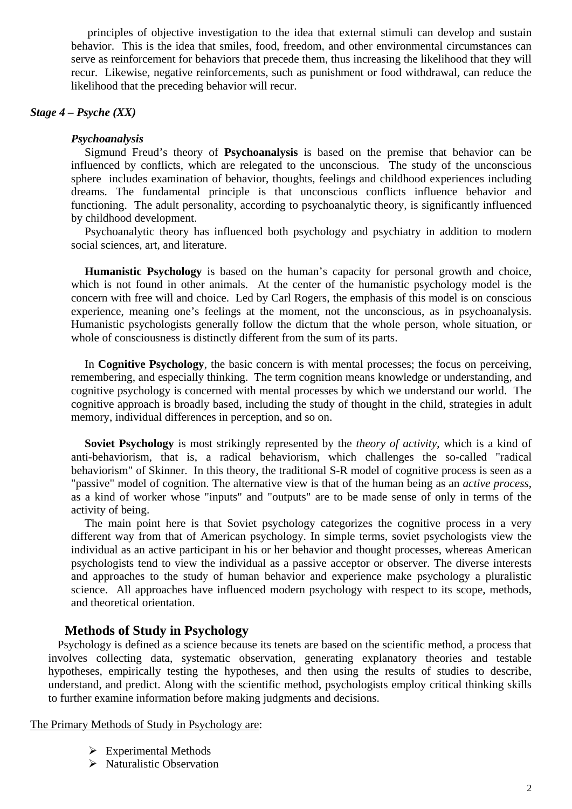principles of objective investigation to the idea that external stimuli can develop and sustain behavior. This is the idea that smiles, food, freedom, and other environmental circumstances can serve as reinforcement for behaviors that precede them, thus increasing the likelihood that they will recur. Likewise, negative reinforcements, such as punishment or food withdrawal, can reduce the likelihood that the preceding behavior will recur.

## *Stage 4 – Psyche (XX)*

## *Psychoanalysis*

Sigmund Freud's theory of **Psychoanalysis** is based on the premise that behavior can be influenced by conflicts, which are relegated to the unconscious. The study of the unconscious sphere includes examination of behavior, thoughts, feelings and childhood experiences including dreams. The fundamental principle is that unconscious conflicts influence behavior and functioning. The adult personality, according to psychoanalytic theory, is significantly influenced by childhood development.

Psychoanalytic theory has influenced both psychology and psychiatry in addition to modern social sciences, art, and literature.

**Humanistic Psychology** is based on the human's capacity for personal growth and choice, which is not found in other animals. At the center of the humanistic psychology model is the concern with free will and choice. Led by Carl Rogers, the emphasis of this model is on conscious experience, meaning one's feelings at the moment, not the unconscious, as in psychoanalysis. Humanistic psychologists generally follow the dictum that the whole person, whole situation, or whole of consciousness is distinctly different from the sum of its parts.

In **Cognitive Psychology**, the basic concern is with mental processes; the focus on perceiving, remembering, and especially thinking. The term cognition means knowledge or understanding, and cognitive psychology is concerned with mental processes by which we understand our world. The cognitive approach is broadly based, including the study of thought in the child, strategies in adult memory, individual differences in perception, and so on.

**Soviet Psychology** is most strikingly represented by the *theory of activity*, which is a kind of anti-behaviorism, that is, a radical behaviorism, which challenges the so-called "radical behaviorism" of Skinner. In this theory, the traditional S-R model of cognitive process is seen as a "passive" model of cognition. The alternative view is that of the human being as an *active process*, as a kind of worker whose "inputs" and "outputs" are to be made sense of only in terms of the activity of being.

The main point here is that Soviet psychology categorizes the cognitive process in a very different way from that of American psychology. In simple terms, soviet psychologists view the individual as an active participant in his or her behavior and thought processes, whereas American psychologists tend to view the individual as a passive acceptor or observer. The diverse interests and approaches to the study of human behavior and experience make psychology a pluralistic science. All approaches have influenced modern psychology with respect to its scope, methods, and theoretical orientation.

# **Methods of Study in Psychology**

Psychology is defined as a science because its tenets are based on the scientific method, a process that involves collecting data, systematic observation, generating explanatory theories and testable hypotheses, empirically testing the hypotheses, and then using the results of studies to describe, understand, and predict. Along with the scientific method, psychologists employ critical thinking skills to further examine information before making judgments and decisions.

The Primary Methods of Study in Psychology are:

- Experimental Methods
- $\triangleright$  [Naturalistic Observation](http://allpsych.com/dictionary/n.html#_blank)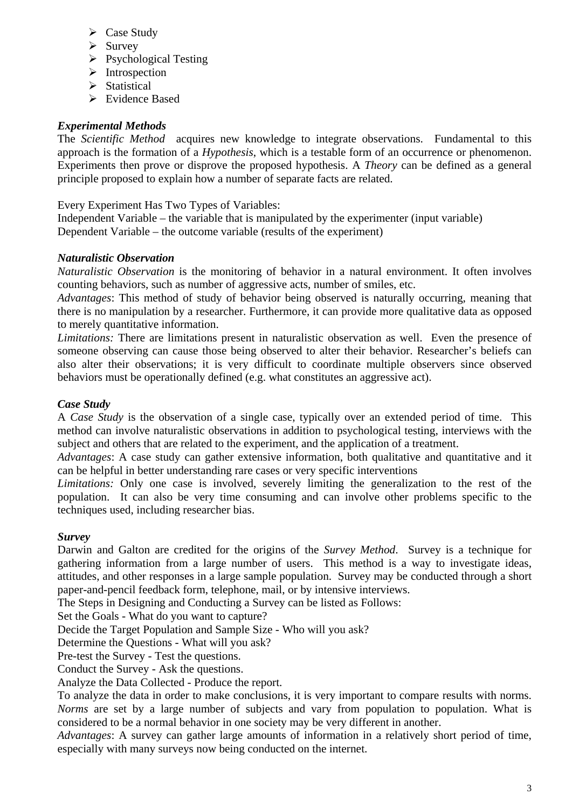- $\triangleright$  [Case Study](http://allpsych.com/dictionary/c.html#_blank)
- $\triangleright$  [Survey](http://allpsych.com/dictionary/s.html#_blank)
- $\triangleright$  Psychological Testing
- $\triangleright$  Introspection
- $\triangleright$  Statistical
- Evidence Based

# *Experimental Methods*

The *Scientific Method* acquires new knowledge to integrate observations. Fundamental to this approach is the formation of a *Hypothesis*, which is a testable form of an occurrence or phenomenon. Experiments then prove or disprove the proposed hypothesis. A *Theory* can be defined as a general principle proposed to explain how a number of separate facts are related.

Every Experiment Has Two Types of Variables:

[Independent Variable](http://allpsych.com/dictionary/i.html#_blank) – the variable that is manipulated by the experimenter (input variable) [Dependent Variable](http://allpsych.com/dictionary/d.html#_blank) – the outcome variable (results of the experiment)

# *Naturalistic Observation*

*Naturalistic Observation* is the monitoring of behavior in a natural environment. It often involves counting behaviors, such as number of aggressive acts, number of smiles, etc.

*Advantages*: This method of study of behavior being observed is naturally occurring, meaning that there is no manipulation by a researcher. Furthermore, it can provide more qualitative data as opposed to merely quantitative information.

*Limitations:* There are limitations present in naturalistic observation as well. Even the presence of someone observing can cause those being observed to alter their behavior. Researcher's beliefs can also alter their observations; it is very difficult to coordinate multiple observers since observed behaviors must be operationally defined (e.g. what constitutes an aggressive act).

# *Case Study*

A *Case Study* is the observation of a single case, typically over an extended period of time. This method can involve naturalistic observations in addition to psychological testing, interviews with the subject and others that are related to the experiment, and the application of a treatment.

*Advantages*: A case study can gather extensive information, both qualitative and quantitative and it can be helpful in better understanding rare cases or very specific interventions

*Limitations:* Only one case is involved, severely limiting the generalization to the rest of the population. It can also be very time consuming and can involve other problems specific to the techniques used, including researcher bias.

# *Survey*

Darwin and Galton are credited for the origins of the *Survey Method*. Survey is a technique for gathering information from a large number of users. This method is a way to investigate ideas, attitudes, and other responses in a large sample population. Survey may be conducted through a short paper-and-pencil feedback form, telephone, mail, or by intensive interviews.

The Steps in Designing and Conducting a Survey can be listed as Follows:

Set the Goals - What do you want to capture?

Decide the Target Population and Sample Size - Who will you ask?

Determine the Questions - What will you ask?

Pre-test the Survey - Test the questions.

Conduct the Survey - Ask the questions.

Analyze the Data Collected - Produce the report.

To analyze the data in order to make conclusions, it is very important to compare results with norms. *Norms* are set by a large number of subjects and vary from population to population. What is considered to be a normal behavior in one society may be very different in another.

*Advantages*: A survey can gather large amounts of information in a relatively short period of time, especially with many surveys now being conducted on the internet.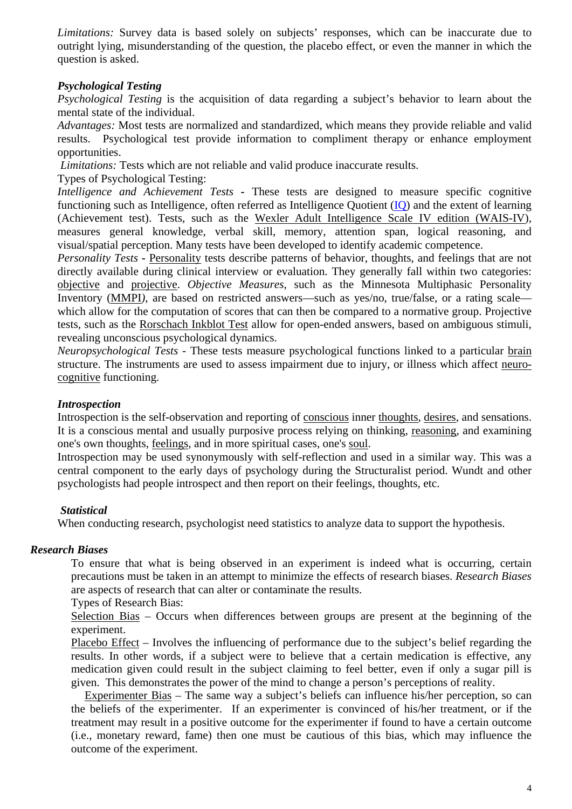*Limitations:* Survey data is based solely on subjects' responses, which can be inaccurate due to outright lying, misunderstanding of the question, the placebo effect, or even the manner in which the question is asked.

# *Psychological Testing*

*Psychological Testing* is the acquisition of data regarding a subject's behavior to learn about the mental state of the individual.

*Advantages:* Most tests are normalized and standardized, which means they provide reliable and valid results. Psychological test provide information to compliment therapy or enhance employment opportunities.

*Limitations:* Tests which are not reliable and valid produce inaccurate results.

Types of Psychological Testing:

*Intelligence and Achievement Tests* **-** These tests are designed to measure specific cognitive functioning such as Intelligence, often referred as Intelligence Quotient [\(IQ\)](http://en.wikipedia.org/wiki/Intelligence_quotient) and the extent of learning (Achievement test). Tests, such as the [Wexler Adult Intelligence Scale IV edition \(WAIS-IV\)](http://en.wikipedia.org/wiki/Wechsler_Intelligence_Scale_for_Children), measures general knowledge, verbal skill, memory, attention span, logical reasoning, and visual/spatial perception. Many tests have been developed to identify academic competence.

*Personality Tests* **-** [Personality](http://en.wikipedia.org/wiki/Personality_test) tests describe patterns of behavior, thoughts, and feelings that are not directly available during clinical interview or evaluation. They generally fall within two categories: [objective](http://en.wikipedia.org/wiki/Objective_test) and [projective.](http://en.wikipedia.org/wiki/Projective_test) *Objective Measures*, such as the Minnesota Multiphasic Personality Inventory [\(MMPI](http://en.wikipedia.org/wiki/Minnesota_Multiphasic_Personality_Inventory)*)*, are based on restricted answers—such as yes/no, true/false, or a rating scale which allow for the computation of scores that can then be compared to a normative group. Projective tests, such as the [Rorschach Inkblot Test](http://en.wikipedia.org/wiki/Rorschach_inkblot_test) allow for open-ended answers, based on ambiguous stimuli, revealing unconscious psychological dynamics.

*Neuropsychological Tests* - These tests measure psychological functions linked to a particular [brain](http://en.wikipedia.org/wiki/Brain) structure. The instruments are used to assess impairment due to injury, or illness which affect [neuro](http://en.wikipedia.org/wiki/Neurocognitive)[cognitive](http://en.wikipedia.org/wiki/Neurocognitive) functioning.

# *Introspection*

Introspection is the self-observation and reporting of [conscious](http://psychology.wikia.com/wiki/Conscious) inner [thoughts,](http://psychology.wikia.com/wiki/Thought) [desires,](http://psychology.wikia.com/wiki/Motivation) and sensations. It is a conscious mental and usually purposive process relying on thinking, [reasoning,](http://psychology.wikia.com/wiki/Reasoning) and examining one's own thoughts, [feelings,](http://psychology.wikia.com/wiki/Feeling) and in more spiritual cases, one's [soul.](http://psychology.wikia.com/wiki/Soul)

Introspection may be used synonymously with self-reflection and used in a similar way. This was a central component to the early days of psychology during the Structuralist period. Wundt and other psychologists had people introspect and then report on their feelings, thoughts, etc.

# *Statistical*

When conducting research, psychologist need statistics to analyze data to support the hypothesis.

# *Research Biases*

To ensure that what is being observed in an experiment is indeed what is occurring, certain precautions must be taken in an attempt to minimize the effects of research biases. *Research Biases*  are aspects of research that can alter or contaminate the results.

Types of Research Bias:

[Selection Bias](http://allpsych.com/dictionary/s.html#_blank) – Occurs when differences between groups are present at the beginning of the experiment.

[Placebo Effect](http://allpsych.com/dictionary/p.html#_blank) – Involves the influencing of performance due to the subject's belief regarding the results. In other words, if a subject were to believe that a certain medication is effective, any medication given could result in the subject claiming to feel better, even if only a sugar pill is given. This demonstrates the power of the mind to change a person's perceptions of reality.

[Experimenter Bias](http://allpsych.com/dictionary/e.html#_blank) – The same way a subject's beliefs can influence his/her perception, so can the beliefs of the experimenter. If an experimenter is convinced of his/her treatment, or if the treatment may result in a positive outcome for the experimenter if found to have a certain outcome (i.e., monetary reward, fame) then one must be cautious of this bias, which may influence the outcome of the experiment.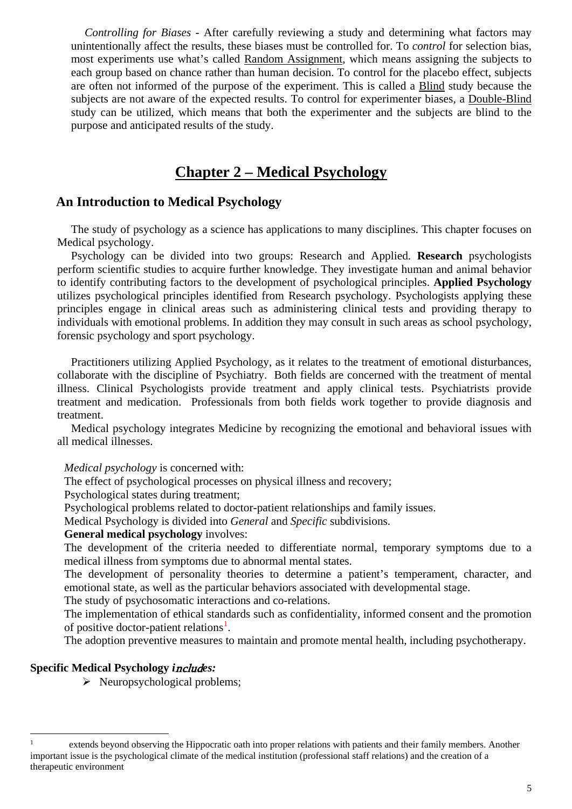*Controlling for Biases* - After carefully reviewing a study and determining what factors may unintentionally affect the results, these biases must be controlled for. To *control* for selection bias, most experiments use what's called [Random Assignment,](http://allpsych.com/dictionary/r.html#_blank) which means assigning the subjects to each group based on chance rather than human decision. To control for the placebo effect, subjects are often not informed of the purpose of the experiment. This is called a [Blind](http://allpsych.com/dictionary/b.html#_blank) study because the subjects are not aware of the expected results. To control for experimenter biases, a [Double-Blind](http://allpsych.com/dictionary/d.html#_blank) study can be utilized, which means that both the experimenter and the subjects are blind to the purpose and anticipated results of the study.

# **Chapter 2 – Medical Psychology**

# **An Introduction to Medical Psychology**

The study of psychology as a science has applications to many disciplines. This chapter focuses on Medical psychology.

Psychology can be divided into two groups: Research and Applied. **Research** psychologists perform scientific studies to acquire further knowledge. They investigate human and animal behavior to identify contributing factors to the development of psychological principles. **Applied Psychology** utilizes psychological principles identified from Research psychology. Psychologists applying these principles engage in clinical areas such as administering clinical tests and providing therapy to individuals with emotional problems. In addition they may consult in such areas as school psychology, forensic psychology and sport psychology.

Practitioners utilizing Applied Psychology, as it relates to the treatment of emotional disturbances, collaborate with the discipline of Psychiatry. Both fields are concerned with the treatment of mental illness. Clinical Psychologists provide treatment and apply clinical tests. Psychiatrists provide treatment and medication. Professionals from both fields work together to provide diagnosis and treatment.

Medical psychology integrates Medicine by recognizing the emotional and behavioral issues with all medical illnesses.

## *Medical psychology* is concerned with:

The effect of psychological processes on physical illness and recovery;

Psychological states during treatment;

Psychological problems related to doctor-patient relationships and family issues.

Medical Psychology is divided into *General* and *Specific* subdivisions.

## **General medical psychology** involves:

The development of the criteria needed to differentiate normal, temporary symptoms due to a medical illness from symptoms due to abnormal mental states.

The development of personality theories to determine a patient's temperament, character, and emotional state, as well as the particular behaviors associated with developmental stage.

The study of psychosomatic interactions and co-relations.

The implementation of ethical standards such as confidentiality, informed consent and the promotion of positive doctor-patient relations<sup>[1](#page-4-0)</sup>.

The adoption preventive measures to maintain and promote mental health, including psychotherapy.

## **Specific Medical Psychology** *i*nclud*es:*

 $\triangleright$  Neuropsychological problems;

<span id="page-4-0"></span><sup>&</sup>lt;sup>1</sup> extends beyond observing the Hippocratic oath into proper relations with patients and their family members. Another important issue is the psychological climate of the medical institution (professional staff relations) and the creation of a therapeutic environment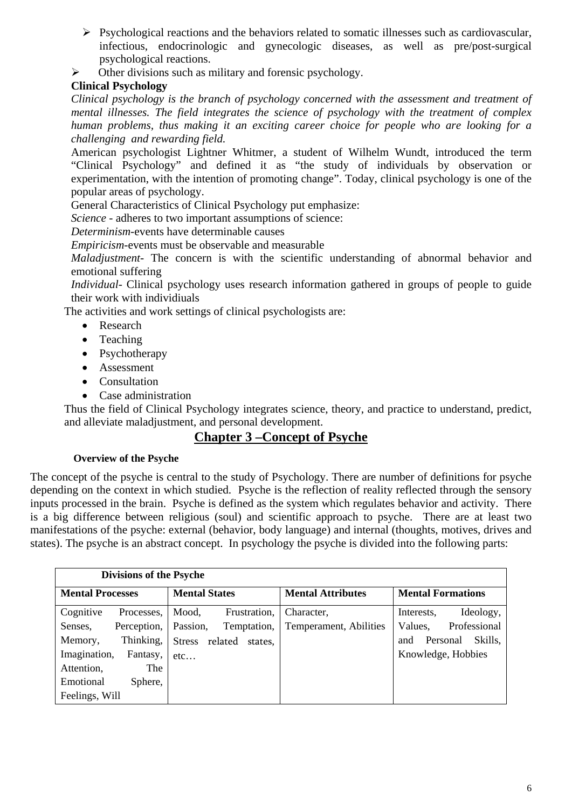- $\triangleright$  Psychological reactions and the behaviors related to somatic illnesses such as cardiovascular, infectious, endocrinologic and gynecologic diseases, as well as pre/post-surgical psychological reactions.
- $\triangleright$  Other divisions such as military and forensic psychology.

# **Clinical Psychology**

*Clinical psychology is the branch of psychology concerned with the assessment and treatment of mental illnesses. The field integrates the science of psychology with the treatment of complex human problems, thus making it an exciting career choice for people who are looking for a challenging and rewarding field.*

American psychologist Lightner Whitmer, a student of Wilhelm Wundt, introduced the term "Clinical Psychology" and defined it as "the study of individuals by observation or experimentation, with the intention of promoting change". Today, clinical psychology is one of the popular areas of psychology.

General Characteristics of Clinical Psychology put emphasize:

*Science* - adheres to two important assumptions of science:

*Determinism*-events have determinable causes

*Empiricism*-events must be observable and measurable

*Maladjustment*- The concern is with the scientific understanding of abnormal behavior and emotional suffering

*Individual*- Clinical psychology uses research information gathered in groups of people to guide their work with individiuals

The activities and work settings of clinical psychologists are:

- Research
- Teaching
- Psychotherapy
- Assessment
- Consultation
- Case administration

Thus the field of Clinical Psychology integrates science, theory, and practice to understand, predict, and alleviate maladjustment, and personal development.

# **Chapter 3 –Concept of Psyche**

# **Overview of the Psyche**

The concept of the psyche is central to the study of Psychology. There are number of definitions for psyche depending on the context in which studied. Psyche is the reflection of reality reflected through the sensory inputs processed in the brain. Psyche is defined as the system which regulates behavior and activity. There is a big difference between religious (soul) and scientific approach to psyche. There are at least two manifestations of the psyche: external (behavior, body language) and internal (thoughts, motives, drives and states). The psyche is an abstract concept. In psychology the psyche is divided into the following parts:

| <b>Divisions of the Psyche</b> |                                     |                          |                            |
|--------------------------------|-------------------------------------|--------------------------|----------------------------|
| <b>Mental Processes</b>        | <b>Mental States</b>                | <b>Mental Attributes</b> | <b>Mental Formations</b>   |
| Cognitive<br>Processes.        | Mood,<br>Frustration,               | Character,               | Ideology,<br>Interests.    |
| Perception,<br>Senses,         | Passion,<br>Temptation,             | Temperament, Abilities   | Professional<br>Values,    |
| Thinking,<br>Memory,           | related<br><b>Stress</b><br>states. |                          | Skills,<br>Personal<br>and |
| Imagination,<br>Fantasy,       | etc                                 |                          | Knowledge, Hobbies         |
| Attention,<br>The              |                                     |                          |                            |
| Emotional<br>Sphere,           |                                     |                          |                            |
| Feelings, Will                 |                                     |                          |                            |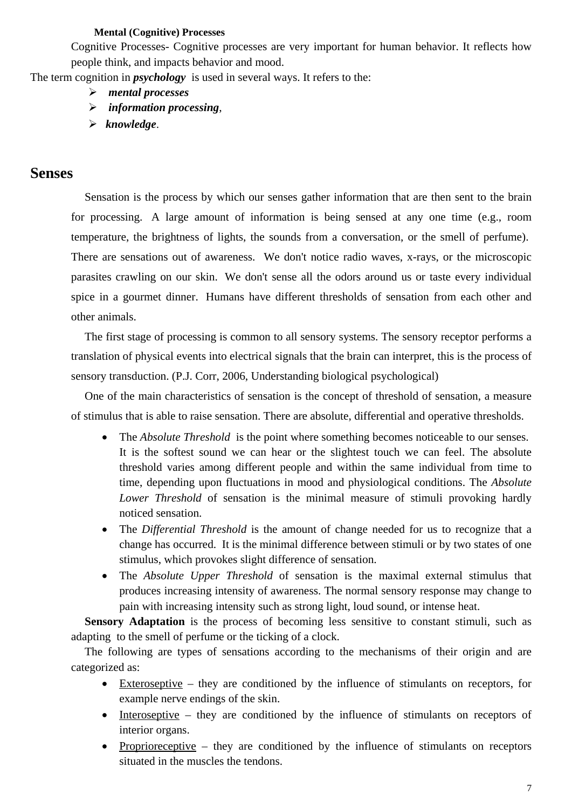## **Mental (Cognitive) Processes**

Cognitive Processes- Cognitive processes are very important for human behavior. It reflects how people think, and impacts behavior and mood.

The term cognition in *[psychology](http://www.wordiq.com/definition/Psychology)* is used in several ways. It refers to the:

- *[mental processes](http://www.wordiq.com/definition/Mental_functions)*
- *[information processing](http://www.wordiq.com/definition/Information_processing)*,
- *[knowledge](http://www.wordiq.com/definition/Knowledge)*.

# **Senses**

Sensation is the process by which our senses gather information that are then sent to the brain for processing. A large amount of information is being sensed at any one time (e.g., room temperature, the brightness of lights, the sounds from a conversation, or the smell of perfume). There are sensations out of awareness. We don't notice radio waves, x-rays, or the microscopic parasites crawling on our skin. We don't sense all the odors around us or taste every individual spice in a gourmet dinner. Humans have different thresholds of sensation from each other and other animals.

The first stage of processing is common to all sensory systems. The sensory receptor performs a translation of physical events into electrical signals that the brain can interpret, this is the process of sensory transduction. (P.J. Corr, 2006, Understanding biological psychological)

One of the main characteristics of sensation is the concept of threshold of sensation, a measure of stimulus that is able to raise sensation. There are absolute, differential and operative thresholds.

- The *Absolute Threshold* is the point where something becomes noticeable to our senses. It is the softest sound we can hear or the slightest touch we can feel. The absolute threshold varies among different people and within the same individual from time to time, depending upon fluctuations in mood and physiological conditions. The *Absolute Lower Threshold* of sensation is the minimal measure of stimuli provoking hardly noticed sensation.
- The *Differential Threshold* is the amount of change needed for us to recognize that a change has occurred. It is the minimal difference between stimuli or by two states of one stimulus, which provokes slight difference of sensation.
- The *Absolute Upper Threshold* of sensation is the maximal external stimulus that produces increasing intensity of awareness. The normal sensory response may change to pain with increasing intensity such as strong light, loud sound, or intense heat.

**Sensory Adaptation** is the process of becoming less sensitive to constant stimuli, such as adapting to the smell of perfume or the ticking of a clock.

The following are types of sensations according to the mechanisms of their origin and are categorized as:

- Exteroseptive they are conditioned by the influence of stimulants on receptors, for example nerve endings of the skin.
- Interoseptive they are conditioned by the influence of stimulants on receptors of interior organs.
- Proprioreceptive they are conditioned by the influence of stimulants on receptors situated in the muscles the tendons.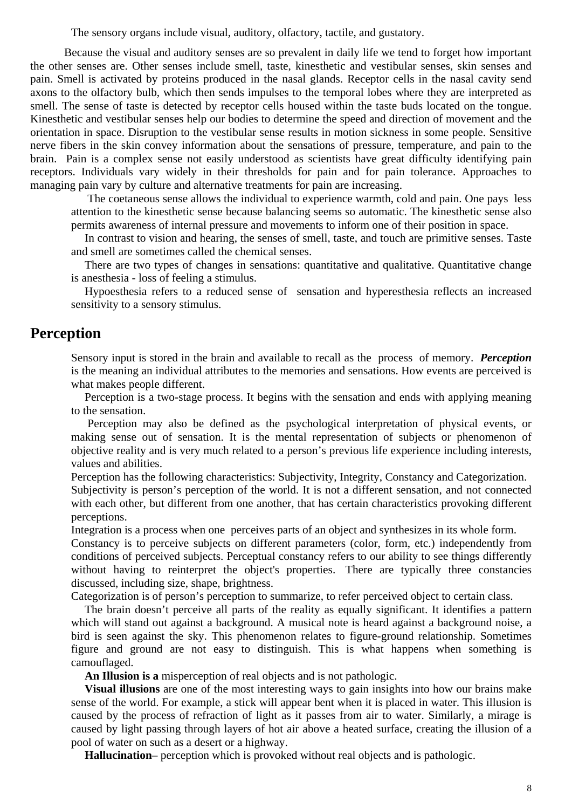The sensory organs include visual, auditory, olfactory, tactile, and gustatory.

Because the visual and auditory senses are so prevalent in daily life we tend to forget how important the other senses are. Other senses include smell, taste, kinesthetic and vestibular senses, skin senses and pain. Smell is activated by proteins produced in the nasal glands. Receptor cells in the nasal cavity send axons to the olfactory bulb, which then sends impulses to the temporal lobes where they are interpreted as smell. The sense of taste is detected by receptor cells housed within the taste buds located on the tongue. Kinesthetic and vestibular senses help our bodies to determine the speed and direction of movement and the orientation in space. Disruption to the vestibular sense results in motion sickness in some people. Sensitive nerve fibers in the skin convey information about the sensations of pressure, temperature, and pain to the brain. Pain is a complex sense not easily understood as scientists have great difficulty identifying pain receptors. Individuals vary widely in their thresholds for pain and for pain tolerance. Approaches to managing pain vary by culture and alternative treatments for pain are increasing.

The coetaneous sense allows the individual to experience warmth, cold and pain. One pays less attention to the kinesthetic sense because balancing seems so automatic. The kinesthetic sense also permits awareness of internal pressure and movements to inform one of their position in space.

In contrast to vision and hearing, the senses of smell, taste, and touch are primitive senses. Taste and smell are sometimes called the chemical senses.

There are two types of changes in sensations: quantitative and qualitative. Quantitative change is anesthesia - loss of feeling a stimulus.

Hypoesthesia refers to a reduced sense of sensation and hyperesthesia reflects an increased sensitivity to a sensory stimulus.

# **Perception**

Sensory input is stored in the brain and available to recall as the process of memory. *Perception* is the meaning an individual attributes to the memories and sensations. How events are perceived is what makes people different.

Perception is a two-stage process. It begins with the sensation and ends with applying meaning to the sensation.

Perception may also be defined as the psychological interpretation of physical events, or making sense out of sensation. It is the mental representation of subjects or phenomenon of objective reality and is very much related to a person's previous life experience including interests, values and abilities.

Perception has the following characteristics: Subjectivity, Integrity, Constancy and Categorization. Subjectivity is person's perception of the world. It is not a different sensation, and not connected with each other, but different from one another, that has certain characteristics provoking different perceptions.

Integration is a process when one perceives parts of an object and synthesizes in its whole form.

Constancy is to perceive subjects on different parameters (color, form, etc.) independently from conditions of perceived subjects. Perceptual constancy refers to our ability to see things differently without having to reinterpret the object's properties. There are typically three constancies discussed, including size, shape, brightness.

Categorization is of person's perception to summarize, to refer perceived object to certain class.

The brain doesn't perceive all parts of the reality as equally significant. It identifies a pattern which will stand out against a background. A musical note is heard against a background noise, a bird is seen against the sky. This phenomenon relates to figure-ground relationship. Sometimes figure and ground are not easy to distinguish. This is what happens when something is camouflaged.

**An Illusion is a** misperception of real objects and is not pathologic.

**Visual illusions** are one of the most interesting ways to gain insights into how our brains make sense of the world. For example, a stick will appear bent when it is placed in water. This illusion is caused by the process of refraction of light as it passes from air to water. Similarly, a mirage is caused by light passing through layers of hot air above a heated surface, creating the illusion of a pool of water on such as a desert or a highway.

**Hallucination**– perception which is provoked without real objects and is pathologic.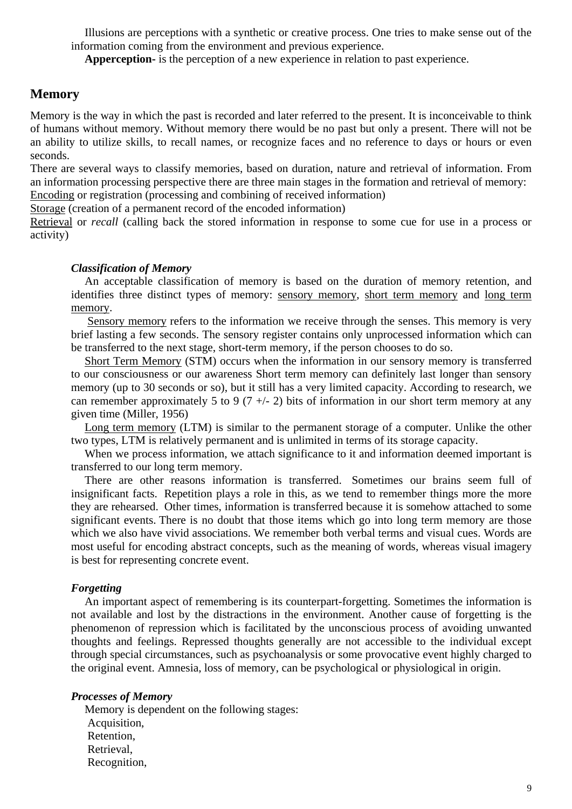Illusions are perceptions with a synthetic or creative process. One tries to make sense out of the information coming from the environment and previous experience.

**Apperception-** is the perception of a new experience in relation to past experience.

# **Memory**

Memory is the way in which the past is recorded and later referred to the present. It is inconceivable to think of humans without memory. Without memory there would be no past but only a present. There will not be an ability to utilize skills, to recall names, or recognize faces and no reference to days or hours or even seconds.

There are several ways to classify memories, based on duration, nature and retrieval of information. From an information processing perspective there are three main stages in the formation and retrieval of memory: [Encoding](http://en.wikipedia.org/wiki/Encoding_(Memory)) or registration (processing and combining of received information)

[Storage](http://en.wikipedia.org/wiki/Storage_(memory)) (creation of a permanent record of the encoded information)

[Retrieval](http://en.wikipedia.org/wiki/Recollection) or *recall* (calling back the stored information in response to some cue for use in a process or activity)

## *Classification of Memory*

An acceptable classification of memory is based on the duration of memory retention, and identifies three distinct types of memory: [sensory memory,](http://en.wikipedia.org/wiki/Sensory_memory) [short term memory](http://en.wikipedia.org/wiki/Short_term_memory) and [long term](http://en.wikipedia.org/wiki/Long_term_memory)  [memory.](http://en.wikipedia.org/wiki/Long_term_memory)

[Sensory memory](http://allpsych.com/dictionary/s.html#_blank) refers to the information we receive through the senses. This memory is very brief lasting a few seconds. The sensory register contains only unprocessed information which can be transferred to the next stage, short-term memory, if the person chooses to do so.

[Short Term Memory](http://allpsych.com/dictionary/s.html#_blank) (STM) occurs when the information in our sensory memory is transferred to our consciousness or our awareness Short term memory can definitely last longer than sensory memory (up to 30 seconds or so), but it still has a very limited capacity. According to research, we can remember approximately 5 to 9 (7 +/- 2) bits of information in our short term memory at any given time (Miller, 1956)

[Long term memory](http://allpsych.com/dictionary/l.html#_blank) (LTM) is similar to the permanent storage of a computer. Unlike the other two types, LTM is relatively permanent and is unlimited in terms of its storage capacity.

When we process information, we attach significance to it and information deemed important is transferred to our long term memory.

There are other reasons information is transferred. Sometimes our brains seem full of insignificant facts. Repetition plays a role in this, as we tend to remember things more the more they are rehearsed. Other times, information is transferred because it is somehow attached to some significant events. There is no doubt that those items which go into long term memory are those which we also have vivid associations. We remember both verbal terms and visual cues. Words are most useful for encoding abstract concepts, such as the meaning of words, whereas visual imagery is best for representing concrete event.

### *Forgetting*

An important aspect of remembering is its counterpart-forgetting. Sometimes the information is not available and lost by the distractions in the environment. Another cause of forgetting is the phenomenon of repression which is facilitated by the unconscious process of avoiding unwanted thoughts and feelings. Repressed thoughts generally are not accessible to the individual except through special circumstances, such as psychoanalysis or some provocative event highly charged to the original event. Amnesia, loss of memory, can be psychological or physiological in origin.

## *Processes of Memory*

Memory is dependent on the following stages: Acquisition, Retention, Retrieval, Recognition,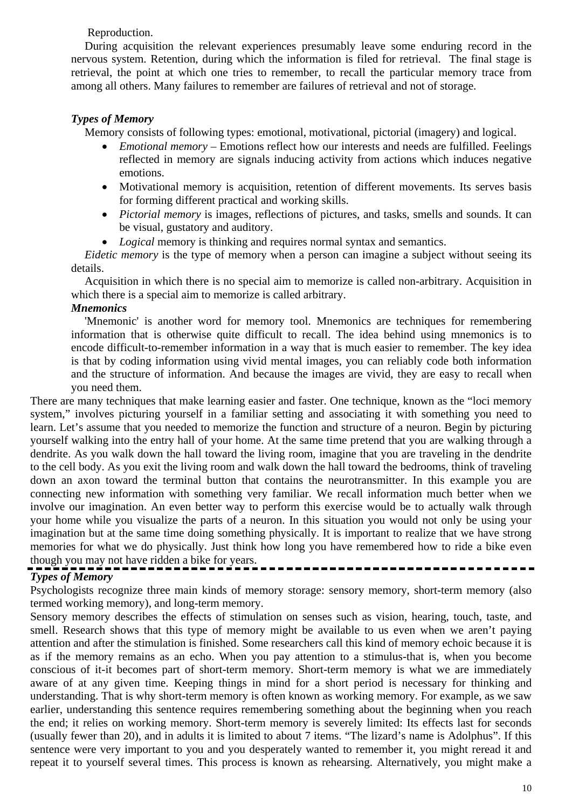# Reproduction.

During acquisition the relevant experiences presumably leave some enduring record in the nervous system. Retention, during which the information is filed for retrieval. The final stage is retrieval, the point at which one tries to remember, to recall the particular memory trace from among all others. Many failures to remember are failures of retrieval and not of storage.

# *Types of Memory*

Memory consists of following types: emotional, motivational, pictorial (imagery) and logical.

- *Emotional memory* Emotions reflect how our interests and needs are fulfilled. Feelings reflected in memory are signals inducing activity from actions which induces negative emotions.
- Motivational memory is acquisition, retention of different movements. Its serves basis for forming different practical and working skills.
- *Pictorial memory* is images, reflections of pictures, and tasks, smells and sounds. It can be visual, gustatory and auditory.
- *Logical* memory is thinking and requires normal syntax and semantics.

*Eidetic memory* is the type of memory when a person can imagine a subject without seeing its details.

Acquisition in which there is no special aim to memorize is called non-arbitrary. Acquisition in which there is a special aim to memorize is called arbitrary.

# *Mnemonics*

'Mnemonic' is another word for memory tool. Mnemonics are techniques for remembering information that is otherwise quite difficult to recall. The idea behind using mnemonics is to encode difficult-to-remember information in a way that is much easier to remember. The key idea is that by coding information using vivid mental images, you can reliably code both information and the structure of information. And because the images are vivid, they are easy to recall when you need them.

There are many techniques that make learning easier and faster. One technique, known as the "loci memory system," involves picturing yourself in a familiar setting and associating it with something you need to learn. Let's assume that you needed to memorize the function and structure of a neuron. Begin by picturing yourself walking into the entry hall of your home. At the same time pretend that you are walking through a dendrite. As you walk down the hall toward the living room, imagine that you are traveling in the dendrite to the cell body. As you exit the living room and walk down the hall toward the bedrooms, think of traveling down an axon toward the terminal button that contains the neurotransmitter. In this example you are connecting new information with something very familiar. We recall information much better when we involve our imagination. An even better way to perform this exercise would be to actually walk through your home while you visualize the parts of a neuron. In this situation you would not only be using your imagination but at the same time doing something physically. It is important to realize that we have strong memories for what we do physically. Just think how long you have remembered how to ride a bike even though you may not have ridden a bike for years.

# *Types of Memory*

Psychologists recognize three main kinds of memory storage: sensory memory, short-term memory (also termed working memory), and long-term memory.

Sensory memory describes the effects of stimulation on senses such as vision, hearing, touch, taste, and smell. Research shows that this type of memory might be available to us even when we aren't paying attention and after the stimulation is finished. Some researchers call this kind of memory echoic because it is as if the memory remains as an echo. When you pay attention to a stimulus-that is, when you become conscious of it-it becomes part of short-term memory. Short-term memory is what we are immediately aware of at any given time. Keeping things in mind for a short period is necessary for thinking and understanding. That is why short-term memory is often known as working memory. For example, as we saw earlier, understanding this sentence requires remembering something about the beginning when you reach the end; it relies on working memory. Short-term memory is severely limited: Its effects last for seconds (usually fewer than 20), and in adults it is limited to about 7 items. "The lizard's name is Adolphus". If this sentence were very important to you and you desperately wanted to remember it, you might reread it and repeat it to yourself several times. This process is known as rehearsing. Alternatively, you might make a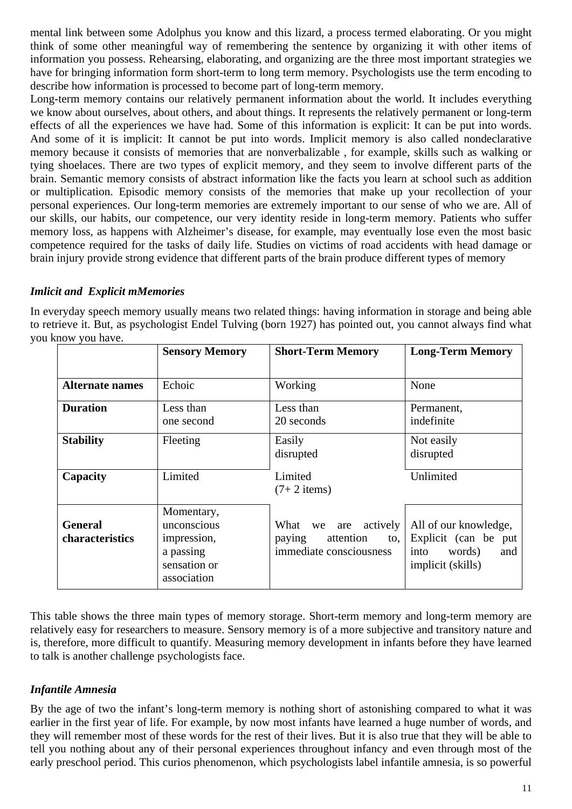mental link between some Adolphus you know and this lizard, a process termed elaborating. Or you might think of some other meaningful way of remembering the sentence by organizing it with other items of information you possess. Rehearsing, elaborating, and organizing are the three most important strategies we have for bringing information form short-term to long term memory. Psychologists use the term encoding to describe how information is processed to become part of long-term memory.

Long-term memory contains our relatively permanent information about the world. It includes everything we know about ourselves, about others, and about things. It represents the relatively permanent or long-term effects of all the experiences we have had. Some of this information is explicit: It can be put into words. And some of it is implicit: It cannot be put into words. Implicit memory is also called nondeclarative memory because it consists of memories that are nonverbalizable , for example, skills such as walking or tying shoelaces. There are two types of explicit memory, and they seem to involve different parts of the brain. Semantic memory consists of abstract information like the facts you learn at school such as addition or multiplication. Episodic memory consists of the memories that make up your recollection of your personal experiences. Our long-term memories are extremely important to our sense of who we are. All of our skills, our habits, our competence, our very identity reside in long-term memory. Patients who suffer memory loss, as happens with Alzheimer's disease, for example, may eventually lose even the most basic competence required for the tasks of daily life. Studies on victims of road accidents with head damage or brain injury provide strong evidence that different parts of the brain produce different types of memory

# *Imlicit and Explicit mMemories*

In everyday speech memory usually means two related things: having information in storage and being able to retrieve it. But, as psychologist Endel Tulving (born 1927) has pointed out, you cannot always find what you know you have.

|                                   | <b>Sensory Memory</b>                                                                | <b>Short-Term Memory</b>                                                               | <b>Long-Term Memory</b>                                                                     |
|-----------------------------------|--------------------------------------------------------------------------------------|----------------------------------------------------------------------------------------|---------------------------------------------------------------------------------------------|
| Alternate names                   | Echoic                                                                               | Working                                                                                | None                                                                                        |
| <b>Duration</b>                   | Less than<br>one second                                                              | Less than<br>20 seconds                                                                | Permanent,<br>indefinite                                                                    |
| <b>Stability</b>                  | Fleeting                                                                             | Easily<br>disrupted                                                                    | Not easily<br>disrupted                                                                     |
| Capacity                          | Limited                                                                              | Limited<br>$(7+2$ items)                                                               | Unlimited                                                                                   |
| <b>General</b><br>characteristics | Momentary,<br>unconscious<br>impression,<br>a passing<br>sensation or<br>association | actively<br>What<br>we<br>are<br>attention<br>paying<br>to.<br>immediate consciousness | All of our knowledge,<br>Explicit (can be put<br>words)<br>into<br>and<br>implicit (skills) |

This table shows the three main types of memory storage. Short-term memory and long-term memory are relatively easy for researchers to measure. Sensory memory is of a more subjective and transitory nature and is, therefore, more difficult to quantify. Measuring memory development in infants before they have learned to talk is another challenge psychologists face.

# *Infantile Amnesia*

By the age of two the infant's long-term memory is nothing short of astonishing compared to what it was earlier in the first year of life. For example, by now most infants have learned a huge number of words, and they will remember most of these words for the rest of their lives. But it is also true that they will be able to tell you nothing about any of their personal experiences throughout infancy and even through most of the early preschool period. This curios phenomenon, which psychologists label infantile amnesia, is so powerful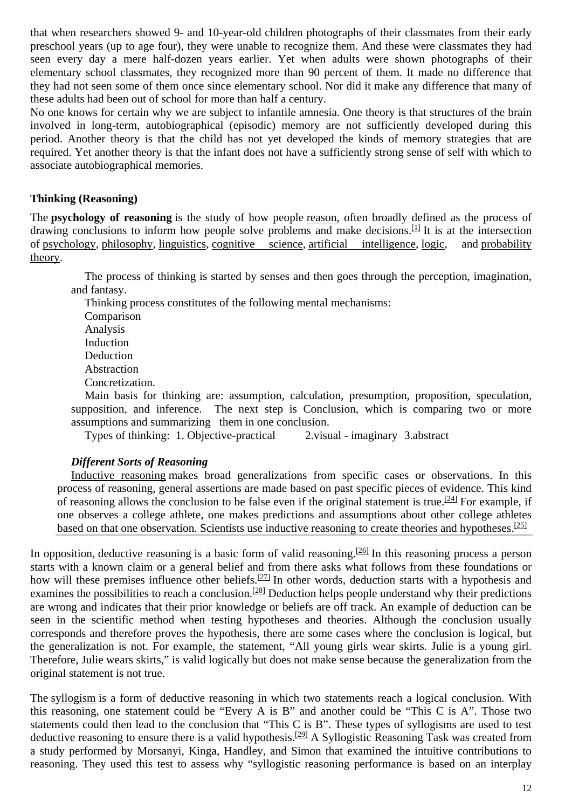that when researchers showed 9- and 10-year-old children photographs of their classmates from their early preschool years (up to age four), they were unable to recognize them. And these were classmates they had seen every day a mere half-dozen years earlier. Yet when adults were shown photographs of their elementary school classmates, they recognized more than 90 percent of them. It made no difference that they had not seen some of them once since elementary school. Nor did it make any difference that many of these adults had been out of school for more than half a century.

No one knows for certain why we are subject to infantile amnesia. One theory is that structures of the brain involved in long-term, autobiographical (episodic) memory are not sufficiently developed during this period. Another theory is that the child has not yet developed the kinds of memory strategies that are required. Yet another theory is that the infant does not have a sufficiently strong sense of self with which to associate autobiographical memories.

# **Thinking (Reasoning)**

The **psychology of reasoning** is the study of how people [reason,](http://en.wikipedia.org/wiki/Reason) often broadly defined as the process of drawing conclusions to inform how people solve problems and make decisions.<sup>[1]</sup> It is at the intersection of [psychology,](http://en.wikipedia.org/wiki/Psychology) [philosophy,](http://en.wikipedia.org/wiki/Philosophy) [linguistics,](http://en.wikipedia.org/wiki/Linguistics) [cognitive science,](http://en.wikipedia.org/wiki/Cognitive_science) [artificial intelligence,](http://en.wikipedia.org/wiki/Artificial_intelligence) [logic,](http://en.wikipedia.org/wiki/Logic) and [probability](http://en.wikipedia.org/wiki/Probability_theory)  [theory.](http://en.wikipedia.org/wiki/Probability_theory)

The process of thinking is started by senses and then goes through the perception, imagination, and fantasy.

Thinking process constitutes of the following mental mechanisms:

Comparison

Analysis

Induction

**Deduction** 

Abstraction

Concretization.

Main basis for thinking are: assumption, calculation, presumption, proposition, speculation, supposition, and inference. The next step is Conclusion, which is comparing two or more assumptions and summarizing them in one conclusion.

Types of thinking: 1. Objective-practical 2.visual - imaginary 3.abstract

# *Different Sorts of Reasoning*

[Inductive reasoning](http://en.wikipedia.org/wiki/Inductive_reasoning) makes broad generalizations from specific cases or observations. In this process of reasoning, general assertions are made based on past specific pieces of evidence. This kind of reasoning allows the conclusion to be false even if the original statement is true.<sup>[24]</sup> For example, if one observes a college athlete, one makes predictions and assumptions about other college athletes based on that one observation. Scientists use inductive reasoning to create theories and hypotheses.<sup>[25]</sup>

In opposition, [deductive reasoning](http://en.wikipedia.org/wiki/Deductive_reasoning) is a basic form of valid reasoning.<sup>[26]</sup> In this reasoning process a person starts with a known claim or a general belief and from there asks what follows from these foundations or how will these premises influence other beliefs.<sup>[\[27\]](http://en.wikipedia.org/wiki/Psychology_of_reasoning#cite_note-27)</sup> In other words, deduction starts with a hypothesis and examines the possibilities to reach a conclusion.<sup>[\[28\]](http://en.wikipedia.org/wiki/Psychology_of_reasoning#cite_note-28)</sup> Deduction helps people understand why their predictions are wrong and indicates that their prior knowledge or beliefs are off track. An example of deduction can be seen in the scientific method when testing hypotheses and theories. Although the conclusion usually corresponds and therefore proves the hypothesis, there are some cases where the conclusion is logical, but the generalization is not. For example, the statement, "All young girls wear skirts. Julie is a young girl. Therefore, Julie wears skirts," is valid logically but does not make sense because the generalization from the original statement is not true.

The [syllogism](http://en.wikipedia.org/wiki/Syllogism) is a form of deductive reasoning in which two statements reach a logical conclusion. With this reasoning, one statement could be "Every A is B" and another could be "This C is A". Those two statements could then lead to the conclusion that "This C is B". These types of syllogisms are used to test deductive reasoning to ensure there is a valid hypothesis.<sup>[29]</sup> A Syllogistic Reasoning Task was created from a study performed by Morsanyi, Kinga, Handley, and Simon that examined the intuitive contributions to reasoning. They used this test to assess why "syllogistic reasoning performance is based on an interplay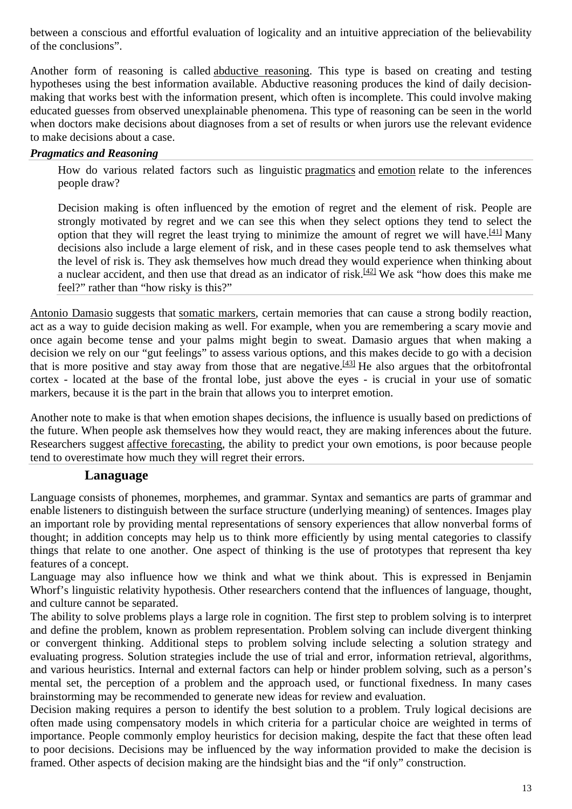between a conscious and effortful evaluation of logicality and an intuitive appreciation of the believability of the conclusions".

Another form of reasoning is called [abductive reasoning.](http://en.wikipedia.org/wiki/Abductive_reasoning) This type is based on creating and testing hypotheses using the best information available. Abductive reasoning produces the kind of daily decisionmaking that works best with the information present, which often is incomplete. This could involve making educated guesses from observed unexplainable phenomena. This type of reasoning can be seen in the world when doctors make decisions about diagnoses from a set of results or when jurors use the relevant evidence to make decisions about a case.

# *Pragmatics and Reasoning*

How do various related factors such as linguistic [pragmatics](http://en.wikipedia.org/wiki/Pragmatics) and [emotion](http://en.wikipedia.org/wiki/Emotion) relate to the inferences people draw?

Decision making is often influenced by the emotion of regret and the element of risk. People are strongly motivated by regret and we can see this when they select options they tend to select the option that they will regret the least trying to minimize the amount of regret we will have.[\[41\]](http://en.wikipedia.org/wiki/Psychology_of_reasoning#cite_note-41) Many decisions also include a large element of risk, and in these cases people tend to ask themselves what the level of risk is. They ask themselves how much dread they would experience when thinking about a nuclear accident, and then use that dread as an indicator of risk.<sup>[42]</sup> We ask "how does this make me feel?" rather than "how risky is this?"

[Antonio Damasio](http://en.wikipedia.org/wiki/Antonio_Damasio) suggests that [somatic markers,](http://en.wikipedia.org/wiki/Somatic_marker_hypothesis) certain memories that can cause a strong bodily reaction, act as a way to guide decision making as well. For example, when you are remembering a scary movie and once again become tense and your palms might begin to sweat. Damasio argues that when making a decision we rely on our "gut feelings" to assess various options, and this makes decide to go with a decision that is more positive and stay away from those that are negative.<sup>[43]</sup> He also argues that the orbitofrontal cortex - located at the base of the frontal lobe, just above the eyes - is crucial in your use of somatic markers, because it is the part in the brain that allows you to interpret emotion.

Another note to make is that when emotion shapes decisions, the influence is usually based on predictions of the future. When people ask themselves how they would react, they are making inferences about the future. Researchers suggest [affective forecasting,](http://en.wikipedia.org/wiki/Affective_forecasting) the ability to predict your own emotions, is poor because people tend to overestimate how much they will regret their errors.

# **Lanaguage**

Language consists of phonemes, morphemes, and grammar. Syntax and semantics are parts of grammar and enable listeners to distinguish between the surface structure (underlying meaning) of sentences. Images play an important role by providing mental representations of sensory experiences that allow nonverbal forms of thought; in addition concepts may help us to think more efficiently by using mental categories to classify things that relate to one another. One aspect of thinking is the use of prototypes that represent tha key features of a concept.

Language may also influence how we think and what we think about. This is expressed in Benjamin Whorf's linguistic relativity hypothesis. Other researchers contend that the influences of language, thought, and culture cannot be separated.

The ability to solve problems plays a large role in cognition. The first step to problem solving is to interpret and define the problem, known as problem representation. Problem solving can include divergent thinking or convergent thinking. Additional steps to problem solving include selecting a solution strategy and evaluating progress. Solution strategies include the use of trial and error, information retrieval, algorithms, and various heuristics. Internal and external factors can help or hinder problem solving, such as a person's mental set, the perception of a problem and the approach used, or functional fixedness. In many cases brainstorming may be recommended to generate new ideas for review and evaluation.

Decision making requires a person to identify the best solution to a problem. Truly logical decisions are often made using compensatory models in which criteria for a particular choice are weighted in terms of importance. People commonly employ heuristics for decision making, despite the fact that these often lead to poor decisions. Decisions may be influenced by the way information provided to make the decision is framed. Other aspects of decision making are the hindsight bias and the "if only" construction.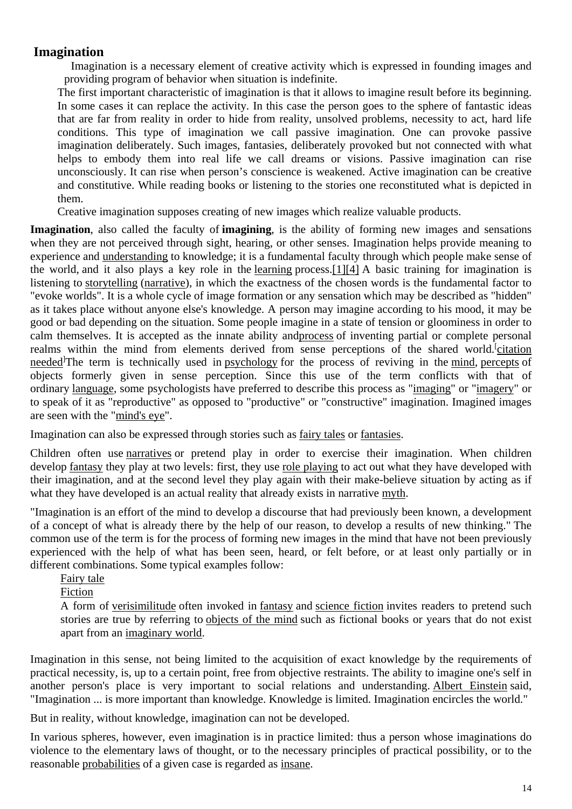# **Imagination**

Imagination is a necessary element of creative activity which is expressed in founding images and providing program of behavior when situation is indefinite.

The first important characteristic of imagination is that it allows to imagine result before its beginning. In some cases it can replace the activity. In this case the person goes to the sphere of fantastic ideas that are far from reality in order to hide from reality, unsolved problems, necessity to act, hard life conditions. This type of imagination we call passive imagination. One can provoke passive imagination deliberately. Such images, fantasies, deliberately provoked but not connected with what helps to embody them into real life we call dreams or visions. Passive imagination can rise unconsciously. It can rise when person's conscience is weakened. Active imagination can be creative and constitutive. While reading books or listening to the stories one reconstituted what is depicted in them.

Creative imagination supposes creating of new images which realize valuable products.

**Imagination**, also called the faculty of **imagining**, is the ability of forming new images and sensations when they are not perceived through sight, hearing, or other senses. Imagination helps provide meaning to experience and [understanding](http://en.wikipedia.org/wiki/Understanding) to knowledge; it is a fundamental faculty through which people make sense of the world, and it also plays a key role in the [learning](http://en.wikipedia.org/wiki/Learning) process[.\[1\]\[4\]](http://en.wikipedia.org/wiki/Imagination#cite_note-Norman2000-0) A basic training for imagination is listening to [storytelling](http://en.wikipedia.org/wiki/Storytelling) [\(narrative\)](http://en.wikipedia.org/wiki/Narrative), in which the exactness of the chosen words is the fundamental factor to "evoke worlds". It is a whole cycle of image formation or any sensation which may be described as "hidden" as it takes place without anyone else's knowledge. A person may imagine according to his mood, it may be good or bad depending on the situation. Some people imagine in a state of tension or gloominess in order to calm themselves. It is accepted as the innate ability an[dprocess](http://en.wikipedia.org/wiki/Cognitive_process) of inventing partial or complete personal realms within the mind from elements derived from sense perceptions of the shared world.<sup>[</sup>citation needed<sup>]</sup>The term is technically used in [psychology](http://en.wikipedia.org/wiki/Psychology) for the process of reviving in the [mind,](http://en.wikipedia.org/wiki/Mind) [percepts](http://en.wikipedia.org/wiki/Perception) of objects formerly given in sense perception. Since this use of the term conflicts with that of ordinary [language,](http://en.wikipedia.org/wiki/Language) some psychologists have preferred to describe this process as ["imaging"](http://en.wiktionary.org/wiki/imaging) or ["imagery"](http://en.wiktionary.org/wiki/imagery) or to speak of it as "reproductive" as opposed to "productive" or "constructive" imagination. Imagined images are seen with the ["mind's eye"](http://en.wikipedia.org/wiki/Mind).

Imagination can also be expressed through stories such as [fairy tales](http://en.wikipedia.org/wiki/Fairy_tale) or [fantasies.](http://en.wikipedia.org/wiki/Fantasy)

Children often use [narratives](http://en.wikipedia.org/wiki/Narrative) or pretend play in order to exercise their imagination. When children develop [fantasy](http://en.wikipedia.org/wiki/Fantasy) they play at two levels: first, they use [role playing](http://en.wikipedia.org/wiki/Role_playing) to act out what they have developed with their imagination, and at the second level they play again with their make-believe situation by acting as if what they have developed is an actual reality that already exists in narrative [myth.](http://en.wikipedia.org/wiki/Myth)

"Imagination is an effort of the mind to develop a discourse that had previously been known, a development of a concept of what is already there by the help of our reason, to develop a results of new thinking." The common use of the term is for the process of forming new images in the mind that have not been previously experienced with the help of what has been seen, heard, or felt before, or at least only partially or in different combinations. Some typical examples follow:

[Fairy tale](http://en.wikipedia.org/wiki/Fairy_tale)

[Fiction](http://en.wikipedia.org/wiki/Fiction)

A form of [verisimilitude](http://en.wikipedia.org/wiki/Verisimilitude) often invoked in [fantasy](http://en.wikipedia.org/wiki/Fantasy) and [science fiction](http://en.wikipedia.org/wiki/Science_fiction) invites readers to pretend such stories are true by referring to [objects of the mind](http://en.wikipedia.org/wiki/Object_of_the_mind) such as fictional books or years that do not exist apart from an [imaginary world.](http://en.wikipedia.org/wiki/Imaginary_world)

Imagination in this sense, not being limited to the acquisition of exact knowledge by the requirements of practical necessity, is, up to a certain point, free from objective restraints. The ability to imagine one's self in another person's place is very important to social relations and understanding. [Albert Einstein](http://en.wikipedia.org/wiki/Albert_Einstein) said, "Imagination ... is more important than knowledge. Knowledge is limited. Imagination encircles the world."

But in reality, without knowledge, imagination can not be developed.

In various spheres, however, even imagination is in practice limited: thus a person whose imaginations do violence to the elementary laws of thought, or to the necessary principles of practical possibility, or to the reasonable [probabilities](http://en.wikipedia.org/wiki/Probability) of a given case is regarded as [insane.](http://en.wikipedia.org/wiki/Insanity)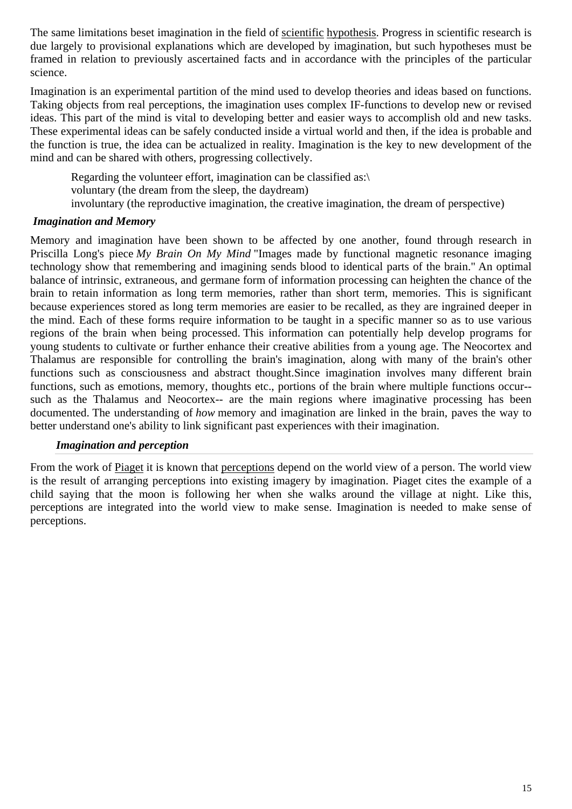The same limitations beset imagination in the field of [scientific](http://en.wikipedia.org/wiki/Scientific_method) [hypothesis.](http://en.wikipedia.org/wiki/Hypothesis) Progress in scientific research is due largely to provisional explanations which are developed by imagination, but such hypotheses must be framed in relation to previously ascertained facts and in accordance with the principles of the particular science.

Imagination is an experimental partition of the mind used to develop theories and ideas based on functions. Taking objects from real perceptions, the imagination uses complex IF-functions to develop new or revised ideas. This part of the mind is vital to developing better and easier ways to accomplish old and new tasks. These experimental ideas can be safely conducted inside a virtual world and then, if the idea is probable and the function is true, the idea can be actualized in reality. Imagination is the key to new development of the mind and can be shared with others, progressing collectively.

Regarding the volunteer effort, imagination can be classified as:\ voluntary (the dream from the sleep, the daydream) involuntary (the reproductive imagination, the creative imagination, the dream of perspective)

# *Imagination and Memory*

Memory and imagination have been shown to be affected by one another, found through research in Priscilla Long's piece *My Brain On My Mind* "Images made by functional magnetic resonance imaging technology show that remembering and imagining sends blood to identical parts of the brain." An optimal balance of intrinsic, extraneous, and germane form of information processing can heighten the chance of the brain to retain information as long term memories, rather than short term, memories. This is significant because experiences stored as long term memories are easier to be recalled, as they are ingrained deeper in the mind. Each of these forms require information to be taught in a specific manner so as to use various regions of the brain when being processed. This information can potentially help develop programs for young students to cultivate or further enhance their creative abilities from a young age. The Neocortex and Thalamus are responsible for controlling the brain's imagination, along with many of the brain's other functions such as consciousness and abstract thought.Since imagination involves many different brain functions, such as emotions, memory, thoughts etc., portions of the brain where multiple functions occur-such as the Thalamus and Neocortex-- are the main regions where imaginative processing has been documented. The understanding of *how* memory and imagination are linked in the brain, paves the way to better understand one's ability to link significant past experiences with their imagination.

# *Imagination and perception*

From the work of [Piaget](http://en.wikipedia.org/wiki/Jean_Piaget) it is known that [perceptions](http://en.wikipedia.org/wiki/Perception) depend on the world view of a person. The world view is the result of arranging perceptions into existing imagery by imagination. Piaget cites the example of a child saying that the moon is following her when she walks around the village at night. Like this, perceptions are integrated into the world view to make sense. Imagination is needed to make sense of perceptions.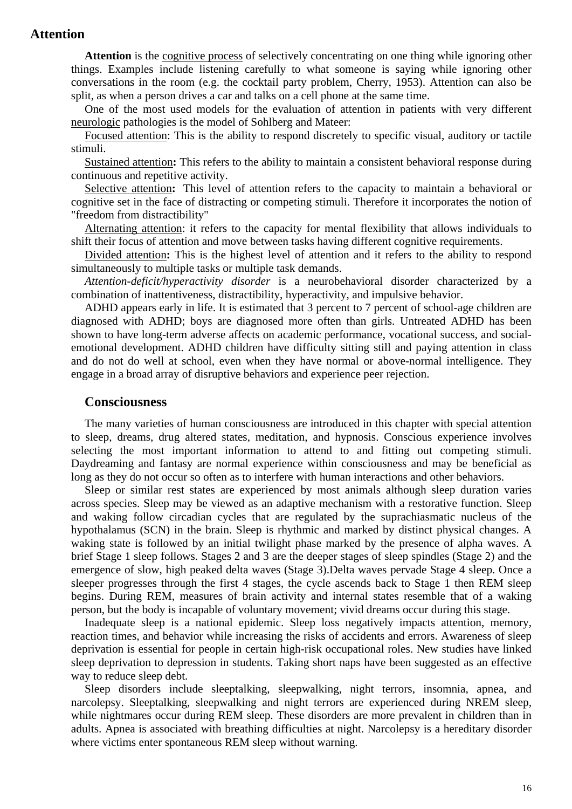# **Attention**

**Attention** is the [cognitive process](http://psychology.wikia.com/wiki/Cognitive_process) of selectively concentrating on one thing while ignoring other things. Examples include listening carefully to what someone is saying while ignoring other conversations in the room (e.g. the cocktail party problem, Cherry, 1953). Attention can also be split, as when a person drives a car and talks on a cell phone at the same time.

One of the most used models for the evaluation of attention in patients with very different [neurologic](http://psychology.wikia.com/wiki/Neurology) pathologies is the model of Sohlberg and Mateer:

[Focused attention:](http://psychology.wikia.com/index.php?title=Focused_attention&action=edit&redlink=1) This is the ability to respond discretely to specific visual, auditory or tactile stimuli.

[Sustained attention](http://psychology.wikia.com/wiki/Sustained_attention)**:** This refers to the ability to maintain a consistent behavioral response during continuous and repetitive activity.

[Selective attention](http://psychology.wikia.com/wiki/Selective_attention)**:** This level of attention refers to the capacity to maintain a behavioral or cognitive set in the face of distracting or competing stimuli. Therefore it incorporates the notion of "freedom from distractibility"

[Alternating attention:](http://psychology.wikia.com/index.php?title=Alternating_attention&action=edit&redlink=1) it refers to the capacity for mental flexibility that allows individuals to shift their focus of attention and move between tasks having different cognitive requirements.

[Divided attention](http://psychology.wikia.com/wiki/Divided_attention)**:** This is the highest level of attention and it refers to the ability to respond simultaneously to multiple tasks or multiple task demands.

*Attention-deficit/hyperactivity disorder* is a neurobehavioral disorder characterized by a combination of inattentiveness, distractibility, hyperactivity, and impulsive behavior.

ADHD appears early in life. It is estimated that 3 percent to 7 percent of school-age children are diagnosed with ADHD; boys are diagnosed more often than girls. Untreated ADHD has been shown to have long-term adverse affects on academic performance, vocational success, and socialemotional development. ADHD children have difficulty sitting still and paying attention in class and do not do well at school, even when they have normal or above-normal intelligence. They engage in a broad array of disruptive behaviors and experience peer rejection.

## **Consciousness**

The many varieties of human consciousness are introduced in this chapter with special attention to sleep, dreams, drug altered states, meditation, and hypnosis. Conscious experience involves selecting the most important information to attend to and fitting out competing stimuli. Daydreaming and fantasy are normal experience within consciousness and may be beneficial as long as they do not occur so often as to interfere with human interactions and other behaviors.

Sleep or similar rest states are experienced by most animals although sleep duration varies across species. Sleep may be viewed as an adaptive mechanism with a restorative function. Sleep and waking follow circadian cycles that are regulated by the suprachiasmatic nucleus of the hypothalamus (SCN) in the brain. Sleep is rhythmic and marked by distinct physical changes. A waking state is followed by an initial twilight phase marked by the presence of alpha waves. A brief Stage 1 sleep follows. Stages 2 and 3 are the deeper stages of sleep spindles (Stage 2) and the emergence of slow, high peaked delta waves (Stage 3).Delta waves pervade Stage 4 sleep. Once a sleeper progresses through the first 4 stages, the cycle ascends back to Stage 1 then REM sleep begins. During REM, measures of brain activity and internal states resemble that of a waking person, but the body is incapable of voluntary movement; vivid dreams occur during this stage.

Inadequate sleep is a national epidemic. Sleep loss negatively impacts attention, memory, reaction times, and behavior while increasing the risks of accidents and errors. Awareness of sleep deprivation is essential for people in certain high-risk occupational roles. New studies have linked sleep deprivation to depression in students. Taking short naps have been suggested as an effective way to reduce sleep debt.

Sleep disorders include sleeptalking, sleepwalking, night terrors, insomnia, apnea, and narcolepsy. Sleeptalking, sleepwalking and night terrors are experienced during NREM sleep, while nightmares occur during REM sleep. These disorders are more prevalent in children than in adults. Apnea is associated with breathing difficulties at night. Narcolepsy is a hereditary disorder where victims enter spontaneous REM sleep without warning.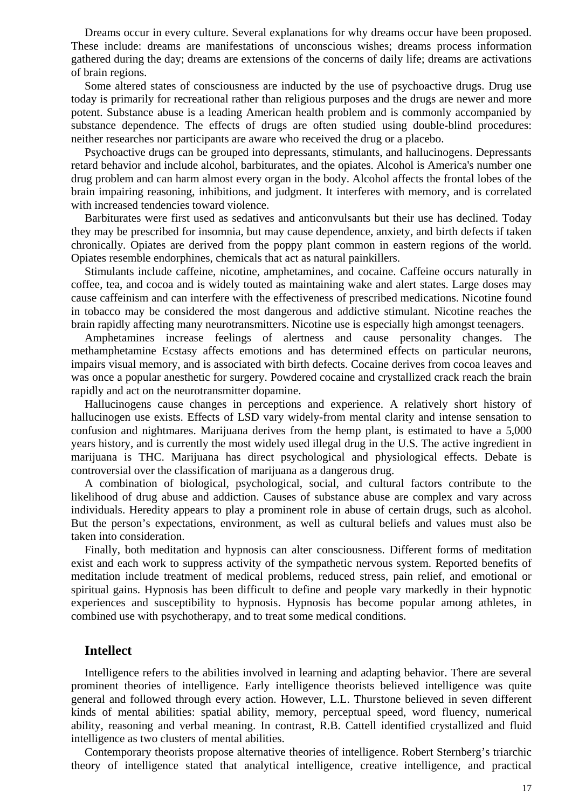Dreams occur in every culture. Several explanations for why dreams occur have been proposed. These include: dreams are manifestations of unconscious wishes; dreams process information gathered during the day; dreams are extensions of the concerns of daily life; dreams are activations of brain regions.

Some altered states of consciousness are inducted by the use of psychoactive drugs. Drug use today is primarily for recreational rather than religious purposes and the drugs are newer and more potent. Substance abuse is a leading American health problem and is commonly accompanied by substance dependence. The effects of drugs are often studied using double-blind procedures: neither researches nor participants are aware who received the drug or a placebo.

Psychoactive drugs can be grouped into depressants, stimulants, and hallucinogens. Depressants retard behavior and include alcohol, barbiturates, and the opiates. Alcohol is America's number one drug problem and can harm almost every organ in the body. Alcohol affects the frontal lobes of the brain impairing reasoning, inhibitions, and judgment. It interferes with memory, and is correlated with increased tendencies toward violence.

Barbiturates were first used as sedatives and anticonvulsants but their use has declined. Today they may be prescribed for insomnia, but may cause dependence, anxiety, and birth defects if taken chronically. Opiates are derived from the poppy plant common in eastern regions of the world. Opiates resemble endorphines, chemicals that act as natural painkillers.

Stimulants include caffeine, nicotine, amphetamines, and cocaine. Caffeine occurs naturally in coffee, tea, and cocoa and is widely touted as maintaining wake and alert states. Large doses may cause caffeinism and can interfere with the effectiveness of prescribed medications. Nicotine found in tobacco may be considered the most dangerous and addictive stimulant. Nicotine reaches the brain rapidly affecting many neurotransmitters. Nicotine use is especially high amongst teenagers.

Amphetamines increase feelings of alertness and cause personality changes. The methamphetamine Ecstasy affects emotions and has determined effects on particular neurons, impairs visual memory, and is associated with birth defects. Cocaine derives from cocoa leaves and was once a popular anesthetic for surgery. Powdered cocaine and crystallized crack reach the brain rapidly and act on the neurotransmitter dopamine.

Hallucinogens cause changes in perceptions and experience. A relatively short history of hallucinogen use exists. Effects of LSD vary widely-from mental clarity and intense sensation to confusion and nightmares. Marijuana derives from the hemp plant, is estimated to have a 5,000 years history, and is currently the most widely used illegal drug in the U.S. The active ingredient in marijuana is THC. Marijuana has direct psychological and physiological effects. Debate is controversial over the classification of marijuana as a dangerous drug.

A combination of biological, psychological, social, and cultural factors contribute to the likelihood of drug abuse and addiction. Causes of substance abuse are complex and vary across individuals. Heredity appears to play a prominent role in abuse of certain drugs, such as alcohol. But the person's expectations, environment, as well as cultural beliefs and values must also be taken into consideration.

Finally, both meditation and hypnosis can alter consciousness. Different forms of meditation exist and each work to suppress activity of the sympathetic nervous system. Reported benefits of meditation include treatment of medical problems, reduced stress, pain relief, and emotional or spiritual gains. Hypnosis has been difficult to define and people vary markedly in their hypnotic experiences and susceptibility to hypnosis. Hypnosis has become popular among athletes, in combined use with psychotherapy, and to treat some medical conditions.

# **Intellect**

Intelligence refers to the abilities involved in learning and adapting behavior. There are several prominent theories of intelligence. Early intelligence theorists believed intelligence was quite general and followed through every action. However, L.L. Thurstone believed in seven different kinds of mental abilities: spatial ability, memory, perceptual speed, word fluency, numerical ability, reasoning and verbal meaning. In contrast, R.B. Cattell identified crystallized and fluid intelligence as two clusters of mental abilities.

Contemporary theorists propose alternative theories of intelligence. Robert Sternberg's triarchic theory of intelligence stated that analytical intelligence, creative intelligence, and practical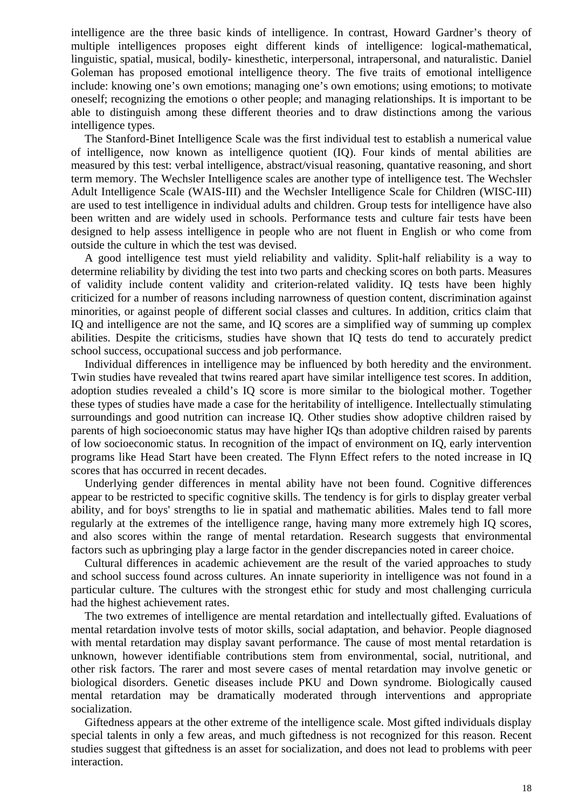intelligence are the three basic kinds of intelligence. In contrast, Howard Gardner's theory of multiple intelligences proposes eight different kinds of intelligence: logical-mathematical, linguistic, spatial, musical, bodily- kinesthetic, interpersonal, intrapersonal, and naturalistic. Daniel Goleman has proposed emotional intelligence theory. The five traits of emotional intelligence include: knowing one's own emotions; managing one's own emotions; using emotions; to motivate oneself; recognizing the emotions o other people; and managing relationships. It is important to be able to distinguish among these different theories and to draw distinctions among the various intelligence types.

The Stanford-Binet Intelligence Scale was the first individual test to establish a numerical value of intelligence, now known as intelligence quotient (IQ). Four kinds of mental abilities are measured by this test: verbal intelligence, abstract/visual reasoning, quantative reasoning, and short term memory. The Wechsler Intelligence scales are another type of intelligence test. The Wechsler Adult Intelligence Scale (WAIS-III) and the Wechsler Intelligence Scale for Children (WISC-III) are used to test intelligence in individual adults and children. Group tests for intelligence have also been written and are widely used in schools. Performance tests and culture fair tests have been designed to help assess intelligence in people who are not fluent in English or who come from outside the culture in which the test was devised.

A good intelligence test must yield reliability and validity. Split-half reliability is a way to determine reliability by dividing the test into two parts and checking scores on both parts. Measures of validity include content validity and criterion-related validity. IQ tests have been highly criticized for a number of reasons including narrowness of question content, discrimination against minorities, or against people of different social classes and cultures. In addition, critics claim that IQ and intelligence are not the same, and IQ scores are a simplified way of summing up complex abilities. Despite the criticisms, studies have shown that IQ tests do tend to accurately predict school success, occupational success and job performance.

Individual differences in intelligence may be influenced by both heredity and the environment. Twin studies have revealed that twins reared apart have similar intelligence test scores. In addition, adoption studies revealed a child's IQ score is more similar to the biological mother. Together these types of studies have made a case for the heritability of intelligence. Intellectually stimulating surroundings and good nutrition can increase IQ. Other studies show adoptive children raised by parents of high socioeconomic status may have higher IQs than adoptive children raised by parents of low socioeconomic status. In recognition of the impact of environment on IQ, early intervention programs like Head Start have been created. The Flynn Effect refers to the noted increase in IQ scores that has occurred in recent decades.

Underlying gender differences in mental ability have not been found. Cognitive differences appear to be restricted to specific cognitive skills. The tendency is for girls to display greater verbal ability, and for boys' strengths to lie in spatial and mathematic abilities. Males tend to fall more regularly at the extremes of the intelligence range, having many more extremely high IQ scores, and also scores within the range of mental retardation. Research suggests that environmental factors such as upbringing play a large factor in the gender discrepancies noted in career choice.

Cultural differences in academic achievement are the result of the varied approaches to study and school success found across cultures. An innate superiority in intelligence was not found in a particular culture. The cultures with the strongest ethic for study and most challenging curricula had the highest achievement rates.

The two extremes of intelligence are mental retardation and intellectually gifted. Evaluations of mental retardation involve tests of motor skills, social adaptation, and behavior. People diagnosed with mental retardation may display savant performance. The cause of most mental retardation is unknown, however identifiable contributions stem from environmental, social, nutritional, and other risk factors. The rarer and most severe cases of mental retardation may involve genetic or biological disorders. Genetic diseases include PKU and Down syndrome. Biologically caused mental retardation may be dramatically moderated through interventions and appropriate socialization.

Giftedness appears at the other extreme of the intelligence scale. Most gifted individuals display special talents in only a few areas, and much giftedness is not recognized for this reason. Recent studies suggest that giftedness is an asset for socialization, and does not lead to problems with peer interaction.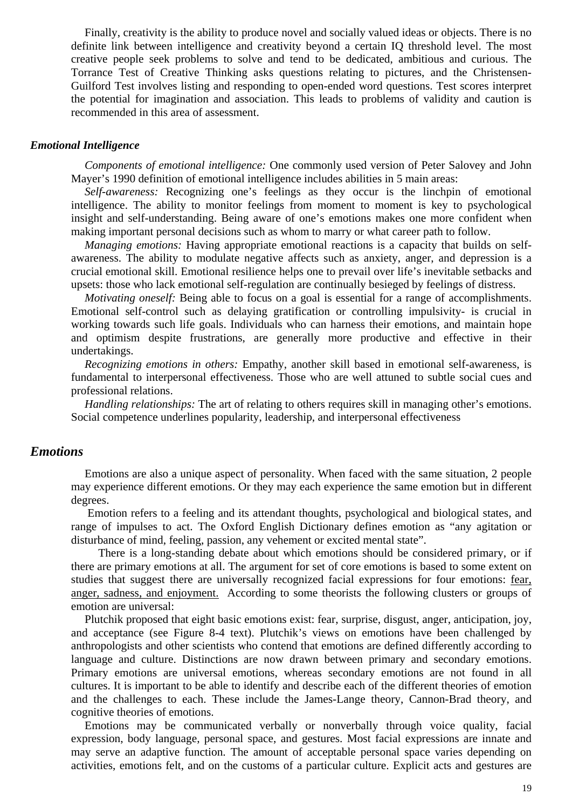Finally, creativity is the ability to produce novel and socially valued ideas or objects. There is no definite link between intelligence and creativity beyond a certain IQ threshold level. The most creative people seek problems to solve and tend to be dedicated, ambitious and curious. The Torrance Test of Creative Thinking asks questions relating to pictures, and the Christensen-Guilford Test involves listing and responding to open-ended word questions. Test scores interpret the potential for imagination and association. This leads to problems of validity and caution is recommended in this area of assessment.

## *Emotional Intelligence*

*Components of emotional intelligence:* One commonly used version of Peter Salovey and John Mayer's 1990 definition of emotional intelligence includes abilities in 5 main areas:

*Self-awareness:* Recognizing one's feelings as they occur is the linchpin of emotional intelligence. The ability to monitor feelings from moment to moment is key to psychological insight and self-understanding. Being aware of one's emotions makes one more confident when making important personal decisions such as whom to marry or what career path to follow.

*Managing emotions:* Having appropriate emotional reactions is a capacity that builds on selfawareness. The ability to modulate negative affects such as anxiety, anger, and depression is a crucial emotional skill. Emotional resilience helps one to prevail over life's inevitable setbacks and upsets: those who lack emotional self-regulation are continually besieged by feelings of distress.

*Motivating oneself:* Being able to focus on a goal is essential for a range of accomplishments. Emotional self-control such as delaying gratification or controlling impulsivity- is crucial in working towards such life goals. Individuals who can harness their emotions, and maintain hope and optimism despite frustrations, are generally more productive and effective in their undertakings.

*Recognizing emotions in others:* Empathy, another skill based in emotional self-awareness, is fundamental to interpersonal effectiveness. Those who are well attuned to subtle social cues and professional relations.

*Handling relationships:* The art of relating to others requires skill in managing other's emotions. Social competence underlines popularity, leadership, and interpersonal effectiveness

# *Emotions*

Emotions are also a unique aspect of personality. When faced with the same situation, 2 people may experience different emotions. Or they may each experience the same emotion but in different degrees.

Emotion refers to a feeling and its attendant thoughts, psychological and biological states, and range of impulses to act. The Oxford English Dictionary defines emotion as "any agitation or disturbance of mind, feeling, passion, any vehement or excited mental state".

There is a long-standing debate about which emotions should be considered primary, or if there are primary emotions at all. The argument for set of core emotions is based to some extent on studies that suggest there are universally recognized facial expressions for four emotions: fear, anger, sadness, and enjoyment. According to some theorists the following clusters or groups of emotion are universal:

Plutchik proposed that eight basic emotions exist: fear, surprise, disgust, anger, anticipation, joy, and acceptance (see Figure 8-4 text). Plutchik's views on emotions have been challenged by anthropologists and other scientists who contend that emotions are defined differently according to language and culture. Distinctions are now drawn between primary and secondary emotions. Primary emotions are universal emotions, whereas secondary emotions are not found in all cultures. It is important to be able to identify and describe each of the different theories of emotion and the challenges to each. These include the James-Lange theory, Cannon-Brad theory, and cognitive theories of emotions.

Emotions may be communicated verbally or nonverbally through voice quality, facial expression, body language, personal space, and gestures. Most facial expressions are innate and may serve an adaptive function. The amount of acceptable personal space varies depending on activities, emotions felt, and on the customs of a particular culture. Explicit acts and gestures are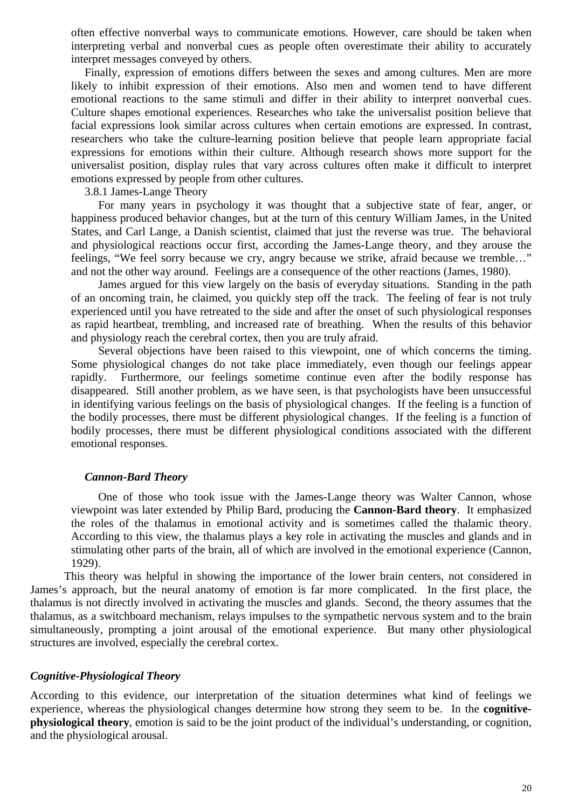often effective nonverbal ways to communicate emotions. However, care should be taken when interpreting verbal and nonverbal cues as people often overestimate their ability to accurately interpret messages conveyed by others.

Finally, expression of emotions differs between the sexes and among cultures. Men are more likely to inhibit expression of their emotions. Also men and women tend to have different emotional reactions to the same stimuli and differ in their ability to interpret nonverbal cues. Culture shapes emotional experiences. Researches who take the universalist position believe that facial expressions look similar across cultures when certain emotions are expressed. In contrast, researchers who take the culture-learning position believe that people learn appropriate facial expressions for emotions within their culture. Although research shows more support for the universalist position, display rules that vary across cultures often make it difficult to interpret emotions expressed by people from other cultures.

### 3.8.1 James-Lange Theory

For many years in psychology it was thought that a subjective state of fear, anger, or happiness produced behavior changes, but at the turn of this century William James, in the United States, and Carl Lange, a Danish scientist, claimed that just the reverse was true. The behavioral and physiological reactions occur first, according the James-Lange theory, and they arouse the feelings, "We feel sorry because we cry, angry because we strike, afraid because we tremble…" and not the other way around. Feelings are a consequence of the other reactions (James, 1980).

James argued for this view largely on the basis of everyday situations. Standing in the path of an oncoming train, he claimed, you quickly step off the track. The feeling of fear is not truly experienced until you have retreated to the side and after the onset of such physiological responses as rapid heartbeat, trembling, and increased rate of breathing. When the results of this behavior and physiology reach the cerebral cortex, then you are truly afraid.

Several objections have been raised to this viewpoint, one of which concerns the timing. Some physiological changes do not take place immediately, even though our feelings appear rapidly. Furthermore, our feelings sometime continue even after the bodily response has disappeared. Still another problem, as we have seen, is that psychologists have been unsuccessful in identifying various feelings on the basis of physiological changes. If the feeling is a function of the bodily processes, there must be different physiological changes. If the feeling is a function of bodily processes, there must be different physiological conditions associated with the different emotional responses.

## *Cannon-Bard Theory*

One of those who took issue with the James-Lange theory was Walter Cannon, whose viewpoint was later extended by Philip Bard, producing the **Cannon-Bard theory**. It emphasized the roles of the thalamus in emotional activity and is sometimes called the thalamic theory. According to this view, the thalamus plays a key role in activating the muscles and glands and in stimulating other parts of the brain, all of which are involved in the emotional experience (Cannon, 1929).

This theory was helpful in showing the importance of the lower brain centers, not considered in James's approach, but the neural anatomy of emotion is far more complicated. In the first place, the thalamus is not directly involved in activating the muscles and glands. Second, the theory assumes that the thalamus, as a switchboard mechanism, relays impulses to the sympathetic nervous system and to the brain simultaneously, prompting a joint arousal of the emotional experience. But many other physiological structures are involved, especially the cerebral cortex.

## *Cognitive-Physiological Theory*

According to this evidence, our interpretation of the situation determines what kind of feelings we experience, whereas the physiological changes determine how strong they seem to be. In the **cognitivephysiological theory**, emotion is said to be the joint product of the individual's understanding, or cognition, and the physiological arousal.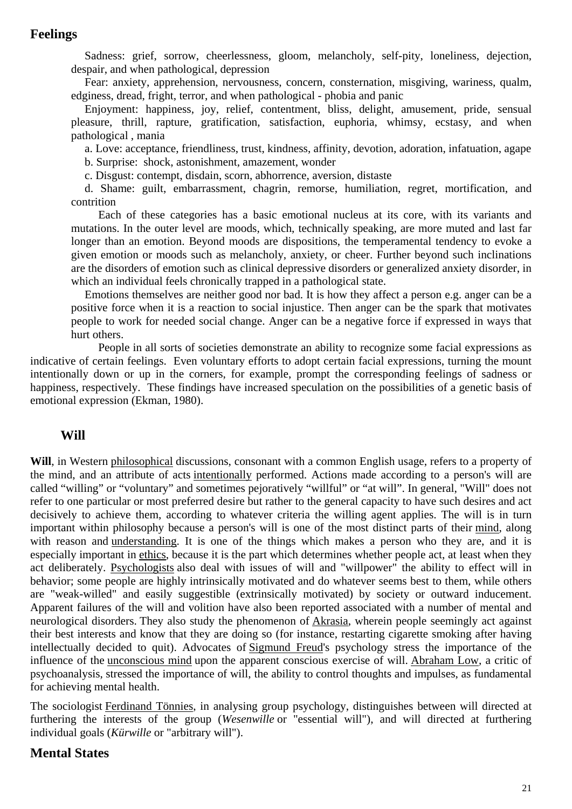# **Feelings**

Sadness: grief, sorrow, cheerlessness, gloom, melancholy, self-pity, loneliness, dejection, despair, and when pathological, depression

Fear: anxiety, apprehension, nervousness, concern, consternation, misgiving, wariness, qualm, edginess, dread, fright, terror, and when pathological - phobia and panic

Enjoyment: happiness, joy, relief, contentment, bliss, delight, amusement, pride, sensual pleasure, thrill, rapture, gratification, satisfaction, euphoria, whimsy, ecstasy, and when pathological , mania

a. Love: acceptance, friendliness, trust, kindness, affinity, devotion, adoration, infatuation, agape

b. Surprise: shock, astonishment, amazement, wonder

c. Disgust: contempt, disdain, scorn, abhorrence, aversion, distaste

d. Shame: guilt, embarrassment, chagrin, remorse, humiliation, regret, mortification, and contrition

Each of these categories has a basic emotional nucleus at its core, with its variants and mutations. In the outer level are moods, which, technically speaking, are more muted and last far longer than an emotion. Beyond moods are dispositions, the temperamental tendency to evoke a given emotion or moods such as melancholy, anxiety, or cheer. Further beyond such inclinations are the disorders of emotion such as clinical depressive disorders or generalized anxiety disorder, in which an individual feels chronically trapped in a pathological state.

Emotions themselves are neither good nor bad. It is how they affect a person e.g. anger can be a positive force when it is a reaction to social injustice. Then anger can be the spark that motivates people to work for needed social change. Anger can be a negative force if expressed in ways that hurt others.

People in all sorts of societies demonstrate an ability to recognize some facial expressions as indicative of certain feelings. Even voluntary efforts to adopt certain facial expressions, turning the mount intentionally down or up in the corners, for example, prompt the corresponding feelings of sadness or happiness, respectively. These findings have increased speculation on the possibilities of a genetic basis of emotional expression (Ekman, 1980).

# **Will**

**Will**, in Western [philosophical](http://en.wikipedia.org/wiki/Philosophy) discussions, consonant with a common English usage, refers to a property of the mind, and an attribute of acts [intentionally](http://en.wikipedia.org/wiki/Intention) performed. Actions made according to a person's will are called "willing" or "voluntary" and sometimes pejoratively "willful" or "at will". In general, "Will" does not refer to one particular or most preferred desire but rather to the general capacity to have such desires and act decisively to achieve them, according to whatever criteria the willing agent applies. The will is in turn important within philosophy because a person's will is one of the most distinct parts of their [mind,](http://en.wikipedia.org/wiki/Mind) along with reason and [understanding.](http://en.wikipedia.org/wiki/Nous) It is one of the things which makes a person who they are, and it is especially important in [ethics,](http://en.wikipedia.org/wiki/Ethics) because it is the part which determines whether people act, at least when they act deliberately. [Psychologists](http://en.wikipedia.org/wiki/Psychology) also deal with issues of will and "willpower" the ability to effect will in behavior; some people are highly intrinsically motivated and do whatever seems best to them, while others are "weak-willed" and easily suggestible (extrinsically motivated) by society or outward inducement. Apparent failures of the will and volition have also been reported associated with a number of mental and neurological disorders. They also study the phenomenon of [Akrasia,](http://en.wikipedia.org/wiki/Akrasia) wherein people seemingly act against their best interests and know that they are doing so (for instance, restarting cigarette smoking after having intellectually decided to quit). Advocates of [Sigmund Freud's](http://en.wikipedia.org/wiki/Sigmund_Freud) psychology stress the importance of the influence of the [unconscious mind](http://en.wikipedia.org/wiki/Unconscious_mind) upon the apparent conscious exercise of will. [Abraham Low,](http://en.wikipedia.org/wiki/Abraham_Low) a critic of psychoanalysis, stressed the importance of will, the ability to control thoughts and impulses, as fundamental for achieving mental health.

The sociologist [Ferdinand Tönnies,](http://en.wikipedia.org/wiki/Ferdinand_T%C3%B6nnies) in analysing group psychology, distinguishes between will directed at furthering the interests of the group (*Wesenwille* or "essential will"), and will directed at furthering individual goals (*Kürwille* or "arbitrary will").

# **Mental States**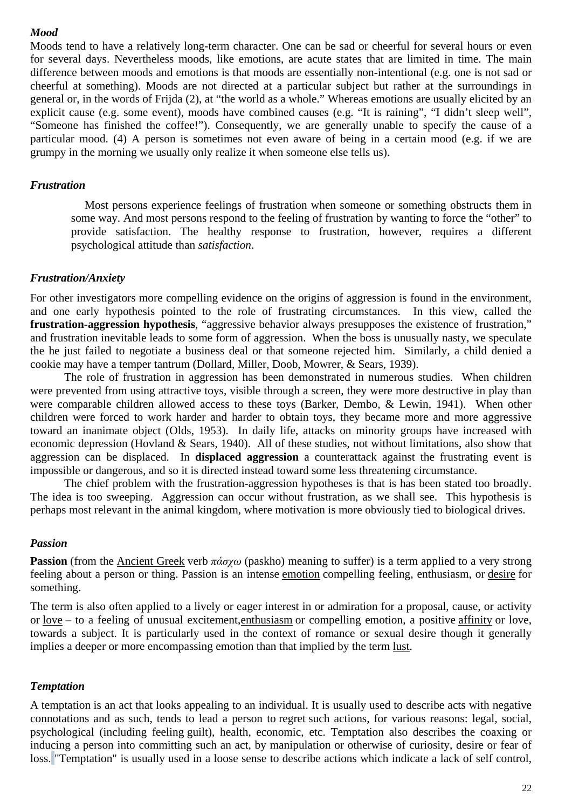# *Mood*

Moods tend to have a relatively long-term character. One can be sad or cheerful for several hours or even for several days. Nevertheless moods, like emotions, are acute states that are limited in time. The main difference between moods and emotions is that moods are essentially non-intentional (e.g. one is not sad or cheerful at something). Moods are not directed at a particular subject but rather at the surroundings in general or, in the words of Frijda (2), at "the world as a whole." Whereas emotions are usually elicited by an explicit cause (e.g. some event), moods have combined causes (e.g. "It is raining", "I didn't sleep well", "Someone has finished the coffee!"). Consequently, we are generally unable to specify the cause of a particular mood. (4) A person is sometimes not even aware of being in a certain mood (e.g. if we are grumpy in the morning we usually only realize it when someone else tells us).

## *Frustration*

Most persons experience feelings of frustration when someone or something obstructs them in some way. And most persons respond to the feeling of frustration by wanting to force the "other" to provide satisfaction. The healthy response to frustration, however, requires a different psychological attitude than *satisfaction*.

## *Frustration/Anxiety*

For other investigators more compelling evidence on the origins of aggression is found in the environment, and one early hypothesis pointed to the role of frustrating circumstances. In this view, called the **frustration-aggression hypothesis**, "aggressive behavior always presupposes the existence of frustration," and frustration inevitable leads to some form of aggression. When the boss is unusually nasty, we speculate the he just failed to negotiate a business deal or that someone rejected him. Similarly, a child denied a cookie may have a temper tantrum (Dollard, Miller, Doob, Mowrer, & Sears, 1939).

The role of frustration in aggression has been demonstrated in numerous studies. When children were prevented from using attractive toys, visible through a screen, they were more destructive in play than were comparable children allowed access to these toys (Barker, Dembo, & Lewin, 1941). When other children were forced to work harder and harder to obtain toys, they became more and more aggressive toward an inanimate object (Olds, 1953). In daily life, attacks on minority groups have increased with economic depression (Hovland & Sears, 1940). All of these studies, not without limitations, also show that aggression can be displaced. In **displaced aggression** a counterattack against the frustrating event is impossible or dangerous, and so it is directed instead toward some less threatening circumstance.

The chief problem with the frustration-aggression hypotheses is that is has been stated too broadly. The idea is too sweeping. Aggression can occur without frustration, as we shall see. This hypothesis is perhaps most relevant in the animal kingdom, where motivation is more obviously tied to biological drives.

## *Passion*

**Passion** (from the <u>[Ancient Greek](http://en.wikipedia.org/wiki/Ancient_Greek)</u> verb πάσχω (paskho) meaning to suffer) is a term applied to a very strong feeling about a person or thing. Passion is an intense [emotion](http://en.wikipedia.org/wiki/Emotion) compelling feeling, enthusiasm, or [desire](http://en.wikipedia.org/wiki/Desire_(emotion)) for something.

The term is also often applied to a lively or eager interest in or admiration for a proposal, cause, or activity or [love](http://en.wikipedia.org/wiki/Love) – to a feeling of unusual excitement[,enthusiasm](http://en.wikipedia.org/wiki/Enthusiasm) or compelling emotion, a positive [affinity](http://en.wiktionary.org/wiki/affinity) or love, towards a subject. It is particularly used in the context of romance or sexual desire though it generally implies a deeper or more encompassing emotion than that implied by the term [lust.](http://en.wikipedia.org/wiki/Lust)

## *Temptation*

A temptation is an act that looks appealing to an individual. It is usually used to describe acts with negative connotations and as such, tends to lead a person to [regret](http://psychology.wikia.com/wiki/Regret?action=edit&redlink=1) such actions, for various reasons: legal, social, psychological (including feeling [guilt\)](http://psychology.wikia.com/wiki/Guilt), health, economic, etc. Temptation also describes the coaxing or inducing a person into committing such an act, by manipulation or otherwise of curiosity, desire or fear of loss. "Temptation" is usually used in a loose sense to describe actions which indicate a lack of self control,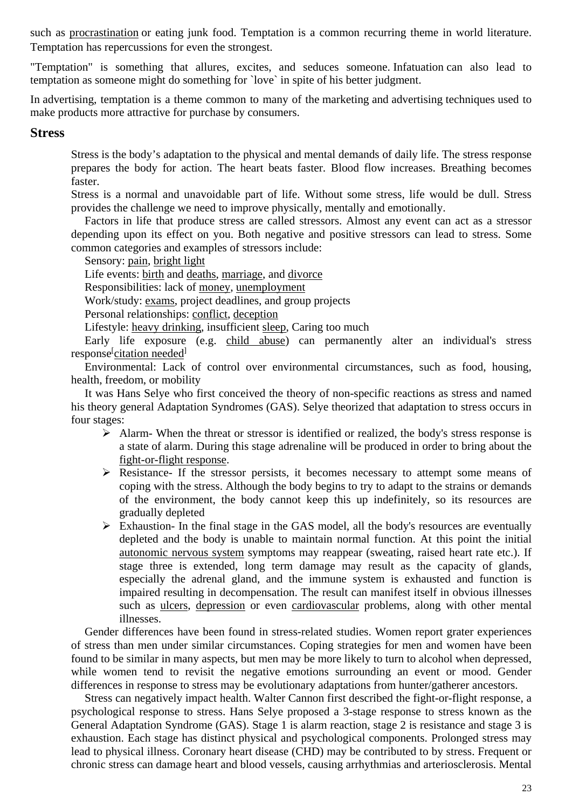such as [procrastination](http://psychology.wikia.com/wiki/Procrastination) or eating junk food. Temptation is a common recurring theme in world literature. Temptation has repercussions for even the strongest.

"Temptation" is something that allures, excites, and seduces someone. [Infatuation](http://psychology.wikia.com/wiki/Infatuation?action=edit&redlink=1) can also lead to temptation as someone might do something for `love` in spite of his better judgment.

In [advertising,](http://psychology.wikia.com/wiki/Advertising) temptation is a theme common to many of the [marketing](http://psychology.wikia.com/wiki/Marketing) and [advertising](http://psychology.wikia.com/wiki/Advertising) [techniques](http://psychology.wikia.com/wiki/Advertising#Techniques) used to make products more attractive for purchase by [consumers.](http://psychology.wikia.com/wiki/Consumer)

# **Stress**

Stress is the body's adaptation to the physical and mental demands of daily life. The stress response prepares the body for action. The heart beats faster. Blood flow increases. Breathing becomes faster.

Stress is a normal and unavoidable part of life. Without some stress, life would be dull. Stress provides the challenge we need to improve physically, mentally and emotionally.

Factors in life that produce stress are called stressors. Almost any event can act as a stressor depending upon its effect on you. Both negative and positive stressors can lead to stress. Some common categories and examples of stressors include:

Sensory: [pain,](http://en.wikipedia.org/wiki/Pain_and_nociception) [bright light](http://en.wikipedia.org/wiki/Over-illumination)

Life events: [birth](http://en.wikipedia.org/wiki/Birth) and [deaths,](http://en.wikipedia.org/wiki/Death) [marriage,](http://en.wikipedia.org/wiki/Marriage) and [divorce](http://en.wikipedia.org/wiki/Divorce)

Responsibilities: lack of [money,](http://en.wikipedia.org/wiki/Money) [unemployment](http://en.wikipedia.org/wiki/Unemployment)

Work/study: [exams,](http://en.wikipedia.org/wiki/Test_(student_assessment)) project deadlines, and group projects

Personal relationships: [conflict,](http://en.wikipedia.org/wiki/Conflict) [deception](http://en.wikipedia.org/wiki/Deception)

Lifestyle: [heavy drinking,](http://en.wikipedia.org/wiki/Alcohol_consumption_and_health#Heavy_consumption) insufficient [sleep,](http://en.wikipedia.org/wiki/Sleep) Caring too much

Early life exposure (e.g. [child abuse\)](http://en.wikipedia.org/wiki/Child_abuse) can permanently alter an individual's stress response<sup>[</sup>citation needed<sup>]</sup>

Environmental: Lack of control over environmental circumstances, such as food, housing, health, freedom, or mobility

It was Hans Selye who first conceived the theory of non-specific reactions as stress and named his theory general Adaptation Syndromes (GAS). Selye theorized that adaptation to stress occurs in four stages:

- $\triangleright$  Alarm-When the threat or stressor is identified or realized, the body's stress response is a state of alarm. During this stage adrenaline will be produced in order to bring about the [fight-or-flight response.](http://en.wikipedia.org/wiki/Fight-or-flight_response)
- $\triangleright$  Resistance- If the stressor persists, it becomes necessary to attempt some means of coping with the stress. Although the body begins to try to adapt to the strains or demands of the environment, the body cannot keep this up indefinitely, so its resources are gradually depleted
- Exhaustion- In the final stage in the GAS model, all the body's resources are eventually depleted and the body is unable to maintain normal function. At this point the initial [autonomic nervous system](http://en.wikipedia.org/wiki/Autonomic_nervous_system) symptoms may reappear (sweating, raised heart rate etc.). If stage three is extended, long term damage may result as the capacity of glands, especially the adrenal gland, and the immune system is exhausted and function is impaired resulting in decompensation. The result can manifest itself in obvious illnesses such as [ulcers,](http://en.wikipedia.org/wiki/Ulcer) [depression](http://en.wikipedia.org/wiki/Clinical_depression) or even [cardiovascular](http://en.wikipedia.org/wiki/Cardiovascular) problems, along with other mental illnesses.

Gender differences have been found in stress-related studies. Women report grater experiences of stress than men under similar circumstances. Coping strategies for men and women have been found to be similar in many aspects, but men may be more likely to turn to alcohol when depressed, while women tend to revisit the negative emotions surrounding an event or mood. Gender differences in response to stress may be evolutionary adaptations from hunter/gatherer ancestors.

Stress can negatively impact health. Walter Cannon first described the fight-or-flight response, a psychological response to stress. Hans Selye proposed a 3-stage response to stress known as the General Adaptation Syndrome (GAS). Stage 1 is alarm reaction, stage 2 is resistance and stage 3 is exhaustion. Each stage has distinct physical and psychological components. Prolonged stress may lead to physical illness. Coronary heart disease (CHD) may be contributed to by stress. Frequent or chronic stress can damage heart and blood vessels, causing arrhythmias and arteriosclerosis. Mental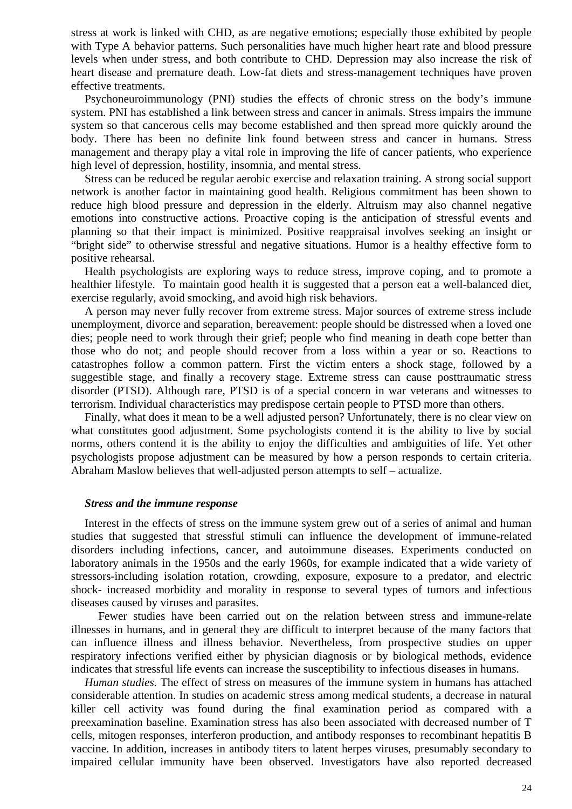stress at work is linked with CHD, as are negative emotions; especially those exhibited by people with Type A behavior patterns. Such personalities have much higher heart rate and blood pressure levels when under stress, and both contribute to CHD. Depression may also increase the risk of heart disease and premature death. Low-fat diets and stress-management techniques have proven effective treatments.

Psychoneuroimmunology (PNI) studies the effects of chronic stress on the body's immune system. PNI has established a link between stress and cancer in animals. Stress impairs the immune system so that cancerous cells may become established and then spread more quickly around the body. There has been no definite link found between stress and cancer in humans. Stress management and therapy play a vital role in improving the life of cancer patients, who experience high level of depression, hostility, insomnia, and mental stress.

Stress can be reduced be regular aerobic exercise and relaxation training. A strong social support network is another factor in maintaining good health. Religious commitment has been shown to reduce high blood pressure and depression in the elderly. Altruism may also channel negative emotions into constructive actions. Proactive coping is the anticipation of stressful events and planning so that their impact is minimized. Positive reappraisal involves seeking an insight or "bright side" to otherwise stressful and negative situations. Humor is a healthy effective form to positive rehearsal.

Health psychologists are exploring ways to reduce stress, improve coping, and to promote a healthier lifestyle. To maintain good health it is suggested that a person eat a well-balanced diet, exercise regularly, avoid smocking, and avoid high risk behaviors.

A person may never fully recover from extreme stress. Major sources of extreme stress include unemployment, divorce and separation, bereavement: people should be distressed when a loved one dies; people need to work through their grief; people who find meaning in death cope better than those who do not; and people should recover from a loss within a year or so. Reactions to catastrophes follow a common pattern. First the victim enters a shock stage, followed by a suggestible stage, and finally a recovery stage. Extreme stress can cause posttraumatic stress disorder (PTSD). Although rare, PTSD is of a special concern in war veterans and witnesses to terrorism. Individual characteristics may predispose certain people to PTSD more than others.

Finally, what does it mean to be a well adjusted person? Unfortunately, there is no clear view on what constitutes good adjustment. Some psychologists contend it is the ability to live by social norms, others contend it is the ability to enjoy the difficulties and ambiguities of life. Yet other psychologists propose adjustment can be measured by how a person responds to certain criteria. Abraham Maslow believes that well-adjusted person attempts to self – actualize.

### *Stress and the immune response*

Interest in the effects of stress on the immune system grew out of a series of animal and human studies that suggested that stressful stimuli can influence the development of immune-related disorders including infections, cancer, and autoimmune diseases. Experiments conducted on laboratory animals in the 1950s and the early 1960s, for example indicated that a wide variety of stressors-including isolation rotation, crowding, exposure, exposure to a predator, and electric shock- increased morbidity and morality in response to several types of tumors and infectious diseases caused by viruses and parasites.

Fewer studies have been carried out on the relation between stress and immune-relate illnesses in humans, and in general they are difficult to interpret because of the many factors that can influence illness and illness behavior. Nevertheless, from prospective studies on upper respiratory infections verified either by physician diagnosis or by biological methods, evidence indicates that stressful life events can increase the susceptibility to infectious diseases in humans.

*Human studies.* The effect of stress on measures of the immune system in humans has attached considerable attention. In studies on academic stress among medical students, a decrease in natural killer cell activity was found during the final examination period as compared with a preexamination baseline. Examination stress has also been associated with decreased number of T cells, mitogen responses, interferon production, and antibody responses to recombinant hepatitis B vaccine. In addition, increases in antibody titers to latent herpes viruses, presumably secondary to impaired cellular immunity have been observed. Investigators have also reported decreased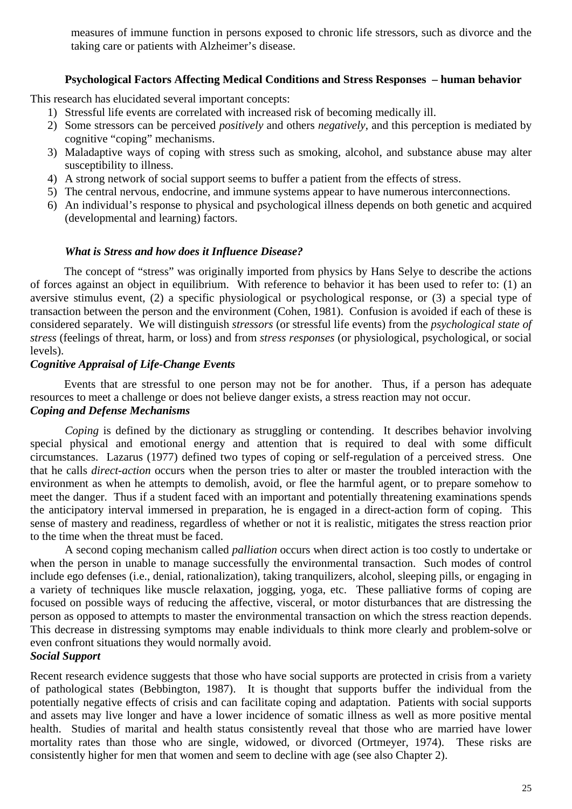measures of immune function in persons exposed to chronic life stressors, such as divorce and the taking care or patients with Alzheimer's disease.

# **Psychological Factors Affecting Medical Conditions and Stress Responses – human behavior**

This research has elucidated several important concepts:

- 1) Stressful life events are correlated with increased risk of becoming medically ill.
- 2) Some stressors can be perceived *positively* and others *negatively*, and this perception is mediated by cognitive "coping" mechanisms.
- 3) Maladaptive ways of coping with stress such as smoking, alcohol, and substance abuse may alter susceptibility to illness.
- 4) A strong network of social support seems to buffer a patient from the effects of stress.
- 5) The central nervous, endocrine, and immune systems appear to have numerous interconnections.
- 6) An individual's response to physical and psychological illness depends on both genetic and acquired (developmental and learning) factors.

## *What is Stress and how does it Influence Disease?*

The concept of "stress" was originally imported from physics by Hans Selye to describe the actions of forces against an object in equilibrium. With reference to behavior it has been used to refer to: (1) an aversive stimulus event, (2) a specific physiological or psychological response, or (3) a special type of transaction between the person and the environment (Cohen, 1981). Confusion is avoided if each of these is considered separately. We will distinguish *stressors* (or stressful life events) from the *psychological state of stress* (feelings of threat, harm, or loss) and from *stress responses* (or physiological, psychological, or social levels).

## *Cognitive Appraisal of Life-Change Events*

Events that are stressful to one person may not be for another. Thus, if a person has adequate resources to meet a challenge or does not believe danger exists, a stress reaction may not occur. *Coping and Defense Mechanisms* 

*Coping* is defined by the dictionary as struggling or contending. It describes behavior involving special physical and emotional energy and attention that is required to deal with some difficult circumstances. Lazarus (1977) defined two types of coping or self-regulation of a perceived stress. One that he calls *direct-action* occurs when the person tries to alter or master the troubled interaction with the environment as when he attempts to demolish, avoid, or flee the harmful agent, or to prepare somehow to meet the danger. Thus if a student faced with an important and potentially threatening examinations spends the anticipatory interval immersed in preparation, he is engaged in a direct-action form of coping. This sense of mastery and readiness, regardless of whether or not it is realistic, mitigates the stress reaction prior to the time when the threat must be faced.

A second coping mechanism called *palliation* occurs when direct action is too costly to undertake or when the person in unable to manage successfully the environmental transaction. Such modes of control include ego defenses (i.e., denial, rationalization), taking tranquilizers, alcohol, sleeping pills, or engaging in a variety of techniques like muscle relaxation, jogging, yoga, etc. These palliative forms of coping are focused on possible ways of reducing the affective, visceral, or motor disturbances that are distressing the person as opposed to attempts to master the environmental transaction on which the stress reaction depends. This decrease in distressing symptoms may enable individuals to think more clearly and problem-solve or even confront situations they would normally avoid.

## *Social Support*

Recent research evidence suggests that those who have social supports are protected in crisis from a variety of pathological states (Bebbington, 1987). It is thought that supports buffer the individual from the potentially negative effects of crisis and can facilitate coping and adaptation. Patients with social supports and assets may live longer and have a lower incidence of somatic illness as well as more positive mental health. Studies of marital and health status consistently reveal that those who are married have lower mortality rates than those who are single, widowed, or divorced (Ortmeyer, 1974). These risks are consistently higher for men that women and seem to decline with age (see also Chapter 2).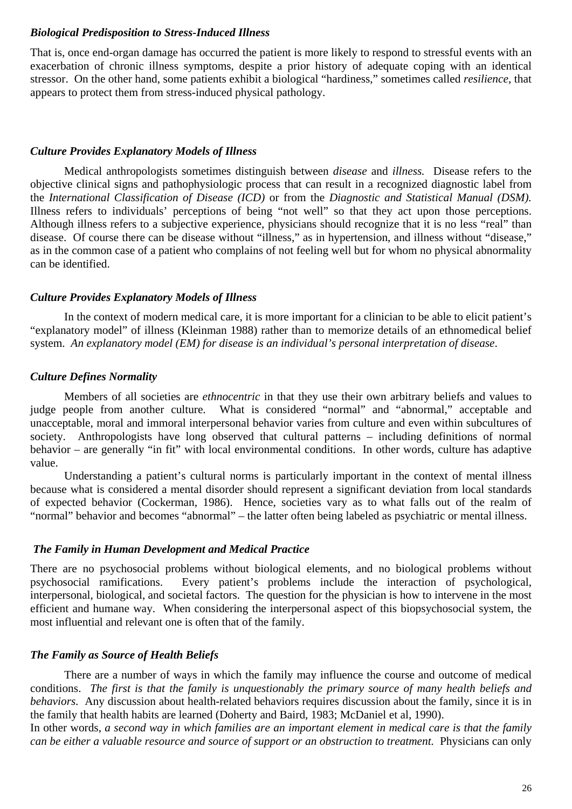# *Biological Predisposition to Stress-Induced Illness*

That is, once end-organ damage has occurred the patient is more likely to respond to stressful events with an exacerbation of chronic illness symptoms, despite a prior history of adequate coping with an identical stressor. On the other hand, some patients exhibit a biological "hardiness," sometimes called *resilience*, that appears to protect them from stress-induced physical pathology.

# *Culture Provides Explanatory Models of Illness*

Medical anthropologists sometimes distinguish between *disease* and *illness.* Disease refers to the objective clinical signs and pathophysiologic process that can result in a recognized diagnostic label from the *International Classification of Disease (ICD)* or from the *Diagnostic and Statistical Manual (DSM).* Illness refers to individuals' perceptions of being "not well" so that they act upon those perceptions. Although illness refers to a subjective experience, physicians should recognize that it is no less "real" than disease. Of course there can be disease without "illness," as in hypertension, and illness without "disease," as in the common case of a patient who complains of not feeling well but for whom no physical abnormality can be identified.

# *Culture Provides Explanatory Models of Illness*

In the context of modern medical care, it is more important for a clinician to be able to elicit patient's "explanatory model" of illness (Kleinman 1988) rather than to memorize details of an ethnomedical belief system. *An explanatory model (EM) for disease is an individual's personal interpretation of disease*.

# *Culture Defines Normality*

Members of all societies are *ethnocentric* in that they use their own arbitrary beliefs and values to judge people from another culture. What is considered "normal" and "abnormal," acceptable and unacceptable, moral and immoral interpersonal behavior varies from culture and even within subcultures of society. Anthropologists have long observed that cultural patterns – including definitions of normal behavior – are generally "in fit" with local environmental conditions. In other words, culture has adaptive value.

Understanding a patient's cultural norms is particularly important in the context of mental illness because what is considered a mental disorder should represent a significant deviation from local standards of expected behavior (Cockerman, 1986). Hence, societies vary as to what falls out of the realm of "normal" behavior and becomes "abnormal" – the latter often being labeled as psychiatric or mental illness.

## *The Family in Human Development and Medical Practice*

There are no psychosocial problems without biological elements, and no biological problems without psychosocial ramifications. Every patient's problems include the interaction of psychological, interpersonal, biological, and societal factors. The question for the physician is how to intervene in the most efficient and humane way. When considering the interpersonal aspect of this biopsychosocial system, the most influential and relevant one is often that of the family.

# *The Family as Source of Health Beliefs*

There are a number of ways in which the family may influence the course and outcome of medical conditions. *The first is that the family is unquestionably the primary source of many health beliefs and behaviors.* Any discussion about health-related behaviors requires discussion about the family, since it is in the family that health habits are learned (Doherty and Baird, 1983; McDaniel et al, 1990).

In other words, *a second way in which families are an important element in medical care is that the family can be either a valuable resource and source of support or an obstruction to treatment.* Physicians can only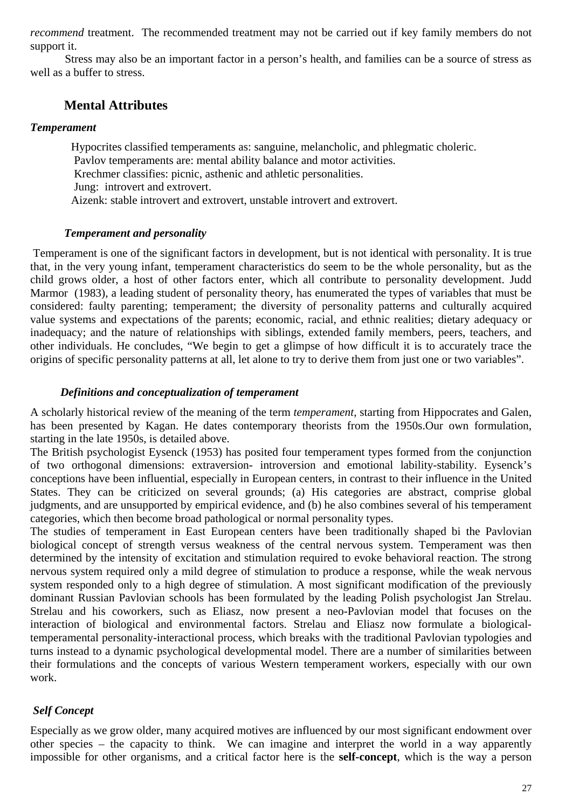*recommend* treatment. The recommended treatment may not be carried out if key family members do not support it.

Stress may also be an important factor in a person's health, and families can be a source of stress as well as a buffer to stress.

# **Mental Attributes**

# *Temperament*

Hypocrites classified temperaments as: sanguine, melancholic, and phlegmatic choleric. Pavlov temperaments are: mental ability balance and motor activities. Krechmer classifies: picnic, asthenic and athletic personalities. Jung: introvert and extrovert. Aizenk: stable introvert and extrovert, unstable introvert and extrovert.

# *Temperament and personality*

Temperament is one of the significant factors in development, but is not identical with personality. It is true that, in the very young infant, temperament characteristics do seem to be the whole personality, but as the child grows older, a host of other factors enter, which all contribute to personality development. Judd Marmor (1983), a leading student of personality theory, has enumerated the types of variables that must be considered: faulty parenting; temperament; the diversity of personality patterns and culturally acquired value systems and expectations of the parents; economic, racial, and ethnic realities; dietary adequacy or inadequacy; and the nature of relationships with siblings, extended family members, peers, teachers, and other individuals. He concludes, "We begin to get a glimpse of how difficult it is to accurately trace the origins of specific personality patterns at all, let alone to try to derive them from just one or two variables".

# *Definitions and conceptualization of temperament*

A scholarly historical review of the meaning of the term *temperament,* starting from Hippocrates and Galen, has been presented by Kagan. He dates contemporary theorists from the 1950s.Our own formulation, starting in the late 1950s, is detailed above.

The British psychologist Eysenck (1953) has posited four temperament types formed from the conjunction of two orthogonal dimensions: extraversion- introversion and emotional lability-stability. Eysenck's conceptions have been influential, especially in European centers, in contrast to their influence in the United States. They can be criticized on several grounds; (a) His categories are abstract, comprise global judgments, and are unsupported by empirical evidence, and (b) he also combines several of his temperament categories, which then become broad pathological or normal personality types.

The studies of temperament in East European centers have been traditionally shaped bi the Pavlovian biological concept of strength versus weakness of the central nervous system. Temperament was then determined by the intensity of excitation and stimulation required to evoke behavioral reaction. The strong nervous system required only a mild degree of stimulation to produce a response, while the weak nervous system responded only to a high degree of stimulation. A most significant modification of the previously dominant Russian Pavlovian schools has been formulated by the leading Polish psychologist Jan Strelau. Strelau and his coworkers, such as Eliasz, now present a neo-Pavlovian model that focuses on the interaction of biological and environmental factors. Strelau and Eliasz now formulate a biologicaltemperamental personality-interactional process, which breaks with the traditional Pavlovian typologies and turns instead to a dynamic psychological developmental model. There are a number of similarities between their formulations and the concepts of various Western temperament workers, especially with our own work.

# *Self Concept*

Especially as we grow older, many acquired motives are influenced by our most significant endowment over other species – the capacity to think. We can imagine and interpret the world in a way apparently impossible for other organisms, and a critical factor here is the **self-concept**, which is the way a person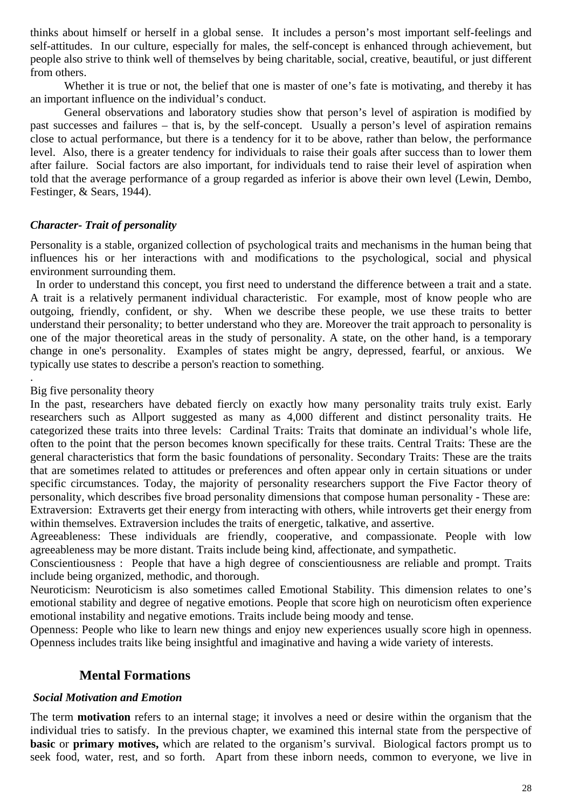thinks about himself or herself in a global sense. It includes a person's most important self-feelings and self-attitudes. In our culture, especially for males, the self-concept is enhanced through achievement, but people also strive to think well of themselves by being charitable, social, creative, beautiful, or just different from others.

Whether it is true or not, the belief that one is master of one's fate is motivating, and thereby it has an important influence on the individual's conduct.

General observations and laboratory studies show that person's level of aspiration is modified by past successes and failures – that is, by the self-concept. Usually a person's level of aspiration remains close to actual performance, but there is a tendency for it to be above, rather than below, the performance level. Also, there is a greater tendency for individuals to raise their goals after success than to lower them after failure. Social factors are also important, for individuals tend to raise their level of aspiration when told that the average performance of a group regarded as inferior is above their own level (Lewin, Dembo, Festinger, & Sears, 1944).

# *Character- Trait of personality*

Personality is a stable, organized collection of psychological traits and mechanisms in the human being that influences his or her interactions with and modifications to the psychological, social and physical environment surrounding them.

 In order to understand this concept, you first need to understand the difference between a trait and a state. A trait is a relatively permanent individual characteristic. For example, most of know people who are outgoing, friendly, confident, or shy. When we describe these people, we use these traits to better understand their personality; to better understand who they are. Moreover the trait approach to personality is one of the major theoretical areas in the study of personality. A state, on the other hand, is a temporary change in one's personality. Examples of states might be angry, depressed, fearful, or anxious. We typically use states to describe a person's reaction to something.

## Big five personality theory

.

In the past, researchers have debated fiercly on exactly how many personality traits truly exist. Early researchers such as Allport suggested as many as 4,000 different and distinct personality traits. He categorized these traits into three levels: Cardinal Traits: Traits that dominate an individual's whole life, often to the point that the person becomes known specifically for these traits. Central Traits: These are the general characteristics that form the basic foundations of personality. Secondary Traits: These are the traits that are sometimes related to attitudes or preferences and often appear only in certain situations or under specific circumstances. Today, the majority of personality researchers support the Five Factor theory of personality, which describes five broad personality dimensions that compose human personality - These are: Extraversion: Extraverts get their energy from interacting with others, while introverts get their energy from within themselves. Extraversion includes the traits of energetic, talkative, and assertive.

Agreeableness: These individuals are friendly, cooperative, and compassionate. People with low agreeableness may be more distant. Traits include being kind, affectionate, and sympathetic.

Conscientiousness : People that have a high degree of conscientiousness are reliable and prompt. Traits include being organized, methodic, and thorough.

Neuroticism: Neuroticism is also sometimes called Emotional Stability. This dimension relates to one's emotional stability and degree of negative emotions. People that score high on neuroticism often experience emotional instability and negative emotions. Traits include being moody and tense.

Openness: People who like to learn new things and enjoy new experiences usually score high in openness. Openness includes traits like being insightful and imaginative and having a wide variety of interests.

# **Mental Formations**

# *Social Motivation and Emotion*

The term **motivation** refers to an internal stage; it involves a need or desire within the organism that the individual tries to satisfy. In the previous chapter, we examined this internal state from the perspective of **basic** or **primary motives,** which are related to the organism's survival. Biological factors prompt us to seek food, water, rest, and so forth. Apart from these inborn needs, common to everyone, we live in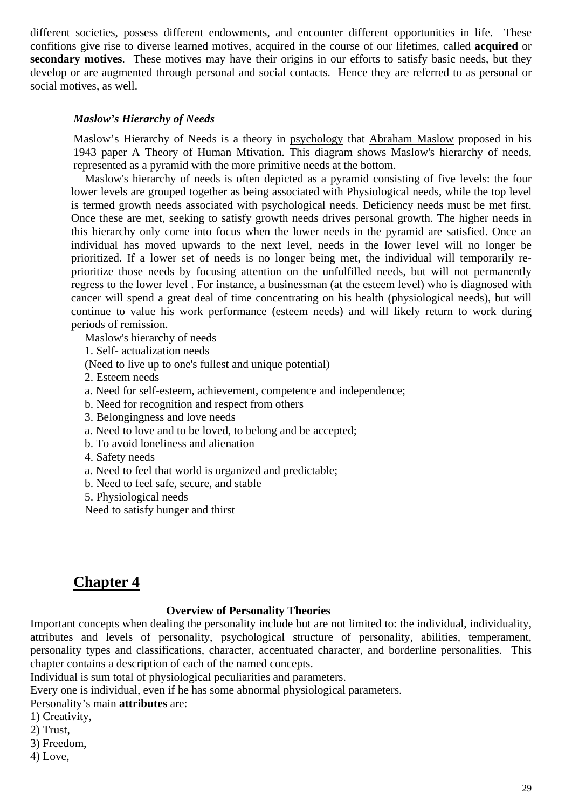different societies, possess different endowments, and encounter different opportunities in life. These confitions give rise to diverse learned motives, acquired in the course of our lifetimes, called **acquired** or **secondary motives**. These motives may have their origins in our efforts to satisfy basic needs, but they develop or are augmented through personal and social contacts. Hence they are referred to as personal or social motives, as well.

# *Maslow's Hierarchy of Needs*

Maslow's Hierarchy of Needs is a theory in [psychology](http://en.wikipedia.org/wiki/Psychology) that [Abraham Maslow](http://en.wikipedia.org/wiki/Abraham_Maslow) proposed in his [1943](http://en.wikipedia.org/wiki/1943) paper A Theory of Human Mtivation. This diagram shows Maslow's hierarchy of needs, represented as a pyramid with the more primitive needs at the bottom.

Maslow's hierarchy of needs is often depicted as a pyramid consisting of five levels: the four lower levels are grouped together as being associated with Physiological needs, while the top level is termed growth needs associated with psychological needs. Deficiency needs must be met first. Once these are met, seeking to satisfy growth needs drives personal growth. The higher needs in this hierarchy only come into focus when the lower needs in the pyramid are satisfied. Once an individual has moved upwards to the next level, needs in the lower level will no longer be prioritized. If a lower set of needs is no longer being met, the individual will temporarily reprioritize those needs by focusing attention on the unfulfilled needs, but will not permanently regress to the lower level . For instance, a businessman (at the esteem level) who is diagnosed with cancer will spend a great deal of time concentrating on his health (physiological needs), but will continue to value his work performance (esteem needs) and will likely return to work during periods of remission.

Maslow's hierarchy of needs

1. Self- actualization needs

(Need to live up to one's fullest and unique potential)

- 2. Esteem needs
- a. Need for self-esteem, achievement, competence and independence;
- b. Need for recognition and respect from others
- 3. Belongingness and love needs
- a. Need to love and to be loved, to belong and be accepted;
- b. To avoid loneliness and alienation
- 4. Safety needs
- a. Need to feel that world is organized and predictable;
- b. Need to feel safe, secure, and stable
- 5. Physiological needs

Need to satisfy hunger and thirst

# **Chapter 4**

## **Overview of Personality Theories**

Important concepts when dealing the personality include but are not limited to: the individual, individuality, attributes and levels of personality, psychological structure of personality, abilities, temperament, personality types and classifications, character, accentuated character, and borderline personalities. This chapter contains a description of each of the named concepts.

Individual is sum total of physiological peculiarities and parameters.

Every one is individual, even if he has some abnormal physiological parameters.

- Personality's main **attributes** are:
- 1) Creativity,
- 2) Trust,
- 3) Freedom,
- 4) Love,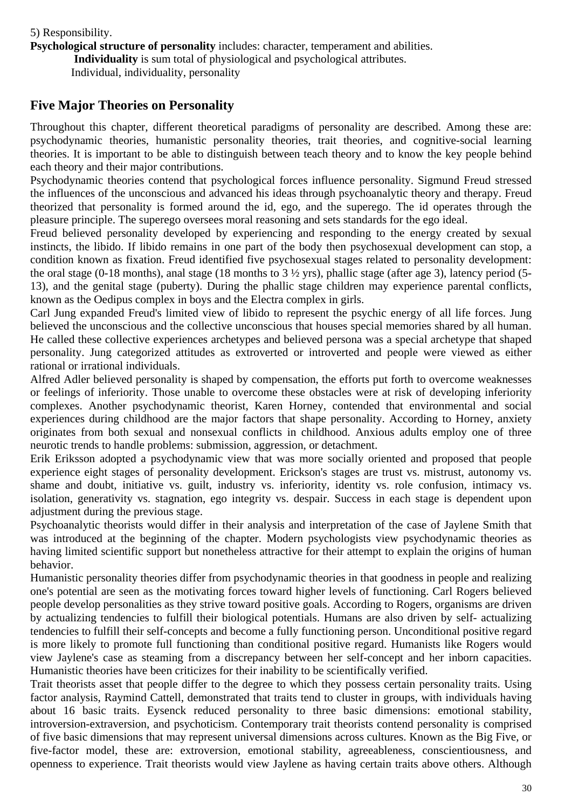5) Responsibility.

**Psychological structure of personality** includes: character, temperament and abilities.

**Individuality** is sum total of physiological and psychological attributes.

Individual, individuality, personality

# **Five Major Theories on Personality**

Throughout this chapter, different theoretical paradigms of personality are described. Among these are: psychodynamic theories, humanistic personality theories, trait theories, and cognitive-social learning theories. It is important to be able to distinguish between teach theory and to know the key people behind each theory and their major contributions.

Psychodynamic theories contend that psychological forces influence personality. Sigmund Freud stressed the influences of the unconscious and advanced his ideas through psychoanalytic theory and therapy. Freud theorized that personality is formed around the id, ego, and the superego. The id operates through the pleasure principle. The superego oversees moral reasoning and sets standards for the ego ideal.

Freud believed personality developed by experiencing and responding to the energy created by sexual instincts, the libido. If libido remains in one part of the body then psychosexual development can stop, a condition known as fixation. Freud identified five psychosexual stages related to personality development: the oral stage (0-18 months), anal stage (18 months to  $3\frac{1}{2}$  yrs), phallic stage (after age 3), latency period (5-13), and the genital stage (puberty). During the phallic stage children may experience parental conflicts, known as the Oedipus complex in boys and the Electra complex in girls.

Carl Jung expanded Freud's limited view of libido to represent the psychic energy of all life forces. Jung believed the unconscious and the collective unconscious that houses special memories shared by all human. He called these collective experiences archetypes and believed persona was a special archetype that shaped personality. Jung categorized attitudes as extroverted or introverted and people were viewed as either rational or irrational individuals.

Alfred Adler believed personality is shaped by compensation, the efforts put forth to overcome weaknesses or feelings of inferiority. Those unable to overcome these obstacles were at risk of developing inferiority complexes. Another psychodynamic theorist, Karen Horney, contended that environmental and social experiences during childhood are the major factors that shape personality. According to Horney, anxiety originates from both sexual and nonsexual conflicts in childhood. Anxious adults employ one of three neurotic trends to handle problems: submission, aggression, or detachment.

Erik Eriksson adopted a psychodynamic view that was more socially oriented and proposed that people experience eight stages of personality development. Erickson's stages are trust vs. mistrust, autonomy vs. shame and doubt, initiative vs. guilt, industry vs. inferiority, identity vs. role confusion, intimacy vs. isolation, generativity vs. stagnation, ego integrity vs. despair. Success in each stage is dependent upon adjustment during the previous stage.

Psychoanalytic theorists would differ in their analysis and interpretation of the case of Jaylene Smith that was introduced at the beginning of the chapter. Modern psychologists view psychodynamic theories as having limited scientific support but nonetheless attractive for their attempt to explain the origins of human behavior.

Humanistic personality theories differ from psychodynamic theories in that goodness in people and realizing one's potential are seen as the motivating forces toward higher levels of functioning. Carl Rogers believed people develop personalities as they strive toward positive goals. According to Rogers, organisms are driven by actualizing tendencies to fulfill their biological potentials. Humans are also driven by self- actualizing tendencies to fulfill their self-concepts and become a fully functioning person. Unconditional positive regard is more likely to promote full functioning than conditional positive regard. Humanists like Rogers would view Jaylene's case as steaming from a discrepancy between her self-concept and her inborn capacities. Humanistic theories have been criticizes for their inability to be scientifically verified.

Trait theorists asset that people differ to the degree to which they possess certain personality traits. Using factor analysis, Raymind Cattell, demonstrated that traits tend to cluster in groups, with individuals having about 16 basic traits. Eysenck reduced personality to three basic dimensions: emotional stability, introversion-extraversion, and psychoticism. Contemporary trait theorists contend personality is comprised of five basic dimensions that may represent universal dimensions across cultures. Known as the Big Five, or five-factor model, these are: extroversion, emotional stability, agreeableness, conscientiousness, and openness to experience. Trait theorists would view Jaylene as having certain traits above others. Although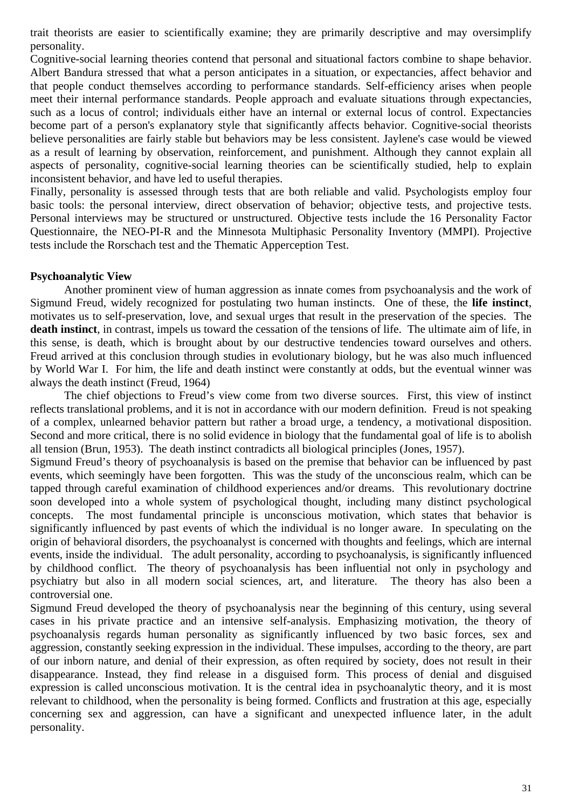trait theorists are easier to scientifically examine; they are primarily descriptive and may oversimplify personality.

Cognitive-social learning theories contend that personal and situational factors combine to shape behavior. Albert Bandura stressed that what a person anticipates in a situation, or expectancies, affect behavior and that people conduct themselves according to performance standards. Self-efficiency arises when people meet their internal performance standards. People approach and evaluate situations through expectancies, such as a locus of control; individuals either have an internal or external locus of control. Expectancies become part of a person's explanatory style that significantly affects behavior. Cognitive-social theorists believe personalities are fairly stable but behaviors may be less consistent. Jaylene's case would be viewed as a result of learning by observation, reinforcement, and punishment. Although they cannot explain all aspects of personality, cognitive-social learning theories can be scientifically studied, help to explain inconsistent behavior, and have led to useful therapies.

Finally, personality is assessed through tests that are both reliable and valid. Psychologists employ four basic tools: the personal interview, direct observation of behavior; objective tests, and projective tests. Personal interviews may be structured or unstructured. Objective tests include the 16 Personality Factor Questionnaire, the NEO-PI-R and the Minnesota Multiphasic Personality Inventory (MMPI). Projective tests include the Rorschach test and the Thematic Apperception Test.

## **Psychoanalytic View**

Another prominent view of human aggression as innate comes from psychoanalysis and the work of Sigmund Freud, widely recognized for postulating two human instincts. One of these, the **life instinct**, motivates us to self-preservation, love, and sexual urges that result in the preservation of the species. The **death instinct**, in contrast, impels us toward the cessation of the tensions of life. The ultimate aim of life, in this sense, is death, which is brought about by our destructive tendencies toward ourselves and others. Freud arrived at this conclusion through studies in evolutionary biology, but he was also much influenced by World War I. For him, the life and death instinct were constantly at odds, but the eventual winner was always the death instinct (Freud, 1964)

The chief objections to Freud's view come from two diverse sources. First, this view of instinct reflects translational problems, and it is not in accordance with our modern definition. Freud is not speaking of a complex, unlearned behavior pattern but rather a broad urge, a tendency, a motivational disposition. Second and more critical, there is no solid evidence in biology that the fundamental goal of life is to abolish all tension (Brun, 1953). The death instinct contradicts all biological principles (Jones, 1957).

Sigmund Freud's theory of psychoanalysis is based on the premise that behavior can be influenced by past events, which seemingly have been forgotten. This was the study of the unconscious realm, which can be tapped through careful examination of childhood experiences and/or dreams. This revolutionary doctrine soon developed into a whole system of psychological thought, including many distinct psychological concepts. The most fundamental principle is unconscious motivation, which states that behavior is significantly influenced by past events of which the individual is no longer aware. In speculating on the origin of behavioral disorders, the psychoanalyst is concerned with thoughts and feelings, which are internal events, inside the individual. The adult personality, according to psychoanalysis, is significantly influenced by childhood conflict. The theory of psychoanalysis has been influential not only in psychology and psychiatry but also in all modern social sciences, art, and literature. The theory has also been a controversial one.

Sigmund Freud developed the theory of psychoanalysis near the beginning of this century, using several cases in his private practice and an intensive self-analysis. Emphasizing motivation, the theory of psychoanalysis regards human personality as significantly influenced by two basic forces, sex and aggression, constantly seeking expression in the individual. These impulses, according to the theory, are part of our inborn nature, and denial of their expression, as often required by society, does not result in their disappearance. Instead, they find release in a disguised form. This process of denial and disguised expression is called unconscious motivation. It is the central idea in psychoanalytic theory, and it is most relevant to childhood, when the personality is being formed. Conflicts and frustration at this age, especially concerning sex and aggression, can have a significant and unexpected influence later, in the adult personality.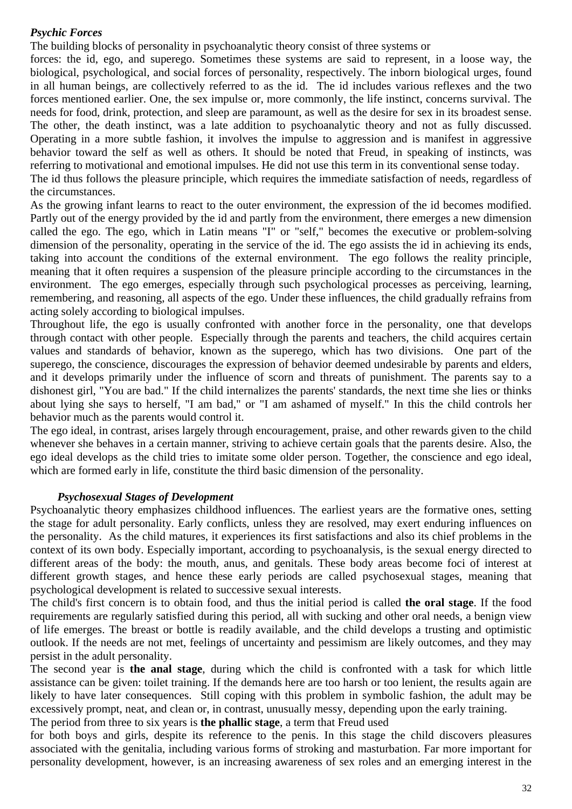# *Psychic Forces*

The building blocks of personality in psychoanalytic theory consist of three systems or

forces: the id, ego, and superego. Sometimes these systems are said to represent, in a loose way, the biological, psychological, and social forces of personality, respectively. The inborn biological urges, found in all human beings, are collectively referred to as the id. The id includes various reflexes and the two forces mentioned earlier. One, the sex impulse or, more commonly, the life instinct, concerns survival. The needs for food, drink, protection, and sleep are paramount, as well as the desire for sex in its broadest sense. The other, the death instinct, was a late addition to psychoanalytic theory and not as fully discussed. Operating in a more subtle fashion, it involves the impulse to aggression and is manifest in aggressive behavior toward the self as well as others. It should be noted that Freud, in speaking of instincts, was referring to motivational and emotional impulses. He did not use this term in its conventional sense today. The id thus follows the pleasure principle, which requires the immediate satisfaction of needs, regardless of

the circumstances.

As the growing infant learns to react to the outer environment, the expression of the id becomes modified. Partly out of the energy provided by the id and partly from the environment, there emerges a new dimension called the ego. The ego, which in Latin means "I" or "self," becomes the executive or problem-solving dimension of the personality, operating in the service of the id. The ego assists the id in achieving its ends, taking into account the conditions of the external environment. The ego follows the reality principle, meaning that it often requires a suspension of the pleasure principle according to the circumstances in the environment. The ego emerges, especially through such psychological processes as perceiving, learning, remembering, and reasoning, all aspects of the ego. Under these influences, the child gradually refrains from acting solely according to biological impulses.

Throughout life, the ego is usually confronted with another force in the personality, one that develops through contact with other people. Especially through the parents and teachers, the child acquires certain values and standards of behavior, known as the superego, which has two divisions. One part of the superego, the conscience, discourages the expression of behavior deemed undesirable by parents and elders, and it develops primarily under the influence of scorn and threats of punishment. The parents say to a dishonest girl, "You are bad." If the child internalizes the parents' standards, the next time she lies or thinks about lying she says to herself, "I am bad," or "I am ashamed of myself." In this the child controls her behavior much as the parents would control it.

The ego ideal, in contrast, arises largely through encouragement, praise, and other rewards given to the child whenever she behaves in a certain manner, striving to achieve certain goals that the parents desire. Also, the ego ideal develops as the child tries to imitate some older person. Together, the conscience and ego ideal, which are formed early in life, constitute the third basic dimension of the personality.

## *Psychosexual Stages of Development*

Psychoanalytic theory emphasizes childhood influences. The earliest years are the formative ones, setting the stage for adult personality. Early conflicts, unless they are resolved, may exert enduring influences on the personality. As the child matures, it experiences its first satisfactions and also its chief problems in the context of its own body. Especially important, according to psychoanalysis, is the sexual energy directed to different areas of the body: the mouth, anus, and genitals. These body areas become foci of interest at different growth stages, and hence these early periods are called psychosexual stages, meaning that psychological development is related to successive sexual interests.

The child's first concern is to obtain food, and thus the initial period is called **the oral stage**. If the food requirements are regularly satisfied during this period, all with sucking and other oral needs, a benign view of life emerges. The breast or bottle is readily available, and the child develops a trusting and optimistic outlook. If the needs are not met, feelings of uncertainty and pessimism are likely outcomes, and they may persist in the adult personality.

The second year is **the anal stage**, during which the child is confronted with a task for which little assistance can be given: toilet training. If the demands here are too harsh or too lenient, the results again are likely to have later consequences. Still coping with this problem in symbolic fashion, the adult may be excessively prompt, neat, and clean or, in contrast, unusually messy, depending upon the early training. The period from three to six years is **the phallic stage**, a term that Freud used

for both boys and girls, despite its reference to the penis. In this stage the child discovers pleasures associated with the genitalia, including various forms of stroking and masturbation. Far more important for personality development, however, is an increasing awareness of sex roles and an emerging interest in the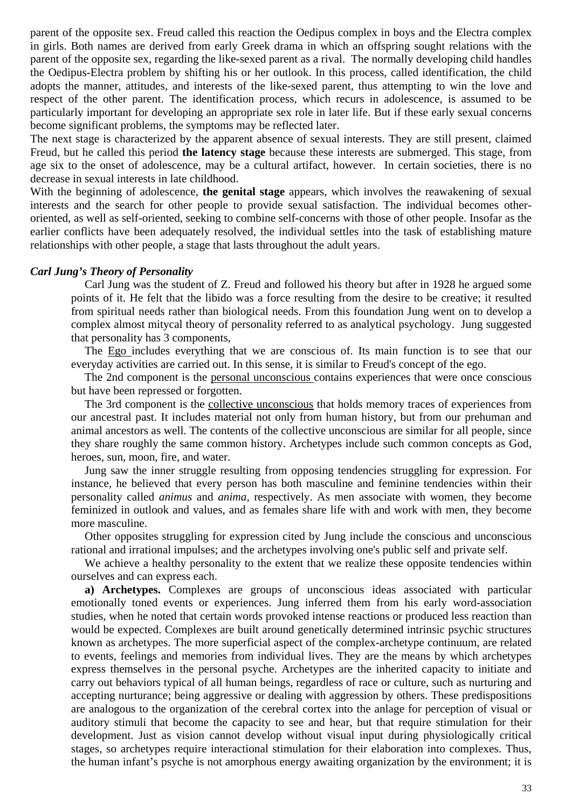parent of the opposite sex. Freud called this reaction the Oedipus complex in boys and the Electra complex in girls. Both names are derived from early Greek drama in which an offspring sought relations with the parent of the opposite sex, regarding the like-sexed parent as a rival. The normally developing child handles the Oedipus-Electra problem by shifting his or her outlook. In this process, called identification, the child adopts the manner, attitudes, and interests of the like-sexed parent, thus attempting to win the love and respect of the other parent. The identification process, which recurs in adolescence, is assumed to be particularly important for developing an appropriate sex role in later life. But if these early sexual concerns become significant problems, the symptoms may be reflected later.

The next stage is characterized by the apparent absence of sexual interests. They are still present, claimed Freud, but he called this period **the latency stage** because these interests are submerged. This stage, from age six to the onset of adolescence, may be a cultural artifact, however. In certain societies, there is no decrease in sexual interests in late childhood.

With the beginning of adolescence, **the genital stage** appears, which involves the reawakening of sexual interests and the search for other people to provide sexual satisfaction. The individual becomes otheroriented, as well as self-oriented, seeking to combine self-concerns with those of other people. Insofar as the earlier conflicts have been adequately resolved, the individual settles into the task of establishing mature relationships with other people, a stage that lasts throughout the adult years.

### *Carl Jung's Theory of Personality*

Carl Jung was the student of Z. Freud and followed his theory but after in 1928 he argued some points of it. He felt that the libido was a force resulting from the desire to be creative; it resulted from spiritual needs rather than biological needs. From this foundation Jung went on to develop a complex almost mitycal theory of personality referred to as analytical psychology. Jung suggested that personality has 3 components,

The Ego includes everything that we are conscious of. Its main function is to see that our everyday activities are carried out. In this sense, it is similar to Freud's concept of the ego.

The 2nd component is the personal unconscious contains experiences that were once conscious but have been repressed or forgotten.

The 3rd component is the collective unconscious that holds memory traces of experiences from our ancestral past. It includes material not only from human history, but from our prehuman and animal ancestors as well. The contents of the collective unconscious are similar for all people, since they share roughly the same common history. Archetypes include such common concepts as God, heroes, sun, moon, fire, and water.

Jung saw the inner struggle resulting from opposing tendencies struggling for expression. For instance, he believed that every person has both masculine and feminine tendencies within their personality called *animus* and *anima,* respectively. As men associate with women, they become feminized in outlook and values, and as females share life with and work with men, they become more masculine.

Other opposites struggling for expression cited by Jung include the conscious and unconscious rational and irrational impulses; and the archetypes involving one's public self and private self.

We achieve a healthy personality to the extent that we realize these opposite tendencies within ourselves and can express each.

**a) Archetypes.** Complexes are groups of unconscious ideas associated with particular emotionally toned events or experiences. Jung inferred them from his early word-association studies, when he noted that certain words provoked intense reactions or produced less reaction than would be expected. Complexes are built around genetically determined intrinsic psychic structures known as archetypes. The more superficial aspect of the complex-archetype continuum, are related to events, feelings and memories from individual lives. They are the means by which archetypes express themselves in the personal psyche. Archetypes are the inherited capacity to initiate and carry out behaviors typical of all human beings, regardless of race or culture, such as nurturing and accepting nurturance; being aggressive or dealing with aggression by others. These predispositions are analogous to the organization of the cerebral cortex into the anlage for perception of visual or auditory stimuli that become the capacity to see and hear, but that require stimulation for their development. Just as vision cannot develop without visual input during physiologically critical stages, so archetypes require interactional stimulation for their elaboration into complexes. Thus, the human infant's psyche is not amorphous energy awaiting organization by the environment; it is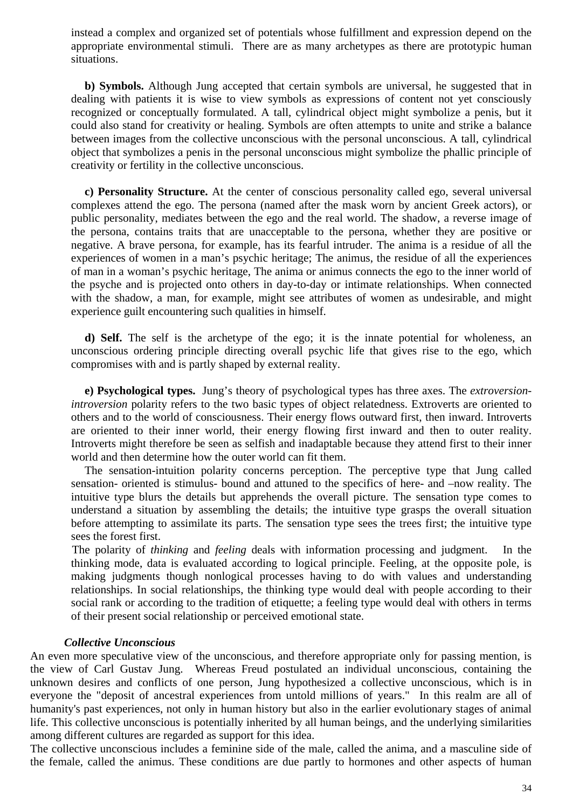instead a complex and organized set of potentials whose fulfillment and expression depend on the appropriate environmental stimuli. There are as many archetypes as there are prototypic human situations.

**b) Symbols.** Although Jung accepted that certain symbols are universal, he suggested that in dealing with patients it is wise to view symbols as expressions of content not yet consciously recognized or conceptually formulated. A tall, cylindrical object might symbolize a penis, but it could also stand for creativity or healing. Symbols are often attempts to unite and strike a balance between images from the collective unconscious with the personal unconscious. A tall, cylindrical object that symbolizes a penis in the personal unconscious might symbolize the phallic principle of creativity or fertility in the collective unconscious.

**c) Personality Structure.** At the center of conscious personality called ego, several universal complexes attend the ego. The persona (named after the mask worn by ancient Greek actors), or public personality, mediates between the ego and the real world. The shadow, a reverse image of the persona, contains traits that are unacceptable to the persona, whether they are positive or negative. A brave persona, for example, has its fearful intruder. The anima is a residue of all the experiences of women in a man's psychic heritage; The animus, the residue of all the experiences of man in a woman's psychic heritage, The anima or animus connects the ego to the inner world of the psyche and is projected onto others in day-to-day or intimate relationships. When connected with the shadow, a man, for example, might see attributes of women as undesirable, and might experience guilt encountering such qualities in himself.

**d) Self.** The self is the archetype of the ego; it is the innate potential for wholeness, an unconscious ordering principle directing overall psychic life that gives rise to the ego, which compromises with and is partly shaped by external reality.

**e) Psychological types.** Jung's theory of psychological types has three axes. The *extroversionintroversion* polarity refers to the two basic types of object relatedness. Extroverts are oriented to others and to the world of consciousness. Their energy flows outward first, then inward. Introverts are oriented to their inner world, their energy flowing first inward and then to outer reality. Introverts might therefore be seen as selfish and inadaptable because they attend first to their inner world and then determine how the outer world can fit them.

The sensation-intuition polarity concerns perception. The perceptive type that Jung called sensation- oriented is stimulus- bound and attuned to the specifics of here- and –now reality. The intuitive type blurs the details but apprehends the overall picture. The sensation type comes to understand a situation by assembling the details; the intuitive type grasps the overall situation before attempting to assimilate its parts. The sensation type sees the trees first; the intuitive type sees the forest first.

The polarity of *thinking* and *feeling* deals with information processing and judgment. In the thinking mode, data is evaluated according to logical principle. Feeling, at the opposite pole, is making judgments though nonlogical processes having to do with values and understanding relationships. In social relationships, the thinking type would deal with people according to their social rank or according to the tradition of etiquette; a feeling type would deal with others in terms of their present social relationship or perceived emotional state.

### *Collective Unconscious*

An even more speculative view of the unconscious, and therefore appropriate only for passing mention, is the view of Carl Gustav Jung. Whereas Freud postulated an individual unconscious, containing the unknown desires and conflicts of one person, Jung hypothesized a collective unconscious, which is in everyone the "deposit of ancestral experiences from untold millions of years." In this realm are all of humanity's past experiences, not only in human history but also in the earlier evolutionary stages of animal life. This collective unconscious is potentially inherited by all human beings, and the underlying similarities among different cultures are regarded as support for this idea.

The collective unconscious includes a feminine side of the male, called the anima, and a masculine side of the female, called the animus. These conditions are due partly to hormones and other aspects of human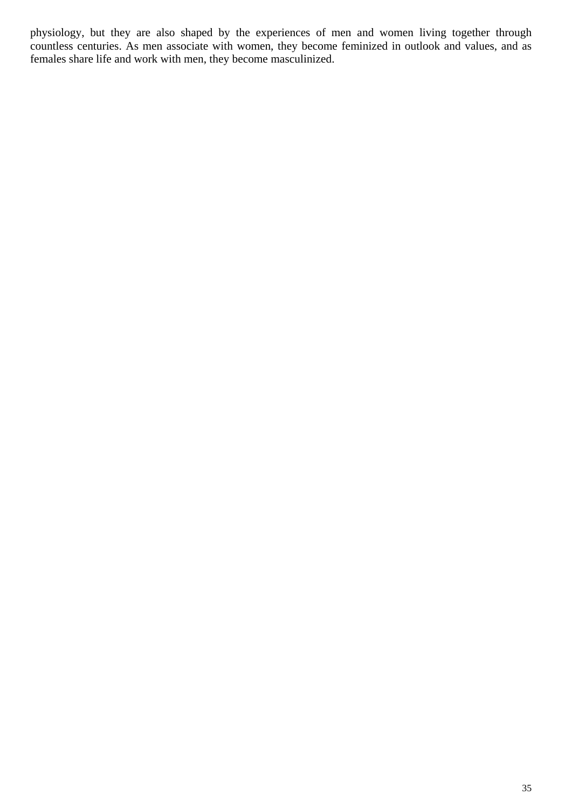physiology, but they are also shaped by the experiences of men and women living together through countless centuries. As men associate with women, they become feminized in outlook and values, and as females share life and work with men, they become masculinized.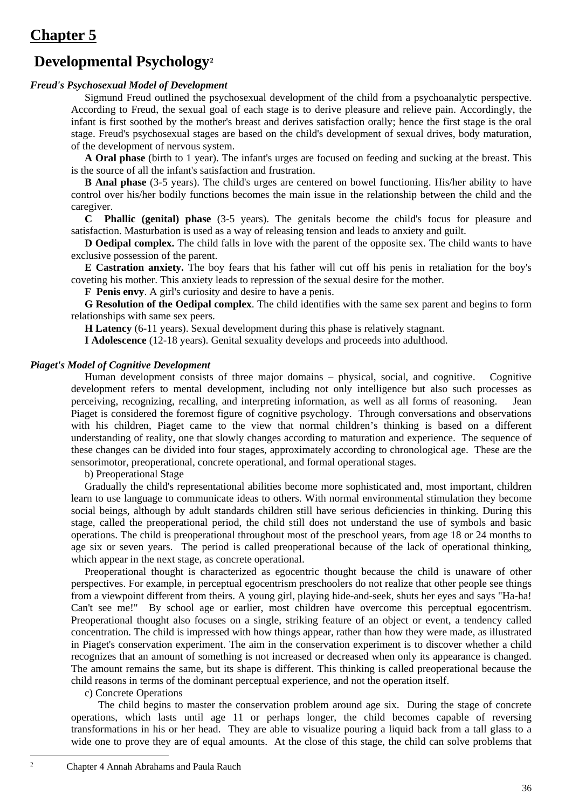# **Developmental Psychology[2](#page-35-0)**

## *Freud's Psychosexual Model of Development*

Sigmund Freud outlined the psychosexual development of the child from a psychoanalytic perspective. According to Freud, the sexual goal of each stage is to derive pleasure and relieve pain. Accordingly, the infant is first soothed by the mother's breast and derives satisfaction orally; hence the first stage is the oral stage. Freud's psychosexual stages are based on the child's development of sexual drives, body maturation, of the development of nervous system.

**A Oral phase** (birth to 1 year). The infant's urges are focused on feeding and sucking at the breast. This is the source of all the infant's satisfaction and frustration.

**B Anal phase** (3-5 years). The child's urges are centered on bowel functioning. His/her ability to have control over his/her bodily functions becomes the main issue in the relationship between the child and the caregiver.

**C Phallic (genital) phase** (3-5 years). The genitals become the child's focus for pleasure and satisfaction. Masturbation is used as a way of releasing tension and leads to anxiety and guilt.

**D Oedipal complex.** The child falls in love with the parent of the opposite sex. The child wants to have exclusive possession of the parent.

**E Castration anxiety.** The boy fears that his father will cut off his penis in retaliation for the boy's coveting his mother. This anxiety leads to repression of the sexual desire for the mother.

**F Penis envy**. A girl's curiosity and desire to have a penis.

**G Resolution of the Oedipal complex**. The child identifies with the same sex parent and begins to form relationships with same sex peers.

**H Latency** (6-11 years). Sexual development during this phase is relatively stagnant.

**I Adolescence** (12-18 years). Genital sexuality develops and proceeds into adulthood.

## *Piaget's Model of Cognitive Development*

Human development consists of three major domains – physical, social, and cognitive. Cognitive development refers to mental development, including not only intelligence but also such processes as perceiving, recognizing, recalling, and interpreting information, as well as all forms of reasoning. Jean Piaget is considered the foremost figure of cognitive psychology. Through conversations and observations with his children, Piaget came to the view that normal children's thinking is based on a different understanding of reality, one that slowly changes according to maturation and experience. The sequence of these changes can be divided into four stages, approximately according to chronological age. These are the sensorimotor, preoperational, concrete operational, and formal operational stages.

b) Preoperational Stage

Gradually the child's representational abilities become more sophisticated and, most important, children learn to use language to communicate ideas to others. With normal environmental stimulation they become social beings, although by adult standards children still have serious deficiencies in thinking. During this stage, called the preoperational period, the child still does not understand the use of symbols and basic operations. The child is preoperational throughout most of the preschool years, from age 18 or 24 months to age six or seven years. The period is called preoperational because of the lack of operational thinking, which appear in the next stage, as concrete operational.

Preoperational thought is characterized as egocentric thought because the child is unaware of other perspectives. For example, in perceptual egocentrism preschoolers do not realize that other people see things from a viewpoint different from theirs. A young girl, playing hide-and-seek, shuts her eyes and says "Ha-ha! Can't see me!" By school age or earlier, most children have overcome this perceptual egocentrism. Preoperational thought also focuses on a single, striking feature of an object or event, a tendency called concentration. The child is impressed with how things appear, rather than how they were made, as illustrated in Piaget's conservation experiment. The aim in the conservation experiment is to discover whether a child recognizes that an amount of something is not increased or decreased when only its appearance is changed. The amount remains the same, but its shape is different. This thinking is called preoperational because the child reasons in terms of the dominant perceptual experience, and not the operation itself.

c) Concrete Operations

The child begins to master the conservation problem around age six. During the stage of concrete operations, which lasts until age 11 or perhaps longer, the child becomes capable of reversing transformations in his or her head. They are able to visualize pouring a liquid back from a tall glass to a wide one to prove they are of equal amounts. At the close of this stage, the child can solve problems that

<span id="page-35-0"></span> <sup>2</sup> Chapter 4 Annah Abrahams and Paula Rauch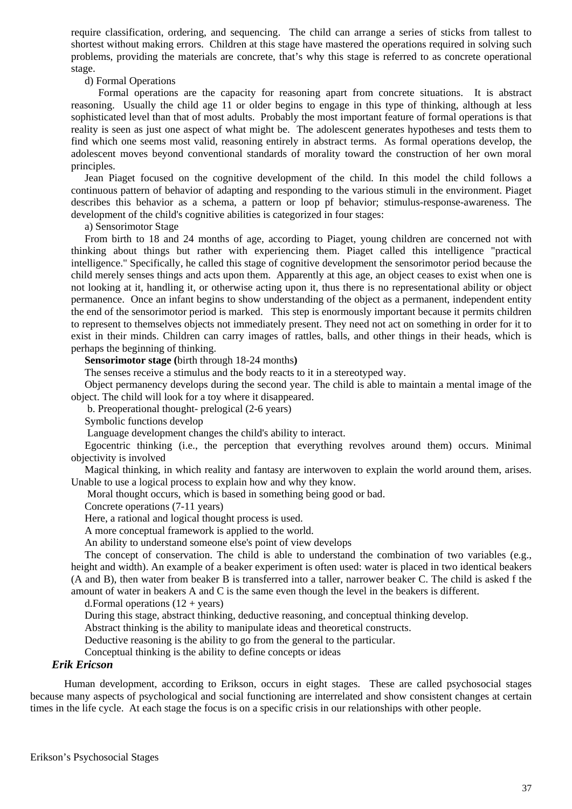require classification, ordering, and sequencing. The child can arrange a series of sticks from tallest to shortest without making errors. Children at this stage have mastered the operations required in solving such problems, providing the materials are concrete, that's why this stage is referred to as concrete operational stage.

### d) Formal Operations

Formal operations are the capacity for reasoning apart from concrete situations. It is abstract reasoning. Usually the child age 11 or older begins to engage in this type of thinking, although at less sophisticated level than that of most adults. Probably the most important feature of formal operations is that reality is seen as just one aspect of what might be. The adolescent generates hypotheses and tests them to find which one seems most valid, reasoning entirely in abstract terms. As formal operations develop, the adolescent moves beyond conventional standards of morality toward the construction of her own moral principles.

Jean Piaget focused on the cognitive development of the child. In this model the child follows a continuous pattern of behavior of adapting and responding to the various stimuli in the environment. Piaget describes this behavior as a schema, a pattern or loop pf behavior; stimulus-response-awareness. The development of the child's cognitive abilities is categorized in four stages:

a) Sensorimotor Stage

From birth to 18 and 24 months of age, according to Piaget, young children are concerned not with thinking about things but rather with experiencing them. Piaget called this intelligence "practical intelligence." Specifically, he called this stage of cognitive development the sensorimotor period because the child merely senses things and acts upon them. Apparently at this age, an object ceases to exist when one is not looking at it, handling it, or otherwise acting upon it, thus there is no representational ability or object permanence. Once an infant begins to show understanding of the object as a permanent, independent entity the end of the sensorimotor period is marked. This step is enormously important because it permits children to represent to themselves objects not immediately present. They need not act on something in order for it to exist in their minds. Children can carry images of rattles, balls, and other things in their heads, which is perhaps the beginning of thinking.

**Sensorimotor stage (**birth through 18-24 months**)**

The senses receive a stimulus and the body reacts to it in a stereotyped way.

Object permanency develops during the second year. The child is able to maintain a mental image of the object. The child will look for a toy where it disappeared.

b. Preoperational thought- prelogical (2-6 years)

Symbolic functions develop

Language development changes the child's ability to interact.

Egocentric thinking (i.e., the perception that everything revolves around them) occurs. Minimal objectivity is involved

Magical thinking, in which reality and fantasy are interwoven to explain the world around them, arises. Unable to use a logical process to explain how and why they know.

Moral thought occurs, which is based in something being good or bad.

Concrete operations (7-11 years)

Here, a rational and logical thought process is used.

A more conceptual framework is applied to the world.

An ability to understand someone else's point of view develops

The concept of conservation. The child is able to understand the combination of two variables (e.g., height and width). An example of a beaker experiment is often used: water is placed in two identical beakers (A and B), then water from beaker B is transferred into a taller, narrower beaker C. The child is asked f the amount of water in beakers A and C is the same even though the level in the beakers is different.

d. Formal operations  $(12 + \text{years})$ 

During this stage, abstract thinking, deductive reasoning, and conceptual thinking develop.

Abstract thinking is the ability to manipulate ideas and theoretical constructs.

Deductive reasoning is the ability to go from the general to the particular.

Conceptual thinking is the ability to define concepts or ideas

# *Erik Ericson*

Human development, according to Erikson, occurs in eight stages. These are called psychosocial stages because many aspects of psychological and social functioning are interrelated and show consistent changes at certain times in the life cycle. At each stage the focus is on a specific crisis in our relationships with other people.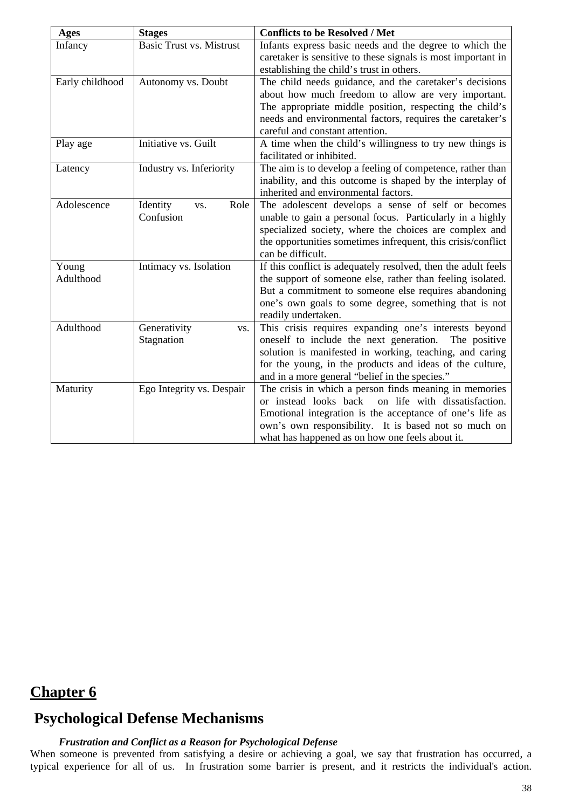| <b>Ages</b>     | <b>Stages</b>             | <b>Conflicts to be Resolved / Met</b>                                                                            |
|-----------------|---------------------------|------------------------------------------------------------------------------------------------------------------|
| Infancy         | Basic Trust vs. Mistrust  | Infants express basic needs and the degree to which the                                                          |
|                 |                           | caretaker is sensitive to these signals is most important in                                                     |
|                 |                           | establishing the child's trust in others.                                                                        |
| Early childhood | Autonomy vs. Doubt        | The child needs guidance, and the caretaker's decisions                                                          |
|                 |                           | about how much freedom to allow are very important.                                                              |
|                 |                           | The appropriate middle position, respecting the child's                                                          |
|                 |                           | needs and environmental factors, requires the caretaker's                                                        |
|                 |                           | careful and constant attention.                                                                                  |
| Play age        | Initiative vs. Guilt      | A time when the child's willingness to try new things is                                                         |
|                 |                           | facilitated or inhibited.                                                                                        |
| Latency         | Industry vs. Inferiority  | The aim is to develop a feeling of competence, rather than                                                       |
|                 |                           | inability, and this outcome is shaped by the interplay of                                                        |
|                 |                           | inherited and environmental factors.                                                                             |
| Adolescence     | Identity<br>Role<br>VS.   | The adolescent develops a sense of self or becomes                                                               |
|                 | Confusion                 | unable to gain a personal focus. Particularly in a highly                                                        |
|                 |                           | specialized society, where the choices are complex and                                                           |
|                 |                           | the opportunities sometimes infrequent, this crisis/conflict                                                     |
|                 |                           | can be difficult.                                                                                                |
| Young           | Intimacy vs. Isolation    | If this conflict is adequately resolved, then the adult feels                                                    |
| Adulthood       |                           | the support of someone else, rather than feeling isolated.                                                       |
|                 |                           | But a commitment to someone else requires abandoning                                                             |
|                 |                           | one's own goals to some degree, something that is not                                                            |
|                 |                           | readily undertaken.                                                                                              |
| Adulthood       | Generativity<br>VS.       | This crisis requires expanding one's interests beyond                                                            |
|                 | Stagnation                | oneself to include the next generation.<br>The positive                                                          |
|                 |                           | solution is manifested in working, teaching, and caring                                                          |
|                 |                           | for the young, in the products and ideas of the culture,                                                         |
|                 |                           | and in a more general "belief in the species."                                                                   |
| Maturity        | Ego Integrity vs. Despair | The crisis in which a person finds meaning in memories<br>on life with dissatisfaction.                          |
|                 |                           | or instead looks back                                                                                            |
|                 |                           | Emotional integration is the acceptance of one's life as<br>own's own responsibility. It is based not so much on |
|                 |                           |                                                                                                                  |
|                 |                           | what has happened as on how one feels about it.                                                                  |

# **Chapter 6**

# **Psychological Defense Mechanisms**

# *Frustration and Conflict as a Reason for Psychological Defense*

When someone is prevented from satisfying a desire or achieving a goal, we say that frustration has occurred, a typical experience for all of us. In frustration some barrier is present, and it restricts the individual's action.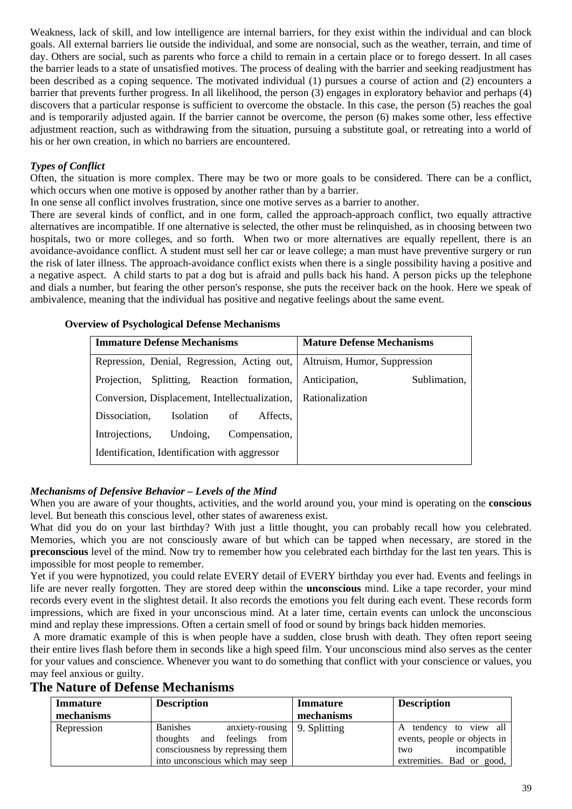Weakness, lack of skill, and low intelligence are internal barriers, for they exist within the individual and can block goals. All external barriers lie outside the individual, and some are nonsocial, such as the weather, terrain, and time of day. Others are social, such as parents who force a child to remain in a certain place or to forego dessert. In all cases the barrier leads to a state of unsatisfied motives. The process of dealing with the barrier and seeking readjustment has been described as a coping sequence. The motivated individual (1) pursues a course of action and (2) encounters a barrier that prevents further progress. In all likelihood, the person (3) engages in exploratory behavior and perhaps (4) discovers that a particular response is sufficient to overcome the obstacle. In this case, the person (5) reaches the goal and is temporarily adjusted again. If the barrier cannot be overcome, the person (6) makes some other, less effective adjustment reaction, such as withdrawing from the situation, pursuing a substitute goal, or retreating into a world of his or her own creation, in which no barriers are encountered.

## *Types of Conflict*

Often, the situation is more complex. There may be two or more goals to be considered. There can be a conflict, which occurs when one motive is opposed by another rather than by a barrier.

In one sense all conflict involves frustration, since one motive serves as a barrier to another.

There are several kinds of conflict, and in one form, called the approach-approach conflict, two equally attractive alternatives are incompatible. If one alternative is selected, the other must be relinquished, as in choosing between two hospitals, two or more colleges, and so forth. When two or more alternatives are equally repellent, there is an avoidance-avoidance conflict. A student must sell her car or leave college; a man must have preventive surgery or run the risk of later illness. The approach-avoidance conflict exists when there is a single possibility having a positive and a negative aspect. A child starts to pat a dog but is afraid and pulls back his hand. A person picks up the telephone and dials a number, but fearing the other person's response, she puts the receiver back on the hook. Here we speak of ambivalence, meaning that the individual has positive and negative feelings about the same event.

### **Overview of Psychological Defense Mechanisms**

| <b>Immature Defense Mechanisms</b>                                       | <b>Mature Defense Mechanisms</b> |
|--------------------------------------------------------------------------|----------------------------------|
| Repression, Denial, Regression, Acting out, Altruism, Humor, Suppression |                                  |
| Splitting, Reaction formation,<br>Projection,                            | Sublimation,<br>Anticipation,    |
| Conversion, Displacement, Intellectualization,                           | Rationalization                  |
| Dissociation,<br>Isolation<br>of<br>Affects.                             |                                  |
| Introjections,<br>Undoing,<br>Compensation,                              |                                  |
| Identification, Identification with aggressor                            |                                  |

## *Mechanisms of Defensive Behavior – Levels of the Mind*

When you are aware of your thoughts, activities, and the world around you, your mind is operating on the **conscious**  level. But beneath this conscious level, other states of awareness exist.

What did you do on your last birthday? With just a little thought, you can probably recall how you celebrated. Memories, which you are not consciously aware of but which can be tapped when necessary, are stored in the **preconscious** level of the mind. Now try to remember how you celebrated each birthday for the last ten years. This is impossible for most people to remember.

Yet if you were hypnotized, you could relate EVERY detail of EVERY birthday you ever had. Events and feelings in life are never really forgotten. They are stored deep within the **unconscious** mind. Like a tape recorder, your mind records every event in the slightest detail. It also records the emotions you felt during each event. These records form impressions, which are fixed in your unconscious mind. At a later time, certain events can unlock the unconscious mind and replay these impressions. Often a certain smell of food or sound by brings back hidden memories.

A more dramatic example of this is when people have a sudden, close brush with death. They often report seeing their entire lives flash before them in seconds like a high speed film. Your unconscious mind also serves as the center for your values and conscience. Whenever you want to do something that conflict with your conscience or values, you may feel anxious or guilty.

# **The Nature of Defense Mechanisms**

| Immature   | <b>Description</b>                                                                                                                                              | Immature   | <b>Description</b>                                                                                            |
|------------|-----------------------------------------------------------------------------------------------------------------------------------------------------------------|------------|---------------------------------------------------------------------------------------------------------------|
| mechanisms |                                                                                                                                                                 | mechanisms |                                                                                                               |
| Repression | <b>Banishes</b><br>anxiety-rousing $\vert$ 9. Splitting<br>and feelings from<br>thoughts<br>consciousness by repressing them<br>into unconscious which may seep |            | tendency to view all<br>A<br>events, people or objects in<br>incompatible<br>two<br>extremities. Bad or good, |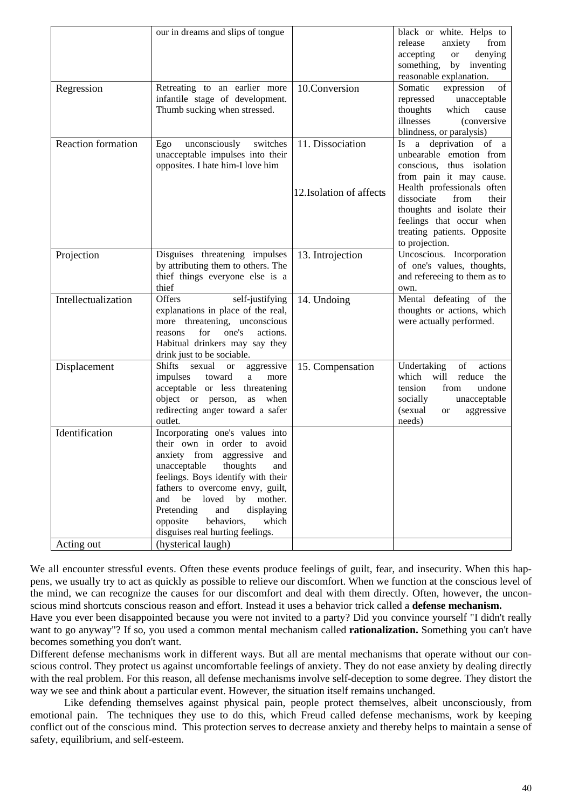|                     | our in dreams and slips of tongue                                                                                                                                                                                                                                                                                                                           |                          | black or white. Helps to<br>from<br>release<br>anxiety<br>accepting<br>denying<br><b>or</b><br>something,<br>by inventing<br>reasonable explanation.                         |
|---------------------|-------------------------------------------------------------------------------------------------------------------------------------------------------------------------------------------------------------------------------------------------------------------------------------------------------------------------------------------------------------|--------------------------|------------------------------------------------------------------------------------------------------------------------------------------------------------------------------|
| Regression          | Retreating to an earlier more<br>infantile stage of development.<br>Thumb sucking when stressed.                                                                                                                                                                                                                                                            | 10.Conversion            | Somatic<br>expression<br>of<br>repressed<br>unacceptable<br>which<br>thoughts<br>cause<br>illnesses<br><i>(conversive)</i><br>blindness, or paralysis)                       |
| Reaction formation  | unconsciously<br>switches<br>Ego<br>unacceptable impulses into their<br>opposites. I hate him-I love him                                                                                                                                                                                                                                                    | 11. Dissociation         | Is a deprivation of a<br>unbearable emotion from<br>conscious,<br>thus isolation<br>from pain it may cause.<br>Health professionals often                                    |
|                     |                                                                                                                                                                                                                                                                                                                                                             | 12. Isolation of affects | dissociate<br>from<br>their<br>thoughts and isolate their<br>feelings that occur when<br>treating patients. Opposite<br>to projection.                                       |
| Projection          | Disguises threatening impulses<br>by attributing them to others. The<br>thief things everyone else is a<br>thief                                                                                                                                                                                                                                            | 13. Introjection         | Uncoscious. Incorporation<br>of one's values, thoughts,<br>and refereeing to them as to<br>own.                                                                              |
| Intellectualization | Offers<br>self-justifying<br>explanations in place of the real,<br>more threatening, unconscious<br>for.<br>one's<br>actions.<br>reasons<br>Habitual drinkers may say they<br>drink just to be sociable.                                                                                                                                                    | 14. Undoing              | Mental defeating of the<br>thoughts or actions, which<br>were actually performed.                                                                                            |
| Displacement        | <b>Shifts</b><br>sexual<br>aggressive<br><b>or</b><br>impulses<br>toward<br>more<br>a<br>acceptable or less<br>threatening<br>object or person,<br>as<br>when<br>redirecting anger toward a safer<br>outlet.                                                                                                                                                | 15. Compensation         | Undertaking<br>of<br>actions<br>will<br>which<br>reduce<br>the<br>tension<br>from<br>undone<br>socially<br>unacceptable<br>(sexual)<br>aggressive<br><sub>or</sub><br>needs) |
| Identification      | Incorporating one's values into<br>their own in order to avoid<br>anxiety from aggressive and<br>thoughts<br>unacceptable<br>and<br>feelings. Boys identify with their<br>fathers to overcome envy, guilt,<br>be<br>loved<br>mother.<br>and<br>by<br>Pretending<br>displaying<br>and<br>behaviors,<br>which<br>opposite<br>disguises real hurting feelings. |                          |                                                                                                                                                                              |
| Acting out          | (hysterical laugh)                                                                                                                                                                                                                                                                                                                                          |                          |                                                                                                                                                                              |

We all encounter stressful events. Often these events produce feelings of guilt, fear, and insecurity. When this happens, we usually try to act as quickly as possible to relieve our discomfort. When we function at the conscious level of the mind, we can recognize the causes for our discomfort and deal with them directly. Often, however, the unconscious mind shortcuts conscious reason and effort. Instead it uses a behavior trick called a **defense mechanism.**

Have you ever been disappointed because you were not invited to a party? Did you convince yourself "I didn't really want to go anyway"? If so, you used a common mental mechanism called **rationalization.** Something you can't have becomes something you don't want.

Different defense mechanisms work in different ways. But all are mental mechanisms that operate without our conscious control. They protect us against uncomfortable feelings of anxiety. They do not ease anxiety by dealing directly with the real problem. For this reason, all defense mechanisms involve self-deception to some degree. They distort the way we see and think about a particular event. However, the situation itself remains unchanged.

Like defending themselves against physical pain, people protect themselves, albeit unconsciously, from emotional pain. The techniques they use to do this, which Freud called defense mechanisms, work by keeping conflict out of the conscious mind. This protection serves to decrease anxiety and thereby helps to maintain a sense of safety, equilibrium, and self-esteem.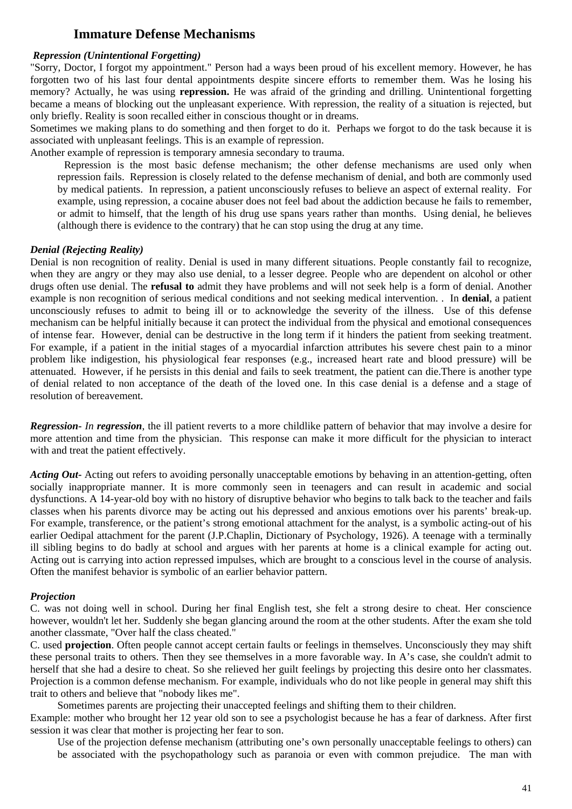# **Immature Defense Mechanisms**

## *Repression (Unintentional Forgetting)*

"Sorry, Doctor, I forgot my appointment." Person had a ways been proud of his excellent memory. However, he has forgotten two of his last four dental appointments despite sincere efforts to remember them. Was he losing his memory? Actually, he was using **repression.** He was afraid of the grinding and drilling. Unintentional forgetting became a means of blocking out the unpleasant experience. With repression, the reality of a situation is rejected, but only briefly. Reality is soon recalled either in conscious thought or in dreams.

Sometimes we making plans to do something and then forget to do it. Perhaps we forgot to do the task because it is associated with unpleasant feelings. This is an example of repression.

Another example of repression is temporary amnesia secondary to trauma.

Repression is the most basic defense mechanism; the other defense mechanisms are used only when repression fails. Repression is closely related to the defense mechanism of denial, and both are commonly used by medical patients. In repression, a patient unconsciously refuses to believe an aspect of external reality. For example, using repression, a cocaine abuser does not feel bad about the addiction because he fails to remember, or admit to himself, that the length of his drug use spans years rather than months. Using denial, he believes (although there is evidence to the contrary) that he can stop using the drug at any time.

## *Denial (Rejecting Reality)*

Denial is non recognition of reality. Denial is used in many different situations. People constantly fail to recognize, when they are angry or they may also use denial, to a lesser degree. People who are dependent on alcohol or other drugs often use denial. The **refusal to** admit they have problems and will not seek help is a form of denial. Another example is non recognition of serious medical conditions and not seeking medical intervention. . In **denial**, a patient unconsciously refuses to admit to being ill or to acknowledge the severity of the illness. Use of this defense mechanism can be helpful initially because it can protect the individual from the physical and emotional consequences of intense fear. However, denial can be destructive in the long term if it hinders the patient from seeking treatment. For example, if a patient in the initial stages of a myocardial infarction attributes his severe chest pain to a minor problem like indigestion, his physiological fear responses (e.g., increased heart rate and blood pressure) will be attenuated. However, if he persists in this denial and fails to seek treatment, the patient can die.There is another type of denial related to non acceptance of the death of the loved one. In this case denial is a defense and a stage of resolution of bereavement.

*Regression- In regression*, the ill patient reverts to a more childlike pattern of behavior that may involve a desire for more attention and time from the physician. This response can make it more difficult for the physician to interact with and treat the patient effectively.

*Acting Out***-** Acting out refers to avoiding personally unacceptable emotions by behaving in an attention-getting, often socially inappropriate manner. It is more commonly seen in teenagers and can result in academic and social dysfunctions. A 14-year-old boy with no history of disruptive behavior who begins to talk back to the teacher and fails classes when his parents divorce may be acting out his depressed and anxious emotions over his parents' break-up. For example, transference, or the patient's strong emotional attachment for the analyst, is a symbolic acting-out of his earlier Oedipal attachment for the parent (J.P.Chaplin, Dictionary of Psychology, 1926). A teenage with a terminally ill sibling begins to do badly at school and argues with her parents at home is a clinical example for acting out. Acting out is carrying into action repressed impulses, which are brought to a conscious level in the course of analysis. Often the manifest behavior is symbolic of an earlier behavior pattern.

## *Projection*

C. was not doing well in school. During her final English test, she felt a strong desire to cheat. Her conscience however, wouldn't let her. Suddenly she began glancing around the room at the other students. After the exam she told another classmate, "Over half the class cheated."

C. used **projection**. Often people cannot accept certain faults or feelings in themselves. Unconsciously they may shift these personal traits to others. Then they see themselves in a more favorable way. In A's case, she couldn't admit to herself that she had a desire to cheat. So she relieved her guilt feelings by projecting this desire onto her classmates. Projection is a common defense mechanism. For example, individuals who do not like people in general may shift this trait to others and believe that "nobody likes me".

Sometimes parents are projecting their unaccepted feelings and shifting them to their children.

Example: mother who brought her 12 year old son to see a psychologist because he has a fear of darkness. After first session it was clear that mother is projecting her fear to son.

Use of the projection defense mechanism (attributing one's own personally unacceptable feelings to others) can be associated with the psychopathology such as paranoia or even with common prejudice. The man with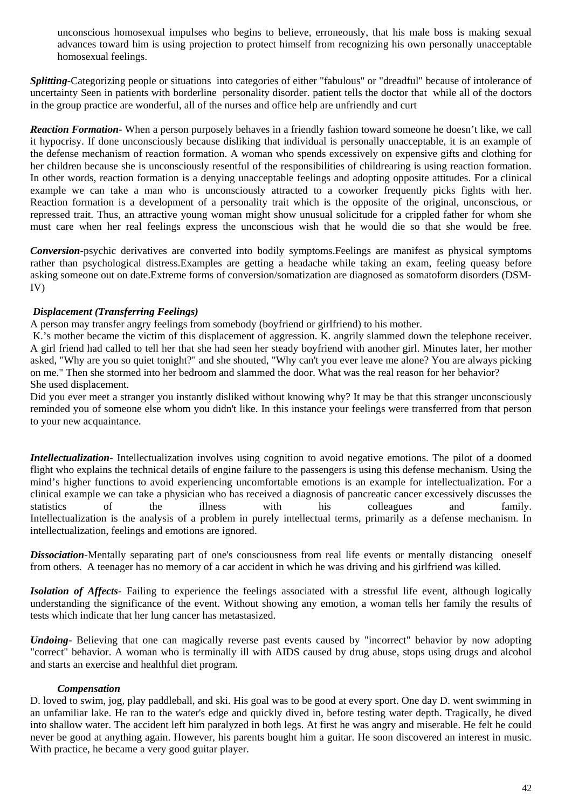unconscious homosexual impulses who begins to believe, erroneously, that his male boss is making sexual advances toward him is using projection to protect himself from recognizing his own personally unacceptable homosexual feelings.

*Splitting*-Categorizing people or situations into categories of either "fabulous" or "dreadful" because of intolerance of uncertainty Seen in patients with borderline personality disorder. patient tells the doctor that while all of the doctors in the group practice are wonderful, all of the nurses and office help are unfriendly and curt

*Reaction Formation*- When a person purposely behaves in a friendly fashion toward someone he doesn't like, we call it hypocrisy. If done unconsciously because disliking that individual is personally unacceptable, it is an example of the defense mechanism of reaction formation. A woman who spends excessively on expensive gifts and clothing for her children because she is unconsciously resentful of the responsibilities of childrearing is using reaction formation. In other words, reaction formation is a denying unacceptable feelings and adopting opposite attitudes. For a clinical example we can take a man who is unconsciously attracted to a coworker frequently picks fights with her. Reaction formation is a development of a personality trait which is the opposite of the original, unconscious, or repressed trait. Thus, an attractive young woman might show unusual solicitude for a crippled father for whom she must care when her real feelings express the unconscious wish that he would die so that she would be free.

*Conversion*-psychic derivatives are converted into bodily symptoms.Feelings are manifest as physical symptoms rather than psychological distress.Examples are getting a headache while taking an exam, feeling queasy before asking someone out on date.Extreme forms of conversion/somatization are diagnosed as somatoform disorders (DSM-IV)

## *Displacement (Transferring Feelings)*

A person may transfer angry feelings from somebody (boyfriend or girlfriend) to his mother.

K.'s mother became the victim of this displacement of aggression. K. angrily slammed down the telephone receiver. A girl friend had called to tell her that she had seen her steady boyfriend with another girl. Minutes later, her mother asked, "Why are you so quiet tonight?" and she shouted, "Why can't you ever leave me alone? You are always picking on me." Then she stormed into her bedroom and slammed the door. What was the real reason for her behavior? She used displacement.

Did you ever meet a stranger you instantly disliked without knowing why? It may be that this stranger unconsciously reminded you of someone else whom you didn't like. In this instance your feelings were transferred from that person to your new acquaintance.

*Intellectualization*- Intellectualization involves using cognition to avoid negative emotions. The pilot of a doomed flight who explains the technical details of engine failure to the passengers is using this defense mechanism. Using the mind's higher functions to avoid experiencing uncomfortable emotions is an example for intellectualization. For a clinical example we can take a physician who has received a diagnosis of pancreatic cancer excessively discusses the statistics of the illness with his colleagues and family. Intellectualization is the analysis of a problem in purely intellectual terms, primarily as a defense mechanism. In intellectualization, feelings and emotions are ignored.

*Dissociation*-Mentally separating part of one's consciousness from real life events or mentally distancing oneself from others. A teenager has no memory of a car accident in which he was driving and his girlfriend was killed.

*Isolation of Affects***-** Failing to experience the feelings associated with a stressful life event, although logically understanding the significance of the event. Without showing any emotion, a woman tells her family the results of tests which indicate that her lung cancer has metastasized.

*Undoing***-** Believing that one can magically reverse past events caused by "incorrect" behavior by now adopting "correct" behavior. A woman who is terminally ill with AIDS caused by drug abuse, stops using drugs and alcohol and starts an exercise and healthful diet program.

## *Compensation*

D. loved to swim, jog, play paddleball, and ski. His goal was to be good at every sport. One day D. went swimming in an unfamiliar lake. He ran to the water's edge and quickly dived in, before testing water depth. Tragically, he dived into shallow water. The accident left him paralyzed in both legs. At first he was angry and miserable. He felt he could never be good at anything again. However, his parents bought him a guitar. He soon discovered an interest in music. With practice, he became a very good guitar player.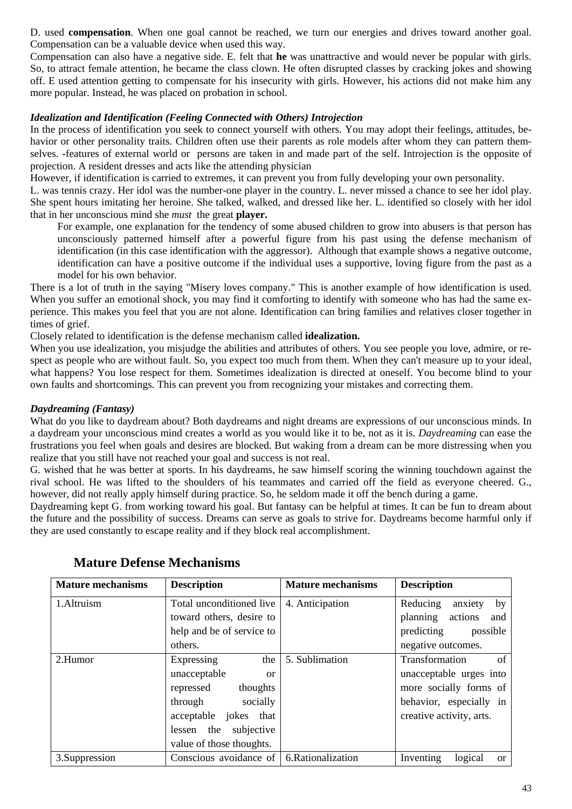D. used **compensation**. When one goal cannot be reached, we turn our energies and drives toward another goal. Compensation can be a valuable device when used this way.

Compensation can also have a negative side. E. felt that **he** was unattractive and would never be popular with girls. So, to attract female attention, he became the class clown. He often disrupted classes by cracking jokes and showing off. E used attention getting to compensate for his insecurity with girls. However, his actions did not make him any more popular. Instead, he was placed on probation in school.

## *Idealization and Identification (Feeling Connected with Others) Introjection*

In the process of identification you seek to connect yourself with others. You may adopt their feelings, attitudes, behavior or other personality traits. Children often use their parents as role models after whom they can pattern themselves. **-**features of external world or persons are taken in and made part of the self. Introjection is the opposite of projection. A resident dresses and acts like the attending physician

However, if identification is carried to extremes, it can prevent you from fully developing your own personality.

L. was tennis crazy. Her idol was the number-one player in the country. L. never missed a chance to see her idol play. She spent hours imitating her heroine. She talked, walked, and dressed like her. L. identified so closely with her idol that in her unconscious mind she *must* the great **player.**

For example, one explanation for the tendency of some abused children to grow into abusers is that person has unconsciously patterned himself after a powerful figure from his past using the defense mechanism of identification (in this case identification with the aggressor). Although that example shows a negative outcome, identification can have a positive outcome if the individual uses a supportive, loving figure from the past as a model for his own behavior.

There is a lot of truth in the saying "Misery loves company." This is another example of how identification is used. When you suffer an emotional shock, you may find it comforting to identify with someone who has had the same experience. This makes you feel that you are not alone. Identification can bring families and relatives closer together in times of grief.

Closely related to identification is the defense mechanism called **idealization.**

When you use idealization, you misjudge the abilities and attributes of others. You see people you love, admire, or respect as people who are without fault. So, you expect too much from them. When they can't measure up to your ideal, what happens? You lose respect for them. Sometimes idealization is directed at oneself. You become blind to your own faults and shortcomings. This can prevent you from recognizing your mistakes and correcting them.

## *Daydreaming (Fantasy)*

What do you like to daydream about? Both daydreams and night dreams are expressions of our unconscious minds. In a daydream your unconscious mind creates a world as you would like it to be, not as it is. *Daydreaming* can ease the frustrations you feel when goals and desires are blocked. But waking from a dream can be more distressing when you realize that you still have not reached your goal and success is not real.

G. wished that he was better at sports. In his daydreams, he saw himself scoring the winning touchdown against the rival school. He was lifted to the shoulders of his teammates and carried off the field as everyone cheered. G., however, did not really apply himself during practice. So, he seldom made it off the bench during a game.

Daydreaming kept G. from working toward his goal. But fantasy can be helpful at times. It can be fun to dream about the future and the possibility of success. Dreams can serve as goals to strive for. Daydreams become harmful only if they are used constantly to escape reality and if they block real accomplishment.

| <b>Mature mechanisms</b> | <b>Description</b>                                                                                                                                                    | <b>Mature mechanisms</b> | <b>Description</b>                                                                                                               |
|--------------------------|-----------------------------------------------------------------------------------------------------------------------------------------------------------------------|--------------------------|----------------------------------------------------------------------------------------------------------------------------------|
| 1.Altruism               | Total unconditioned live<br>toward others, desire to<br>help and be of service to<br>others.                                                                          | 4. Anticipation          | Reducing<br>anxiety<br>by<br>planning actions<br>and<br>predicting<br>possible<br>negative outcomes.                             |
| 2.Humor                  | Expressing<br>the<br>unacceptable<br>or<br>thoughts<br>repressed<br>through<br>socially<br>acceptable jokes that<br>lessen the subjective<br>value of those thoughts. | 5. Sublimation           | Transformation<br>of<br>unacceptable urges into<br>more socially forms of<br>behavior, especially in<br>creative activity, arts. |
| 3. Suppression           | Conscious avoidance of                                                                                                                                                | 6.Rationalization        | logical<br>Inventing<br>$\alpha$                                                                                                 |

# **Mature Defense Mechanisms**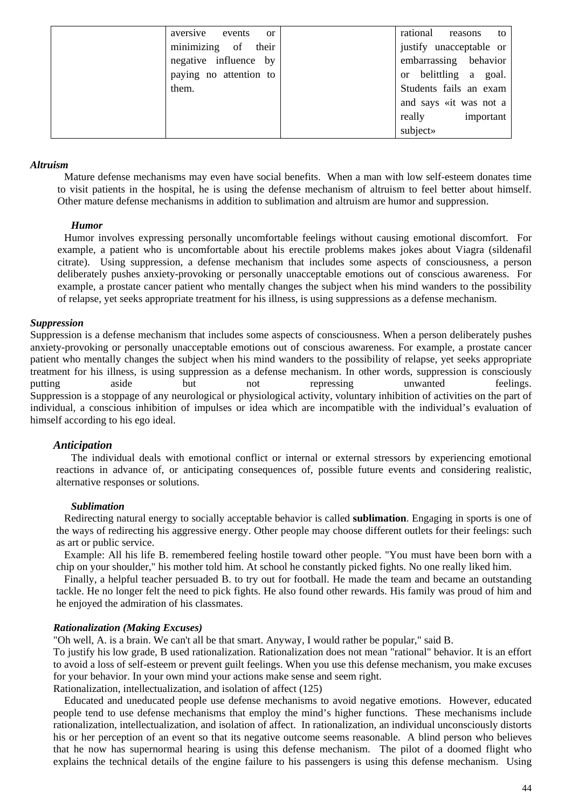| aversive events<br><sub>or</sub> | rational reasons<br>to  |
|----------------------------------|-------------------------|
| minimizing of their              | justify unacceptable or |
| negative influence by            | embarrassing behavior   |
| paying no attention to           | or belittling a goal.   |
| them.                            | Students fails an exam  |
|                                  | and says «it was not a  |
|                                  | really<br>important     |
|                                  | subject»                |

### *Altruism*

Mature defense mechanisms may even have social benefits. When a man with low self-esteem donates time to visit patients in the hospital, he is using the defense mechanism of altruism to feel better about himself. Other mature defense mechanisms in addition to sublimation and altruism are humor and suppression.

### *Humor*

Humor involves expressing personally uncomfortable feelings without causing emotional discomfort. For example, a patient who is uncomfortable about his erectile problems makes jokes about Viagra (sildenafil citrate). Using suppression, a defense mechanism that includes some aspects of consciousness, a person deliberately pushes anxiety-provoking or personally unacceptable emotions out of conscious awareness. For example, a prostate cancer patient who mentally changes the subject when his mind wanders to the possibility of relapse, yet seeks appropriate treatment for his illness, is using suppressions as a defense mechanism.

#### *Suppression*

Suppression is a defense mechanism that includes some aspects of consciousness. When a person deliberately pushes anxiety-provoking or personally unacceptable emotions out of conscious awareness. For example, a prostate cancer patient who mentally changes the subject when his mind wanders to the possibility of relapse, yet seeks appropriate treatment for his illness, is using suppression as a defense mechanism. In other words, suppression is consciously<br>putting aside but not repressing unwanted feelings. putting aside but not repressing unwanted feelings. Suppression is a stoppage of any neurological or physiological activity, voluntary inhibition of activities on the part of individual, a conscious inhibition of impulses or idea which are incompatible with the individual's evaluation of himself according to his ego ideal.

#### *Anticipation*

The individual deals with emotional conflict or internal or external stressors by experiencing emotional reactions in advance of, or anticipating consequences of, possible future events and considering realistic, alternative responses or solutions.

### *Sublimation*

Redirecting natural energy to socially acceptable behavior is called **sublimation**. Engaging in sports is one of the ways of redirecting his aggressive energy. Other people may choose different outlets for their feelings: such as art or public service.

Example: All his life B. remembered feeling hostile toward other people. "You must have been born with a chip on your shoulder," his mother told him. At school he constantly picked fights. No one really liked him.

Finally, a helpful teacher persuaded B. to try out for football. He made the team and became an outstanding tackle. He no longer felt the need to pick fights. He also found other rewards. His family was proud of him and he enjoyed the admiration of his classmates.

### *Rationalization (Making Excuses)*

"Oh well, A. is a brain. We can't all be that smart. Anyway, I would rather be popular," said B.

To justify his low grade, B used rationalization. Rationalization does not mean "rational" behavior. It is an effort to avoid a loss of self-esteem or prevent guilt feelings. When you use this defense mechanism, you make excuses for your behavior. In your own mind your actions make sense and seem right.

Rationalization, intellectualization, and isolation of affect (125)

Educated and uneducated people use defense mechanisms to avoid negative emotions. However, educated people tend to use defense mechanisms that employ the mind's higher functions. These mechanisms include rationalization, intellectualization, and isolation of affect. In rationalization, an individual unconsciously distorts his or her perception of an event so that its negative outcome seems reasonable. A blind person who believes that he now has supernormal hearing is using this defense mechanism. The pilot of a doomed flight who explains the technical details of the engine failure to his passengers is using this defense mechanism. Using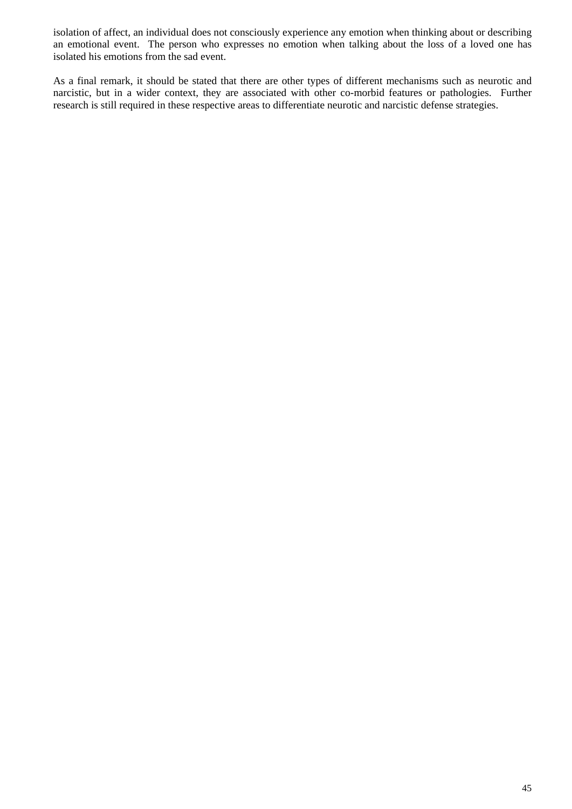isolation of affect, an individual does not consciously experience any emotion when thinking about or describing an emotional event. The person who expresses no emotion when talking about the loss of a loved one has isolated his emotions from the sad event.

As a final remark, it should be stated that there are other types of different mechanisms such as neurotic and narcistic, but in a wider context, they are associated with other co-morbid features or pathologies. Further research is still required in these respective areas to differentiate neurotic and narcistic defense strategies.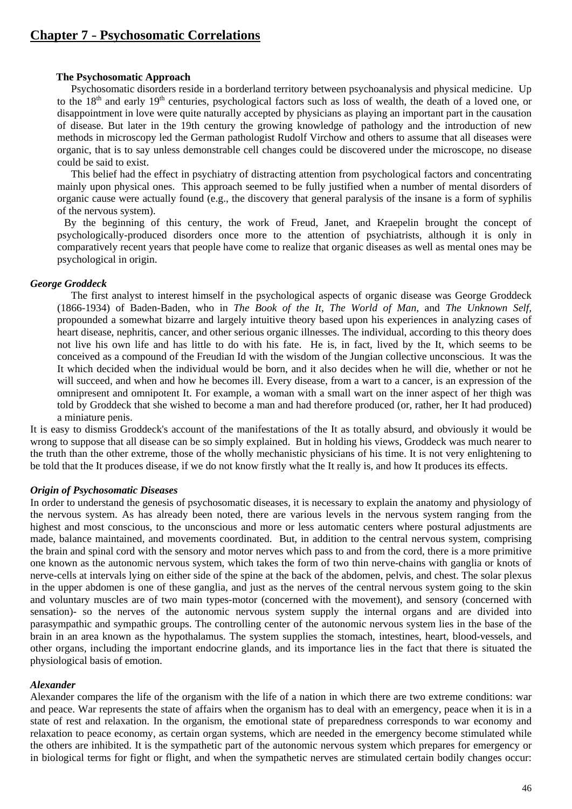# **Chapter 7** - **Psychosomatic Correlations**

### **The Psychosomatic Approach**

Psychosomatic disorders reside in a borderland territory between psychoanalysis and physical medicine. Up to the  $18<sup>th</sup>$  and early  $19<sup>th</sup>$  centuries, psychological factors such as loss of wealth, the death of a loved one, or disappointment in love were quite naturally accepted by physicians as playing an important part in the causation of disease. But later in the 19th century the growing knowledge of pathology and the introduction of new methods in microscopy led the German pathologist Rudolf Virchow and others to assume that all diseases were organic, that is to say unless demonstrable cell changes could be discovered under the microscope, no disease could be said to exist.

This belief had the effect in psychiatry of distracting attention from psychological factors and concentrating mainly upon physical ones. This approach seemed to be fully justified when a number of mental disorders of organic cause were actually found (e.g., the discovery that general paralysis of the insane is a form of syphilis of the nervous system).

By the beginning of this century, the work of Freud, Janet, and Kraepelin brought the concept of psychologically-produced disorders once more to the attention of psychiatrists, although it is only in comparatively recent years that people have come to realize that organic diseases as well as mental ones may be psychological in origin.

### *George Groddeck*

The first analyst to interest himself in the psychological aspects of organic disease was George Groddeck (1866-1934) of Baden-Baden, who in *The Book of the It, The World of Man,* and *The Unknown Self,* propounded a somewhat bizarre and largely intuitive theory based upon his experiences in analyzing cases of heart disease, nephritis, cancer, and other serious organic illnesses. The individual, according to this theory does not live his own life and has little to do with his fate. He is, in fact, lived by the It, which seems to be conceived as a compound of the Freudian Id with the wisdom of the Jungian collective unconscious. It was the It which decided when the individual would be born, and it also decides when he will die, whether or not he will succeed, and when and how he becomes ill. Every disease, from a wart to a cancer, is an expression of the omnipresent and omnipotent It. For example, a woman with a small wart on the inner aspect of her thigh was told by Groddeck that she wished to become a man and had therefore produced (or, rather, her It had produced) a miniature penis.

It is easy to dismiss Groddeck's account of the manifestations of the It as totally absurd, and obviously it would be wrong to suppose that all disease can be so simply explained. But in holding his views, Groddeck was much nearer to the truth than the other extreme, those of the wholly mechanistic physicians of his time. It is not very enlightening to be told that the It produces disease, if we do not know firstly what the It really is, and how It produces its effects.

### *Origin of Psychosomatic Diseases*

In order to understand the genesis of psychosomatic diseases, it is necessary to explain the anatomy and physiology of the nervous system. As has already been noted, there are various levels in the nervous system ranging from the highest and most conscious, to the unconscious and more or less automatic centers where postural adjustments are made, balance maintained, and movements coordinated. But, in addition to the central nervous system, comprising the brain and spinal cord with the sensory and motor nerves which pass to and from the cord, there is a more primitive one known as the autonomic nervous system, which takes the form of two thin nerve-chains with ganglia or knots of nerve-cells at intervals lying on either side of the spine at the back of the abdomen, pelvis, and chest. The solar plexus in the upper abdomen is one of these ganglia, and just as the nerves of the central nervous system going to the skin and voluntary muscles are of two main types-motor (concerned with the movement), and sensory (concerned with sensation)- so the nerves of the autonomic nervous system supply the internal organs and are divided into parasympathic and sympathic groups. The controlling center of the autonomic nervous system lies in the base of the brain in an area known as the hypothalamus. The system supplies the stomach, intestines, heart, blood-vessels, and other organs, including the important endocrine glands, and its importance lies in the fact that there is situated the physiological basis of emotion.

## *Alexander*

Alexander compares the life of the organism with the life of a nation in which there are two extreme conditions: war and peace. War represents the state of affairs when the organism has to deal with an emergency, peace when it is in a state of rest and relaxation. In the organism, the emotional state of preparedness corresponds to war economy and relaxation to peace economy, as certain organ systems, which are needed in the emergency become stimulated while the others are inhibited. It is the sympathetic part of the autonomic nervous system which prepares for emergency or in biological terms for fight or flight, and when the sympathetic nerves are stimulated certain bodily changes occur: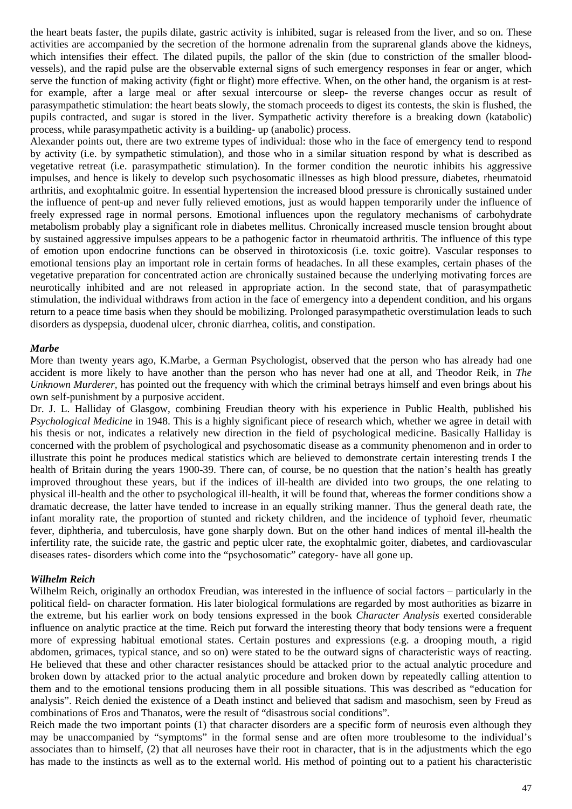the heart beats faster, the pupils dilate, gastric activity is inhibited, sugar is released from the liver, and so on. These activities are accompanied by the secretion of the hormone adrenalin from the suprarenal glands above the kidneys, which intensifies their effect. The dilated pupils, the pallor of the skin (due to constriction of the smaller bloodvessels), and the rapid pulse are the observable external signs of such emergency responses in fear or anger, which serve the function of making activity (fight or flight) more effective. When, on the other hand, the organism is at restfor example, after a large meal or after sexual intercourse or sleep- the reverse changes occur as result of parasympathetic stimulation: the heart beats slowly, the stomach proceeds to digest its contests, the skin is flushed, the pupils contracted, and sugar is stored in the liver. Sympathetic activity therefore is a breaking down (katabolic) process, while parasympathetic activity is a building- up (anabolic) process.

Alexander points out, there are two extreme types of individual: those who in the face of emergency tend to respond by activity (i.e. by sympathetic stimulation), and those who in a similar situation respond by what is described as vegetative retreat (i.e. parasympathetic stimulation). In the former condition the neurotic inhibits his aggressive impulses, and hence is likely to develop such psychosomatic illnesses as high blood pressure, diabetes, rheumatoid arthritis, and exophtalmic goitre. In essential hypertension the increased blood pressure is chronically sustained under the influence of pent-up and never fully relieved emotions, just as would happen temporarily under the influence of freely expressed rage in normal persons. Emotional influences upon the regulatory mechanisms of carbohydrate metabolism probably play a significant role in diabetes mellitus. Chronically increased muscle tension brought about by sustained aggressive impulses appears to be a pathogenic factor in rheumatoid arthritis. The influence of this type of emotion upon endocrine functions can be observed in thirotoxicosis (i.e. toxic goitre). Vascular responses to emotional tensions play an important role in certain forms of headaches. In all these examples, certain phases of the vegetative preparation for concentrated action are chronically sustained because the underlying motivating forces are neurotically inhibited and are not released in appropriate action. In the second state, that of parasympathetic stimulation, the individual withdraws from action in the face of emergency into a dependent condition, and his organs return to a peace time basis when they should be mobilizing. Prolonged parasympathetic overstimulation leads to such disorders as dyspepsia, duodenal ulcer, chronic diarrhea, colitis, and constipation.

### *Marbe*

More than twenty years ago, K.Marbe, a German Psychologist, observed that the person who has already had one accident is more likely to have another than the person who has never had one at all, and Theodor Reik, in *The Unknown Murderer,* has pointed out the frequency with which the criminal betrays himself and even brings about his own self-punishment by a purposive accident.

Dr. J. L. Halliday of Glasgow, combining Freudian theory with his experience in Public Health, published his *Psychological Medicine* in 1948. This is a highly significant piece of research which, whether we agree in detail with his thesis or not, indicates a relatively new direction in the field of psychological medicine. Basically Halliday is concerned with the problem of psychological and psychosomatic disease as a community phenomenon and in order to illustrate this point he produces medical statistics which are believed to demonstrate certain interesting trends I the health of Britain during the years 1900-39. There can, of course, be no question that the nation's health has greatly improved throughout these years, but if the indices of ill-health are divided into two groups, the one relating to physical ill-health and the other to psychological ill-health, it will be found that, whereas the former conditions show a dramatic decrease, the latter have tended to increase in an equally striking manner. Thus the general death rate, the infant morality rate, the proportion of stunted and rickety children, and the incidence of typhoid fever, rheumatic fever, diphtheria, and tuberculosis, have gone sharply down. But on the other hand indices of mental ill-health the infertility rate, the suicide rate, the gastric and peptic ulcer rate, the exophtalmic goiter, diabetes, and cardiovascular diseases rates- disorders which come into the "psychosomatic" category- have all gone up.

## *Wilhelm Reich*

Wilhelm Reich, originally an orthodox Freudian, was interested in the influence of social factors – particularly in the political field- on character formation. His later biological formulations are regarded by most authorities as bizarre in the extreme, but his earlier work on body tensions expressed in the book *Character Analysis* exerted considerable influence on analytic practice at the time. Reich put forward the interesting theory that body tensions were a frequent more of expressing habitual emotional states. Certain postures and expressions (e.g. a drooping mouth, a rigid abdomen, grimaces, typical stance, and so on) were stated to be the outward signs of characteristic ways of reacting. He believed that these and other character resistances should be attacked prior to the actual analytic procedure and broken down by attacked prior to the actual analytic procedure and broken down by repeatedly calling attention to them and to the emotional tensions producing them in all possible situations. This was described as "education for analysis". Reich denied the existence of a Death instinct and believed that sadism and masochism, seen by Freud as combinations of Eros and Thanatos, were the result of "disastrous social conditions".

Reich made the two important points (1) that character disorders are a specific form of neurosis even although they may be unaccompanied by "symptoms" in the formal sense and are often more troublesome to the individual's associates than to himself, (2) that all neuroses have their root in character, that is in the adjustments which the ego has made to the instincts as well as to the external world. His method of pointing out to a patient his characteristic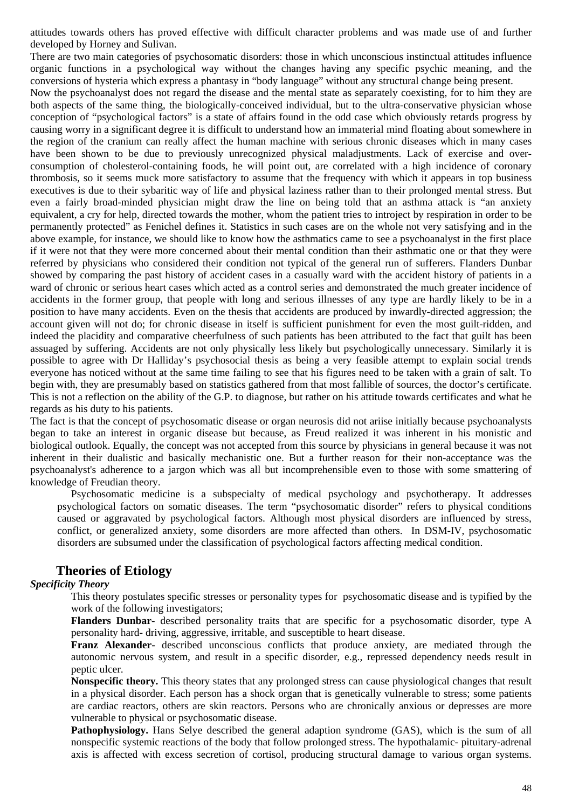attitudes towards others has proved effective with difficult character problems and was made use of and further developed by Horney and Sulivan.

There are two main categories of psychosomatic disorders: those in which unconscious instinctual attitudes influence organic functions in a psychological way without the changes having any specific psychic meaning, and the conversions of hysteria which express a phantasy in "body language" without any structural change being present.

Now the psychoanalyst does not regard the disease and the mental state as separately coexisting, for to him they are both aspects of the same thing, the biologically-conceived individual, but to the ultra-conservative physician whose conception of "psychological factors" is a state of affairs found in the odd case which obviously retards progress by causing worry in a significant degree it is difficult to understand how an immaterial mind floating about somewhere in the region of the cranium can really affect the human machine with serious chronic diseases which in many cases have been shown to be due to previously unrecognized physical maladjustments. Lack of exercise and overconsumption of cholesterol-containing foods, he will point out, are correlated with a high incidence of coronary thrombosis, so it seems muck more satisfactory to assume that the frequency with which it appears in top business executives is due to their sybaritic way of life and physical laziness rather than to their prolonged mental stress. But even a fairly broad-minded physician might draw the line on being told that an asthma attack is "an anxiety equivalent, a cry for help, directed towards the mother, whom the patient tries to introject by respiration in order to be permanently protected" as Fenichel defines it. Statistics in such cases are on the whole not very satisfying and in the above example, for instance, we should like to know how the asthmatics came to see a psychoanalyst in the first place if it were not that they were more concerned about their mental condition than their asthmatic one or that they were referred by physicians who considered their condition not typical of the general run of sufferers. Flanders Dunbar showed by comparing the past history of accident cases in a casually ward with the accident history of patients in a ward of chronic or serious heart cases which acted as a control series and demonstrated the much greater incidence of accidents in the former group, that people with long and serious illnesses of any type are hardly likely to be in a position to have many accidents. Even on the thesis that accidents are produced by inwardly-directed aggression; the account given will not do; for chronic disease in itself is sufficient punishment for even the most guilt-ridden, and indeed the placidity and comparative cheerfulness of such patients has been attributed to the fact that guilt has been assuaged by suffering. Accidents are not only physically less likely but psychologically unnecessary. Similarly it is possible to agree with Dr Halliday's psychosocial thesis as being a very feasible attempt to explain social trends everyone has noticed without at the same time failing to see that his figures need to be taken with a grain of salt. To begin with, they are presumably based on statistics gathered from that most fallible of sources, the doctor's certificate. This is not a reflection on the ability of the G.P. to diagnose, but rather on his attitude towards certificates and what he regards as his duty to his patients.

The fact is that the concept of psychosomatic disease or organ neurosis did not ariise initially because psychoanalysts began to take an interest in organic disease but because, as Freud realized it was inherent in his monistic and biological outlook. Equally, the concept was not accepted from this source by physicians in general because it was not inherent in their dualistic and basically mechanistic one. But a further reason for their non-acceptance was the psychoanalyst's adherence to a jargon which was all but incomprehensible even to those with some smattering of knowledge of Freudian theory.

Psychosomatic medicine is a subspecialty of medical psychology and psychotherapy. It addresses psychological factors on somatic diseases. The term "psychosomatic disorder" refers to physical conditions caused or aggravated by psychological factors. Although most physical disorders are influenced by stress, conflict, or generalized anxiety, some disorders are more affected than others. In DSM-IV, psychosomatic disorders are subsumed under the classification of psychological factors affecting medical condition.

# **Theories of Etiology**

## *Specificity Theory*

This theory postulates specific stresses or personality types for psychosomatic disease and is typified by the work of the following investigators;

**Flanders Dunbar-** described personality traits that are specific for a psychosomatic disorder, type A personality hard- driving, aggressive, irritable, and susceptible to heart disease.

**Franz Alexander-** described unconscious conflicts that produce anxiety, are mediated through the autonomic nervous system, and result in a specific disorder, e.g., repressed dependency needs result in peptic ulcer.

**Nonspecific theory.** This theory states that any prolonged stress can cause physiological changes that result in a physical disorder. Each person has a shock organ that is genetically vulnerable to stress; some patients are cardiac reactors, others are skin reactors. Persons who are chronically anxious or depresses are more vulnerable to physical or psychosomatic disease.

**Pathophysiology.** Hans Selye described the general adaption syndrome (GAS), which is the sum of all nonspecific systemic reactions of the body that follow prolonged stress. The hypothalamic- pituitary-adrenal axis is affected with excess secretion of cortisol, producing structural damage to various organ systems.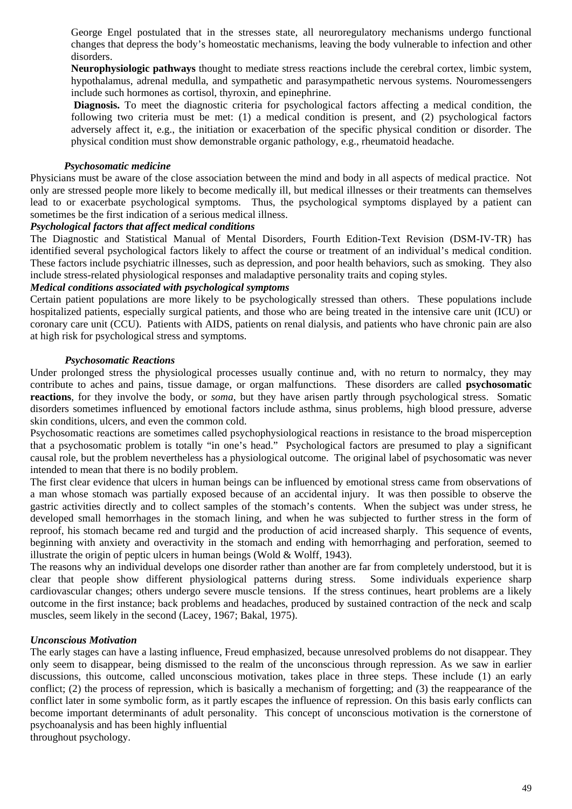George Engel postulated that in the stresses state, all neuroregulatory mechanisms undergo functional changes that depress the body's homeostatic mechanisms, leaving the body vulnerable to infection and other disorders.

**Neurophysiologic pathways** thought to mediate stress reactions include the cerebral cortex, limbic system, hypothalamus, adrenal medulla, and sympathetic and parasympathetic nervous systems. Nouromessengers include such hormones as cortisol, thyroxin, and epinephrine.

**Diagnosis.** To meet the diagnostic criteria for psychological factors affecting a medical condition, the following two criteria must be met: (1) a medical condition is present, and (2) psychological factors adversely affect it, e.g., the initiation or exacerbation of the specific physical condition or disorder. The physical condition must show demonstrable organic pathology, e.g., rheumatoid headache.

## *Psychosomatic medicine*

Physicians must be aware of the close association between the mind and body in all aspects of medical practice. Not only are stressed people more likely to become medically ill, but medical illnesses or their treatments can themselves lead to or exacerbate psychological symptoms. Thus, the psychological symptoms displayed by a patient can sometimes be the first indication of a serious medical illness.

## *Psychological factors that affect medical conditions*

The Diagnostic and Statistical Manual of Mental Disorders, Fourth Edition-Text Revision (DSM-IV-TR) has identified several psychological factors likely to affect the course or treatment of an individual's medical condition. These factors include psychiatric illnesses, such as depression, and poor health behaviors, such as smoking. They also include stress-related physiological responses and maladaptive personality traits and coping styles.

## *Medical conditions associated with psychological symptoms*

Certain patient populations are more likely to be psychologically stressed than others. These populations include hospitalized patients, especially surgical patients, and those who are being treated in the intensive care unit (ICU) or coronary care unit (CCU). Patients with AIDS, patients on renal dialysis, and patients who have chronic pain are also at high risk for psychological stress and symptoms.

### *Psychosomatic Reactions*

Under prolonged stress the physiological processes usually continue and, with no return to normalcy, they may contribute to aches and pains, tissue damage, or organ malfunctions. These disorders are called **psychosomatic reactions**, for they involve the body, or *soma*, but they have arisen partly through psychological stress. Somatic disorders sometimes influenced by emotional factors include asthma, sinus problems, high blood pressure, adverse skin conditions, ulcers, and even the common cold.

Psychosomatic reactions are sometimes called psychophysiological reactions in resistance to the broad misperception that a psychosomatic problem is totally "in one's head." Psychological factors are presumed to play a significant causal role, but the problem nevertheless has a physiological outcome. The original label of psychosomatic was never intended to mean that there is no bodily problem.

The first clear evidence that ulcers in human beings can be influenced by emotional stress came from observations of a man whose stomach was partially exposed because of an accidental injury. It was then possible to observe the gastric activities directly and to collect samples of the stomach's contents. When the subject was under stress, he developed small hemorrhages in the stomach lining, and when he was subjected to further stress in the form of reproof, his stomach became red and turgid and the production of acid increased sharply. This sequence of events, beginning with anxiety and overactivity in the stomach and ending with hemorrhaging and perforation, seemed to illustrate the origin of peptic ulcers in human beings (Wold & Wolff, 1943).

The reasons why an individual develops one disorder rather than another are far from completely understood, but it is clear that people show different physiological patterns during stress. Some individuals experience sharp cardiovascular changes; others undergo severe muscle tensions. If the stress continues, heart problems are a likely outcome in the first instance; back problems and headaches, produced by sustained contraction of the neck and scalp muscles, seem likely in the second (Lacey, 1967; Bakal, 1975).

## *Unconscious Motivation*

The early stages can have a lasting influence, Freud emphasized, because unresolved problems do not disappear. They only seem to disappear, being dismissed to the realm of the unconscious through repression. As we saw in earlier discussions, this outcome, called unconscious motivation, takes place in three steps. These include (1) an early conflict; (2) the process of repression, which is basically a mechanism of forgetting; and (3) the reappearance of the conflict later in some symbolic form, as it partly escapes the influence of repression. On this basis early conflicts can become important determinants of adult personality. This concept of unconscious motivation is the cornerstone of psychoanalysis and has been highly influential throughout psychology.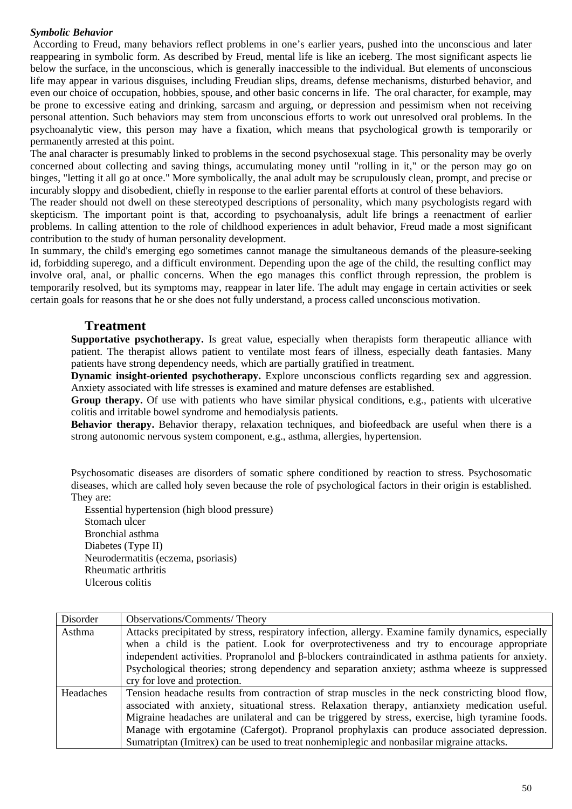## *Symbolic Behavior*

According to Freud, many behaviors reflect problems in one's earlier years, pushed into the unconscious and later reappearing in symbolic form. As described by Freud, mental life is like an iceberg. The most significant aspects lie below the surface, in the unconscious, which is generally inaccessible to the individual. But elements of unconscious life may appear in various disguises, including Freudian slips, dreams, defense mechanisms, disturbed behavior, and even our choice of occupation, hobbies, spouse, and other basic concerns in life. The oral character, for example, may be prone to excessive eating and drinking, sarcasm and arguing, or depression and pessimism when not receiving personal attention. Such behaviors may stem from unconscious efforts to work out unresolved oral problems. In the psychoanalytic view, this person may have a fixation, which means that psychological growth is temporarily or permanently arrested at this point.

The anal character is presumably linked to problems in the second psychosexual stage. This personality may be overly concerned about collecting and saving things, accumulating money until "rolling in it," or the person may go on binges, "letting it all go at once." More symbolically, the anal adult may be scrupulously clean, prompt, and precise or incurably sloppy and disobedient, chiefly in response to the earlier parental efforts at control of these behaviors.

The reader should not dwell on these stereotyped descriptions of personality, which many psychologists regard with skepticism. The important point is that, according to psychoanalysis, adult life brings a reenactment of earlier problems. In calling attention to the role of childhood experiences in adult behavior, Freud made a most significant contribution to the study of human personality development.

In summary, the child's emerging ego sometimes cannot manage the simultaneous demands of the pleasure-seeking id, forbidding superego, and a difficult environment. Depending upon the age of the child, the resulting conflict may involve oral, anal, or phallic concerns. When the ego manages this conflict through repression, the problem is temporarily resolved, but its symptoms may, reappear in later life. The adult may engage in certain activities or seek certain goals for reasons that he or she does not fully understand, a process called unconscious motivation.

# **Treatment**

**Supportative psychotherapy.** Is great value, especially when therapists form therapeutic alliance with patient. The therapist allows patient to ventilate most fears of illness, especially death fantasies. Many patients have strong dependency needs, which are partially gratified in treatment.

**Dynamic insight-oriented psychotherapy.** Explore unconscious conflicts regarding sex and aggression. Anxiety associated with life stresses is examined and mature defenses are established.

**Group therapy.** Of use with patients who have similar physical conditions, e.g., patients with ulcerative colitis and irritable bowel syndrome and hemodialysis patients.

**Behavior therapy.** Behavior therapy, relaxation techniques, and biofeedback are useful when there is a strong autonomic nervous system component, e.g., asthma, allergies, hypertension.

Psychosomatic diseases are disorders of somatic sphere conditioned by reaction to stress. Psychosomatic diseases, which are called holy seven because the role of psychological factors in their origin is established. They are:

Essential hypertension (high blood pressure) Stomach ulcer Bronchial asthma Diabetes (Type II) Neurodermatitis (eczema, psoriasis) Rheumatic arthritis Ulcerous colitis

| Disorder         | Observations/Comments/Theory                                                                                                                                                                                                                                                                           |
|------------------|--------------------------------------------------------------------------------------------------------------------------------------------------------------------------------------------------------------------------------------------------------------------------------------------------------|
| Asthma           | Attacks precipitated by stress, respiratory infection, allergy. Examine family dynamics, especially                                                                                                                                                                                                    |
|                  | when a child is the patient. Look for overprotectiveness and try to encourage appropriate                                                                                                                                                                                                              |
|                  | independent activities. Propranolol and $\beta$ -blockers contraindicated in asthma patients for anxiety.                                                                                                                                                                                              |
|                  | Psychological theories; strong dependency and separation anxiety; asthma wheeze is suppressed                                                                                                                                                                                                          |
|                  | cry for love and protection.                                                                                                                                                                                                                                                                           |
| <b>Headaches</b> | Tension headache results from contraction of strap muscles in the neck constricting blood flow,<br>associated with anxiety, situational stress. Relaxation therapy, antianxiety medication useful.<br>Migraine headaches are unilateral and can be triggered by stress, exercise, high tyramine foods. |
|                  | Manage with ergotamine (Cafergot). Propranol prophylaxis can produce associated depression.                                                                                                                                                                                                            |
|                  | Sumatriptan (Imitrex) can be used to treat nonhemiplegic and nonbasilar migraine attacks.                                                                                                                                                                                                              |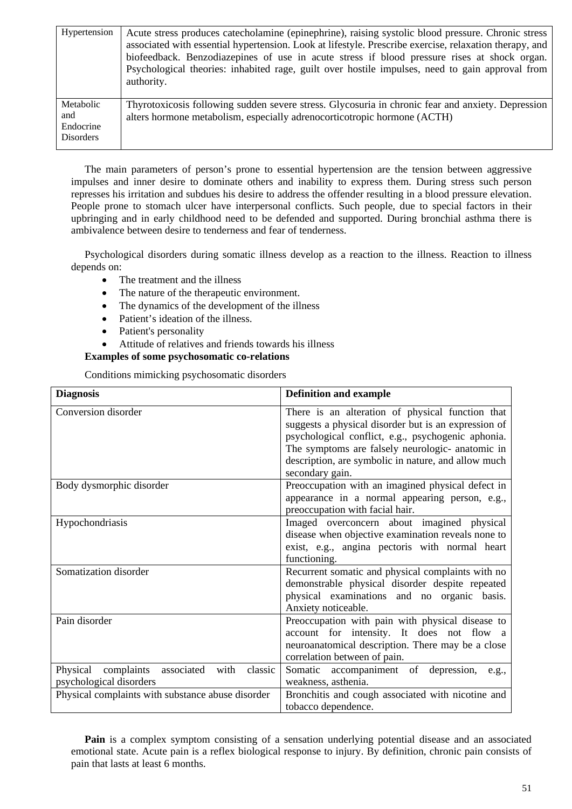| Hypertension                               | Acute stress produces cate cholamine (epinephrine), raising systolic blood pressure. Chronic stress<br>associated with essential hypertension. Look at lifestyle. Prescribe exercise, relaxation therapy, and<br>biofeedback. Benzodiazepines of use in acute stress if blood pressure rises at shock organ.<br>Psychological theories: inhabited rage, guilt over hostile impulses, need to gain approval from<br>authority. |
|--------------------------------------------|-------------------------------------------------------------------------------------------------------------------------------------------------------------------------------------------------------------------------------------------------------------------------------------------------------------------------------------------------------------------------------------------------------------------------------|
| Metabolic<br>and<br>Endocrine<br>Disorders | Thyrotoxicosis following sudden severe stress. Glycosuria in chronic fear and anxiety. Depression<br>alters hormone metabolism, especially adrenocorticotropic hormone (ACTH)                                                                                                                                                                                                                                                 |

The main parameters of person's prone to essential hypertension are the tension between aggressive impulses and inner desire to dominate others and inability to express them. During stress such person represses his irritation and subdues his desire to address the offender resulting in a blood pressure elevation. People prone to stomach ulcer have interpersonal conflicts. Such people, due to special factors in their upbringing and in early childhood need to be defended and supported. During bronchial asthma there is ambivalence between desire to tenderness and fear of tenderness.

Psychological disorders during somatic illness develop as a reaction to the illness. Reaction to illness depends on:

- The treatment and the illness
- The nature of the therapeutic environment.
- The dynamics of the development of the illness
- Patient's ideation of the illness.
- Patient's personality
- Attitude of relatives and friends towards his illness

## **Examples of some psychosomatic co-relations**

Conditions mimicking psychosomatic disorders

| <b>Diagnosis</b>                                                                   | <b>Definition and example</b>                                                                                                                                                                                                                                                                |
|------------------------------------------------------------------------------------|----------------------------------------------------------------------------------------------------------------------------------------------------------------------------------------------------------------------------------------------------------------------------------------------|
| Conversion disorder                                                                | There is an alteration of physical function that<br>suggests a physical disorder but is an expression of<br>psychological conflict, e.g., psychogenic aphonia.<br>The symptoms are falsely neurologic- anatomic in<br>description, are symbolic in nature, and allow much<br>secondary gain. |
| Body dysmorphic disorder                                                           | Preoccupation with an imagined physical defect in<br>appearance in a normal appearing person, e.g.,<br>preoccupation with facial hair.                                                                                                                                                       |
| Hypochondriasis                                                                    | Imaged overconcern about imagined physical<br>disease when objective examination reveals none to<br>exist, e.g., angina pectoris with normal heart<br>functioning.                                                                                                                           |
| Somatization disorder                                                              | Recurrent somatic and physical complaints with no<br>demonstrable physical disorder despite repeated<br>physical examinations and no organic basis.<br>Anxiety noticeable.                                                                                                                   |
| Pain disorder                                                                      | Preoccupation with pain with physical disease to<br>account for intensity. It does not flow a<br>neuroanatomical description. There may be a close<br>correlation between of pain.                                                                                                           |
| associated<br>classic<br>Physical<br>complaints<br>with<br>psychological disorders | Somatic accompaniment of depression,<br>e.g.,<br>weakness, asthenia.                                                                                                                                                                                                                         |
| Physical complaints with substance abuse disorder                                  | Bronchitis and cough associated with nicotine and<br>tobacco dependence.                                                                                                                                                                                                                     |

**Pain** is a complex symptom consisting of a sensation underlying potential disease and an associated emotional state. Acute pain is a reflex biological response to injury. By definition, chronic pain consists of pain that lasts at least 6 months.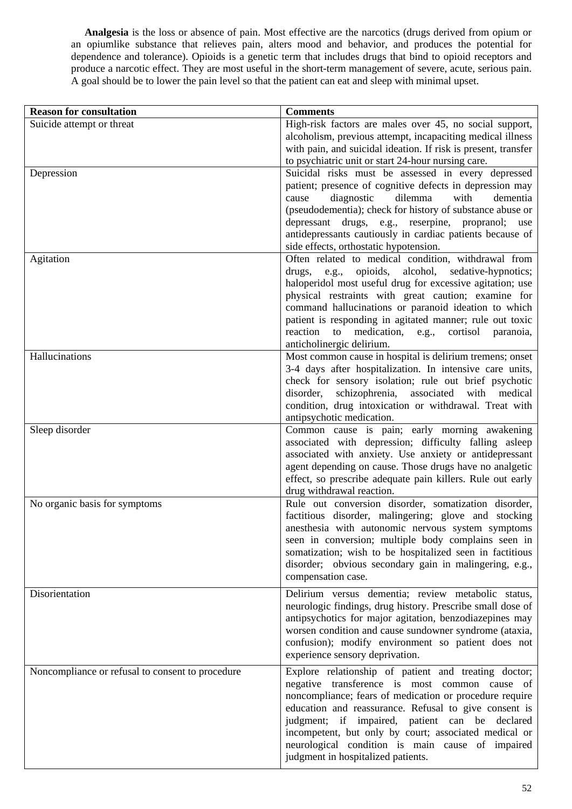**Analgesia** is the loss or absence of pain. Most effective are the narcotics (drugs derived from opium or an opiumlike substance that relieves pain, alters mood and behavior, and produces the potential for dependence and tolerance). Opioids is a genetic term that includes drugs that bind to opioid receptors and produce a narcotic effect. They are most useful in the short-term management of severe, acute, serious pain. A goal should be to lower the pain level so that the patient can eat and sleep with minimal upset.

| <b>Reason for consultation</b>                   | <b>Comments</b>                                                                                                                                                                                                                                                                                                                                                                                                                                   |
|--------------------------------------------------|---------------------------------------------------------------------------------------------------------------------------------------------------------------------------------------------------------------------------------------------------------------------------------------------------------------------------------------------------------------------------------------------------------------------------------------------------|
| Suicide attempt or threat                        | High-risk factors are males over 45, no social support,<br>alcoholism, previous attempt, incapaciting medical illness<br>with pain, and suicidal ideation. If risk is present, transfer<br>to psychiatric unit or start 24-hour nursing care.                                                                                                                                                                                                     |
| Depression                                       | Suicidal risks must be assessed in every depressed<br>patient; presence of cognitive defects in depression may<br>with<br>diagnostic<br>dilemma<br>dementia<br>cause<br>(pseudodementia); check for history of substance abuse or<br>depressant drugs, e.g., reserpine, propranol;<br>use<br>antidepressants cautiously in cardiac patients because of<br>side effects, orthostatic hypotension.                                                  |
| Agitation                                        | Often related to medical condition, withdrawal from<br>e.g., opioids,<br>alcohol, sedative-hypnotics;<br>drugs,<br>haloperidol most useful drug for excessive agitation; use<br>physical restraints with great caution; examine for<br>command hallucinations or paranoid ideation to which<br>patient is responding in agitated manner; rule out toxic<br>to<br>medication, e.g., cortisol<br>reaction<br>paranoia,<br>anticholinergic delirium. |
| Hallucinations                                   | Most common cause in hospital is delirium tremens; onset<br>3-4 days after hospitalization. In intensive care units,<br>check for sensory isolation; rule out brief psychotic<br>disorder,<br>schizophrenia, associated with medical<br>condition, drug intoxication or withdrawal. Treat with<br>antipsychotic medication.                                                                                                                       |
| Sleep disorder                                   | Common cause is pain; early morning awakening<br>associated with depression; difficulty falling asleep<br>associated with anxiety. Use anxiety or antidepressant<br>agent depending on cause. Those drugs have no analgetic<br>effect, so prescribe adequate pain killers. Rule out early<br>drug withdrawal reaction.                                                                                                                            |
| No organic basis for symptoms                    | Rule out conversion disorder, somatization disorder,<br>factitious disorder, malingering; glove and stocking<br>anesthesia with autonomic nervous system symptoms<br>seen in conversion; multiple body complains seen in<br>somatization; wish to be hospitalized seen in factitious<br>disorder; obvious secondary gain in malingering, e.g.,<br>compensation case.                                                                              |
| Disorientation                                   | Delirium versus dementia; review metabolic status,<br>neurologic findings, drug history. Prescribe small dose of<br>antipsychotics for major agitation, benzodiazepines may<br>worsen condition and cause sundowner syndrome (ataxia,<br>confusion); modify environment so patient does not<br>experience sensory deprivation.                                                                                                                    |
| Noncompliance or refusal to consent to procedure | Explore relationship of patient and treating doctor;<br>negative transference is most common cause of<br>noncompliance; fears of medication or procedure require<br>education and reassurance. Refusal to give consent is<br>judgment; if impaired, patient can be declared<br>incompetent, but only by court; associated medical or<br>neurological condition is main cause of impaired<br>judgment in hospitalized patients.                    |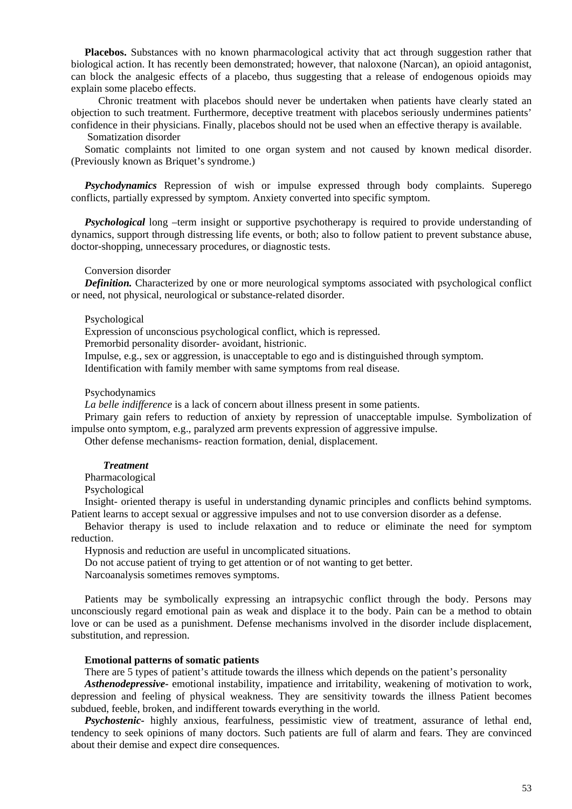**Placebos.** Substances with no known pharmacological activity that act through suggestion rather that biological action. It has recently been demonstrated; however, that naloxone (Narcan), an opioid antagonist, can block the analgesic effects of a placebo, thus suggesting that a release of endogenous opioids may explain some placebo effects.

Chronic treatment with placebos should never be undertaken when patients have clearly stated an objection to such treatment. Furthermore, deceptive treatment with placebos seriously undermines patients' confidence in their physicians. Finally, placebos should not be used when an effective therapy is available.

Somatization disorder

Somatic complaints not limited to one organ system and not caused by known medical disorder. (Previously known as Briquet's syndrome.)

*Psychodynamics* Repression of wish or impulse expressed through body complaints. Superego conflicts, partially expressed by symptom. Anxiety converted into specific symptom.

*Psychological* long –term insight or supportive psychotherapy is required to provide understanding of dynamics, support through distressing life events, or both; also to follow patient to prevent substance abuse, doctor-shopping, unnecessary procedures, or diagnostic tests.

### Conversion disorder

*Definition.* Characterized by one or more neurological symptoms associated with psychological conflict or need, not physical, neurological or substance-related disorder.

#### Psychological

Expression of unconscious psychological conflict, which is repressed.

Premorbid personality disorder- avoidant, histrionic.

Impulse, e.g., sex or aggression, is unacceptable to ego and is distinguished through symptom. Identification with family member with same symptoms from real disease.

#### Psychodynamics

*La belle indifference* is a lack of concern about illness present in some patients.

Primary gain refers to reduction of anxiety by repression of unacceptable impulse. Symbolization of impulse onto symptom, e.g., paralyzed arm prevents expression of aggressive impulse.

Other defense mechanisms- reaction formation, denial, displacement.

### *Treatment*

Pharmacological

Psychological

Insight- oriented therapy is useful in understanding dynamic principles and conflicts behind symptoms. Patient learns to accept sexual or aggressive impulses and not to use conversion disorder as a defense.

Behavior therapy is used to include relaxation and to reduce or eliminate the need for symptom reduction.

Hypnosis and reduction are useful in uncomplicated situations.

Do not accuse patient of trying to get attention or of not wanting to get better.

Narcoanalysis sometimes removes symptoms.

Patients may be symbolically expressing an intrapsychic conflict through the body. Persons may unconsciously regard emotional pain as weak and displace it to the body. Pain can be a method to obtain love or can be used as a punishment. Defense mechanisms involved in the disorder include displacement, substitution, and repression.

### **Emotional patterns of somatic patients**

There are 5 types of patient's attitude towards the illness which depends on the patient's personality

*Asthenodepressive-* emotional instability, impatience and irritability, weakening of motivation to work, depression and feeling of physical weakness. They are sensitivity towards the illness Patient becomes subdued, feeble, broken, and indifferent towards everything in the world.

*Psychostenic-* highly anxious, fearfulness, pessimistic view of treatment, assurance of lethal end, tendency to seek opinions of many doctors. Such patients are full of alarm and fears. They are convinced about their demise and expect dire consequences.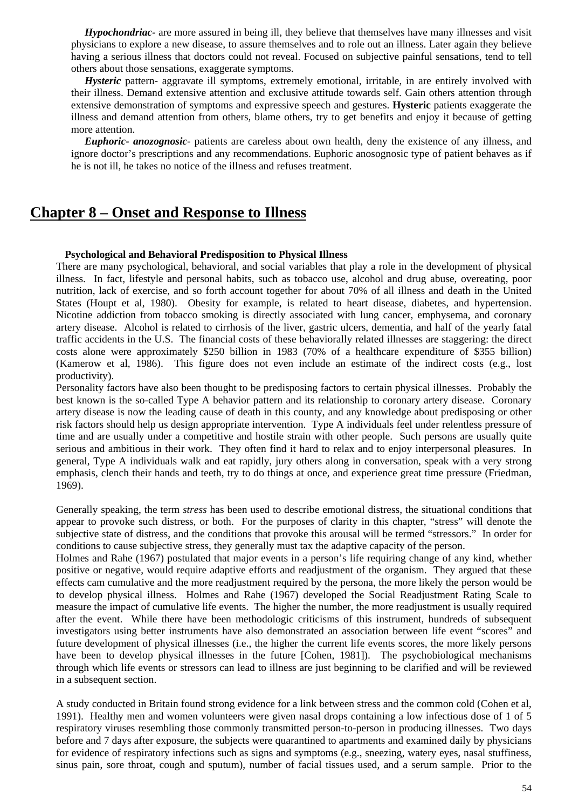*Hypochondriac-* are more assured in being ill, they believe that themselves have many illnesses and visit physicians to explore a new disease, to assure themselves and to role out an illness. Later again they believe having a serious illness that doctors could not reveal. Focused on subjective painful sensations, tend to tell others about those sensations, exaggerate symptoms.

*Hysteric* pattern- aggravate ill symptoms, extremely emotional, irritable, in are entirely involved with their illness. Demand extensive attention and exclusive attitude towards self. Gain others attention through extensive demonstration of symptoms and expressive speech and gestures. **Hysteric** patients exaggerate the illness and demand attention from others, blame others, try to get benefits and enjoy it because of getting more attention.

*Euphoric- anozognosic*- patients are careless about own health, deny the existence of any illness, and ignore doctor's prescriptions and any recommendations. Euphoric anosognosic type of patient behaves as if he is not ill, he takes no notice of the illness and refuses treatment.

# **Chapter 8 – Onset and Response to Illness**

### **Psychological and Behavioral Predisposition to Physical Illness**

There are many psychological, behavioral, and social variables that play a role in the development of physical illness. In fact, lifestyle and personal habits, such as tobacco use, alcohol and drug abuse, overeating, poor nutrition, lack of exercise, and so forth account together for about 70% of all illness and death in the United States (Houpt et al, 1980). Obesity for example, is related to heart disease, diabetes, and hypertension. Nicotine addiction from tobacco smoking is directly associated with lung cancer, emphysema, and coronary artery disease. Alcohol is related to cirrhosis of the liver, gastric ulcers, dementia, and half of the yearly fatal traffic accidents in the U.S. The financial costs of these behaviorally related illnesses are staggering: the direct costs alone were approximately \$250 billion in 1983 (70% of a healthcare expenditure of \$355 billion) (Kamerow et al, 1986). This figure does not even include an estimate of the indirect costs (e.g., lost productivity).

Personality factors have also been thought to be predisposing factors to certain physical illnesses. Probably the best known is the so-called Type A behavior pattern and its relationship to coronary artery disease. Coronary artery disease is now the leading cause of death in this county, and any knowledge about predisposing or other risk factors should help us design appropriate intervention. Type A individuals feel under relentless pressure of time and are usually under a competitive and hostile strain with other people. Such persons are usually quite serious and ambitious in their work. They often find it hard to relax and to enjoy interpersonal pleasures. In general, Type A individuals walk and eat rapidly, jury others along in conversation, speak with a very strong emphasis, clench their hands and teeth, try to do things at once, and experience great time pressure (Friedman, 1969).

Generally speaking, the term *stress* has been used to describe emotional distress, the situational conditions that appear to provoke such distress, or both. For the purposes of clarity in this chapter, "stress" will denote the subjective state of distress, and the conditions that provoke this arousal will be termed "stressors." In order for conditions to cause subjective stress, they generally must tax the adaptive capacity of the person.

Holmes and Rahe (1967) postulated that major events in a person's life requiring change of any kind, whether positive or negative, would require adaptive efforts and readjustment of the organism. They argued that these effects cam cumulative and the more readjustment required by the persona, the more likely the person would be to develop physical illness. Holmes and Rahe (1967) developed the Social Readjustment Rating Scale to measure the impact of cumulative life events. The higher the number, the more readjustment is usually required after the event. While there have been methodologic criticisms of this instrument, hundreds of subsequent investigators using better instruments have also demonstrated an association between life event "scores" and future development of physical illnesses (i.e., the higher the current life events scores, the more likely persons have been to develop physical illnesses in the future [Cohen, 1981]). The psychobiological mechanisms through which life events or stressors can lead to illness are just beginning to be clarified and will be reviewed in a subsequent section.

A study conducted in Britain found strong evidence for a link between stress and the common cold (Cohen et al, 1991). Healthy men and women volunteers were given nasal drops containing a low infectious dose of 1 of 5 respiratory viruses resembling those commonly transmitted person-to-person in producing illnesses. Two days before and 7 days after exposure, the subjects were quarantined to apartments and examined daily by physicians for evidence of respiratory infections such as signs and symptoms (e.g., sneezing, watery eyes, nasal stuffiness, sinus pain, sore throat, cough and sputum), number of facial tissues used, and a serum sample. Prior to the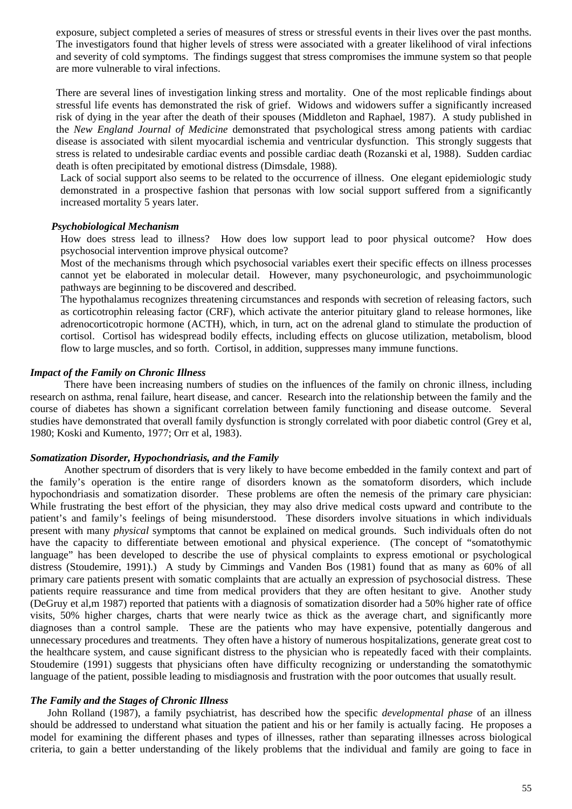exposure, subject completed a series of measures of stress or stressful events in their lives over the past months. The investigators found that higher levels of stress were associated with a greater likelihood of viral infections and severity of cold symptoms. The findings suggest that stress compromises the immune system so that people are more vulnerable to viral infections.

There are several lines of investigation linking stress and mortality. One of the most replicable findings about stressful life events has demonstrated the risk of grief. Widows and widowers suffer a significantly increased risk of dying in the year after the death of their spouses (Middleton and Raphael, 1987). A study published in the *New England Journal of Medicine* demonstrated that psychological stress among patients with cardiac disease is associated with silent myocardial ischemia and ventricular dysfunction. This strongly suggests that stress is related to undesirable cardiac events and possible cardiac death (Rozanski et al, 1988). Sudden cardiac death is often precipitated by emotional distress (Dimsdale, 1988).

Lack of social support also seems to be related to the occurrence of illness. One elegant epidemiologic study demonstrated in a prospective fashion that personas with low social support suffered from a significantly increased mortality 5 years later.

## *Psychobiological Mechanism*

How does stress lead to illness? How does low support lead to poor physical outcome? How does psychosocial intervention improve physical outcome?

Most of the mechanisms through which psychosocial variables exert their specific effects on illness processes cannot yet be elaborated in molecular detail. However, many psychoneurologic, and psychoimmunologic pathways are beginning to be discovered and described.

The hypothalamus recognizes threatening circumstances and responds with secretion of releasing factors, such as corticotrophin releasing factor (CRF), which activate the anterior pituitary gland to release hormones, like adrenocorticotropic hormone (ACTH), which, in turn, act on the adrenal gland to stimulate the production of cortisol. Cortisol has widespread bodily effects, including effects on glucose utilization, metabolism, blood flow to large muscles, and so forth. Cortisol, in addition, suppresses many immune functions.

## *Impact of the Family on Chronic Illness*

There have been increasing numbers of studies on the influences of the family on chronic illness, including research on asthma, renal failure, heart disease, and cancer. Research into the relationship between the family and the course of diabetes has shown a significant correlation between family functioning and disease outcome. Several studies have demonstrated that overall family dysfunction is strongly correlated with poor diabetic control (Grey et al, 1980; Koski and Kumento, 1977; Orr et al, 1983).

## *Somatization Disorder, Hypochondriasis, and the Family*

Another spectrum of disorders that is very likely to have become embedded in the family context and part of the family's operation is the entire range of disorders known as the somatoform disorders, which include hypochondriasis and somatization disorder. These problems are often the nemesis of the primary care physician: While frustrating the best effort of the physician, they may also drive medical costs upward and contribute to the patient's and family's feelings of being misunderstood. These disorders involve situations in which individuals present with many *physical* symptoms that cannot be explained on medical grounds. Such individuals often do not have the capacity to differentiate between emotional and physical experience. (The concept of "somatothymic language" has been developed to describe the use of physical complaints to express emotional or psychological distress (Stoudemire, 1991).) A study by Cimmings and Vanden Bos (1981) found that as many as 60% of all primary care patients present with somatic complaints that are actually an expression of psychosocial distress. These patients require reassurance and time from medical providers that they are often hesitant to give. Another study (DeGruy et al,m 1987) reported that patients with a diagnosis of somatization disorder had a 50% higher rate of office visits, 50% higher charges, charts that were nearly twice as thick as the average chart, and significantly more diagnoses than a control sample. These are the patients who may have expensive, potentially dangerous and unnecessary procedures and treatments. They often have a history of numerous hospitalizations, generate great cost to the healthcare system, and cause significant distress to the physician who is repeatedly faced with their complaints. Stoudemire (1991) suggests that physicians often have difficulty recognizing or understanding the somatothymic language of the patient, possible leading to misdiagnosis and frustration with the poor outcomes that usually result.

## *The Family and the Stages of Chronic Illness*

John Rolland (1987), a family psychiatrist, has described how the specific *developmental phase* of an illness should be addressed to understand what situation the patient and his or her family is actually facing. He proposes a model for examining the different phases and types of illnesses, rather than separating illnesses across biological criteria, to gain a better understanding of the likely problems that the individual and family are going to face in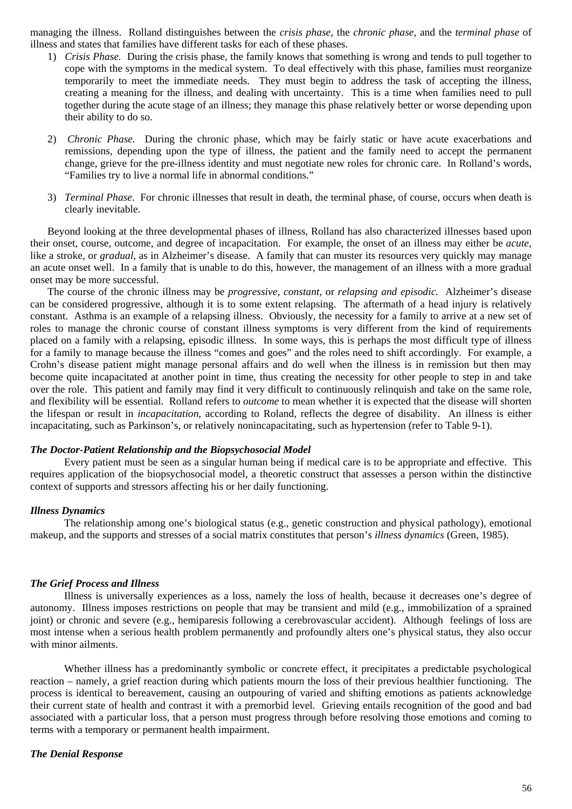managing the illness. Rolland distinguishes between the *crisis phase,* the *chronic phase*, and the *terminal phase* of illness and states that families have different tasks for each of these phases.

- 1) *Crisis Phase.* During the crisis phase, the family knows that something is wrong and tends to pull together to cope with the symptoms in the medical system. To deal effectively with this phase, families must reorganize temporarily to meet the immediate needs. They must begin to address the task of accepting the illness, creating a meaning for the illness, and dealing with uncertainty. This is a time when families need to pull together during the acute stage of an illness; they manage this phase relatively better or worse depending upon their ability to do so.
- 2) *Chronic Phase.* During the chronic phase, which may be fairly static or have acute exacerbations and remissions, depending upon the type of illness, the patient and the family need to accept the permanent change, grieve for the pre-illness identity and must negotiate new roles for chronic care. In Rolland's words, "Families try to live a normal life in abnormal conditions."
- 3) *Terminal Phase*. For chronic illnesses that result in death, the terminal phase, of course, occurs when death is clearly inevitable.

Beyond looking at the three developmental phases of illness, Rolland has also characterized illnesses based upon their onset, course, outcome, and degree of incapacitation. For example, the onset of an illness may either be *acute*, like a stroke, or *gradual*, as in Alzheimer's disease. A family that can muster its resources very quickly may manage an acute onset well. In a family that is unable to do this, however, the management of an illness with a more gradual onset may be more successful.

The course of the chronic illness may be *progressive, constant,* or *relapsing and episodic.* Alzheimer's disease can be considered progressive, although it is to some extent relapsing. The aftermath of a head injury is relatively constant. Asthma is an example of a relapsing illness. Obviously, the necessity for a family to arrive at a new set of roles to manage the chronic course of constant illness symptoms is very different from the kind of requirements placed on a family with a relapsing, episodic illness. In some ways, this is perhaps the most difficult type of illness for a family to manage because the illness "comes and goes" and the roles need to shift accordingly. For example, a Crohn's disease patient might manage personal affairs and do well when the illness is in remission but then may become quite incapacitated at another point in time, thus creating the necessity for other people to step in and take over the role. This patient and family may find it very difficult to continuously relinquish and take on the same role, and flexibility will be essential. Rolland refers to *outcome* to mean whether it is expected that the disease will shorten the lifespan or result in *incapacitation*, according to Roland, reflects the degree of disability. An illness is either incapacitating, such as Parkinson's, or relatively nonincapacitating, such as hypertension (refer to Table 9-1).

### *The Doctor-Patient Relationship and the Biopsychosocial Model*

Every patient must be seen as a singular human being if medical care is to be appropriate and effective. This requires application of the biopsychosocial model, a theoretic construct that assesses a person within the distinctive context of supports and stressors affecting his or her daily functioning.

### *Illness Dynamics*

The relationship among one's biological status (e.g., genetic construction and physical pathology), emotional makeup, and the supports and stresses of a social matrix constitutes that person's *illness dynamics* (Green, 1985).

### *The Grief Process and Illness*

Illness is universally experiences as a loss, namely the loss of health, because it decreases one's degree of autonomy. Illness imposes restrictions on people that may be transient and mild (e.g., immobilization of a sprained joint) or chronic and severe (e.g., hemiparesis following a cerebrovascular accident). Although feelings of loss are most intense when a serious health problem permanently and profoundly alters one's physical status, they also occur with minor ailments.

Whether illness has a predominantly symbolic or concrete effect, it precipitates a predictable psychological reaction – namely, a grief reaction during which patients mourn the loss of their previous healthier functioning. The process is identical to bereavement, causing an outpouring of varied and shifting emotions as patients acknowledge their current state of health and contrast it with a premorbid level. Grieving entails recognition of the good and bad associated with a particular loss, that a person must progress through before resolving those emotions and coming to terms with a temporary or permanent health impairment.

## *The Denial Response*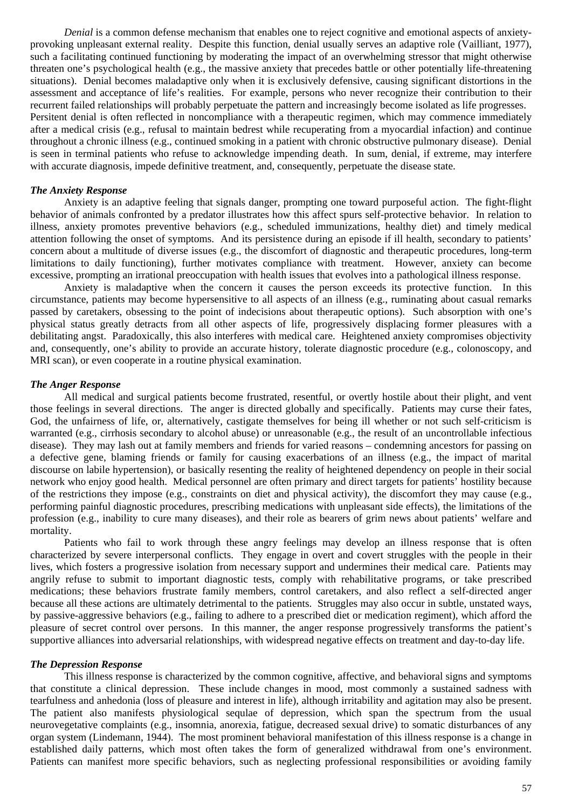*Denial* is a common defense mechanism that enables one to reject cognitive and emotional aspects of anxietyprovoking unpleasant external reality. Despite this function, denial usually serves an adaptive role (Vailliant, 1977), such a facilitating continued functioning by moderating the impact of an overwhelming stressor that might otherwise threaten one's psychological health (e.g., the massive anxiety that precedes battle or other potentially life-threatening situations). Denial becomes maladaptive only when it is exclusively defensive, causing significant distortions in the assessment and acceptance of life's realities. For example, persons who never recognize their contribution to their recurrent failed relationships will probably perpetuate the pattern and increasingly become isolated as life progresses. Persitent denial is often reflected in noncompliance with a therapeutic regimen, which may commence immediately after a medical crisis (e.g., refusal to maintain bedrest while recuperating from a myocardial infaction) and continue throughout a chronic illness (e.g., continued smoking in a patient with chronic obstructive pulmonary disease). Denial is seen in terminal patients who refuse to acknowledge impending death. In sum, denial, if extreme, may interfere with accurate diagnosis, impede definitive treatment, and, consequently, perpetuate the disease state.

### *The Anxiety Response*

Anxiety is an adaptive feeling that signals danger, prompting one toward purposeful action. The fight-flight behavior of animals confronted by a predator illustrates how this affect spurs self-protective behavior. In relation to illness, anxiety promotes preventive behaviors (e.g., scheduled immunizations, healthy diet) and timely medical attention following the onset of symptoms. And its persistence during an episode if ill health, secondary to patients' concern about a multitude of diverse issues (e.g., the discomfort of diagnostic and therapeutic procedures, long-term limitations to daily functioning), further motivates compliance with treatment. However, anxiety can become excessive, prompting an irrational preoccupation with health issues that evolves into a pathological illness response.

Anxiety is maladaptive when the concern it causes the person exceeds its protective function. In this circumstance, patients may become hypersensitive to all aspects of an illness (e.g., ruminating about casual remarks passed by caretakers, obsessing to the point of indecisions about therapeutic options). Such absorption with one's physical status greatly detracts from all other aspects of life, progressively displacing former pleasures with a debilitating angst. Paradoxically, this also interferes with medical care. Heightened anxiety compromises objectivity and, consequently, one's ability to provide an accurate history, tolerate diagnostic procedure (e.g., colonoscopy, and MRI scan), or even cooperate in a routine physical examination.

### *The Anger Response*

All medical and surgical patients become frustrated, resentful, or overtly hostile about their plight, and vent those feelings in several directions. The anger is directed globally and specifically. Patients may curse their fates, God, the unfairness of life, or, alternatively, castigate themselves for being ill whether or not such self-criticism is warranted (e.g., cirrhosis secondary to alcohol abuse) or unreasonable (e.g., the result of an uncontrollable infectious disease). They may lash out at family members and friends for varied reasons – condemning ancestors for passing on a defective gene, blaming friends or family for causing exacerbations of an illness (e.g., the impact of marital discourse on labile hypertension), or basically resenting the reality of heightened dependency on people in their social network who enjoy good health. Medical personnel are often primary and direct targets for patients' hostility because of the restrictions they impose (e.g., constraints on diet and physical activity), the discomfort they may cause (e.g., performing painful diagnostic procedures, prescribing medications with unpleasant side effects), the limitations of the profession (e.g., inability to cure many diseases), and their role as bearers of grim news about patients' welfare and mortality.

Patients who fail to work through these angry feelings may develop an illness response that is often characterized by severe interpersonal conflicts. They engage in overt and covert struggles with the people in their lives, which fosters a progressive isolation from necessary support and undermines their medical care. Patients may angrily refuse to submit to important diagnostic tests, comply with rehabilitative programs, or take prescribed medications; these behaviors frustrate family members, control caretakers, and also reflect a self-directed anger because all these actions are ultimately detrimental to the patients. Struggles may also occur in subtle, unstated ways, by passive-aggressive behaviors (e.g., failing to adhere to a prescribed diet or medication regiment), which afford the pleasure of secret control over persons. In this manner, the anger response progressively transforms the patient's supportive alliances into adversarial relationships, with widespread negative effects on treatment and day-to-day life.

### *The Depression Response*

This illness response is characterized by the common cognitive, affective, and behavioral signs and symptoms that constitute a clinical depression. These include changes in mood, most commonly a sustained sadness with tearfulness and anhedonia (loss of pleasure and interest in life), although irritability and agitation may also be present. The patient also manifests physiological sequlae of depression, which span the spectrum from the usual neurovegetative complaints (e.g., insomnia, anorexia, fatigue, decreased sexual drive) to somatic disturbances of any organ system (Lindemann, 1944). The most prominent behavioral manifestation of this illness response is a change in established daily patterns, which most often takes the form of generalized withdrawal from one's environment. Patients can manifest more specific behaviors, such as neglecting professional responsibilities or avoiding family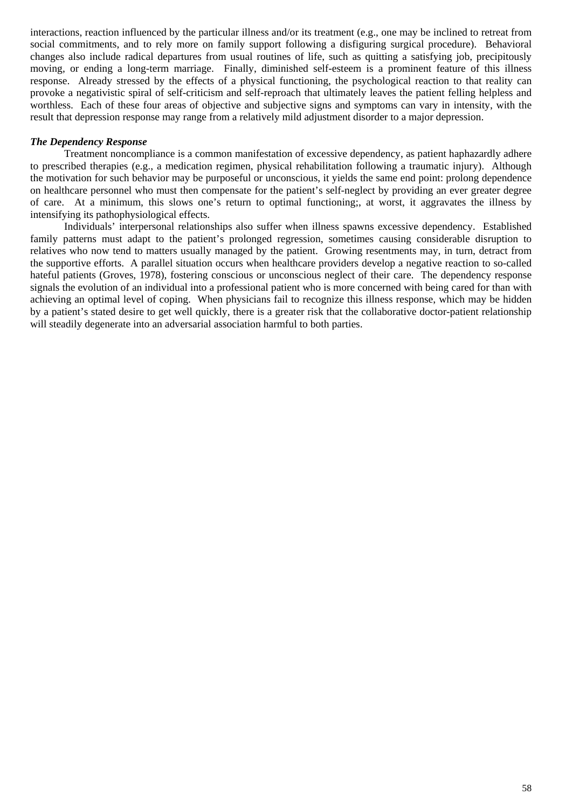interactions, reaction influenced by the particular illness and/or its treatment (e.g., one may be inclined to retreat from social commitments, and to rely more on family support following a disfiguring surgical procedure). Behavioral changes also include radical departures from usual routines of life, such as quitting a satisfying job, precipitously moving, or ending a long-term marriage. Finally, diminished self-esteem is a prominent feature of this illness response. Already stressed by the effects of a physical functioning, the psychological reaction to that reality can provoke a negativistic spiral of self-criticism and self-reproach that ultimately leaves the patient felling helpless and worthless. Each of these four areas of objective and subjective signs and symptoms can vary in intensity, with the result that depression response may range from a relatively mild adjustment disorder to a major depression.

### *The Dependency Response*

Treatment noncompliance is a common manifestation of excessive dependency, as patient haphazardly adhere to prescribed therapies (e.g., a medication regimen, physical rehabilitation following a traumatic injury). Although the motivation for such behavior may be purposeful or unconscious, it yields the same end point: prolong dependence on healthcare personnel who must then compensate for the patient's self-neglect by providing an ever greater degree of care. At a minimum, this slows one's return to optimal functioning;, at worst, it aggravates the illness by intensifying its pathophysiological effects.

Individuals' interpersonal relationships also suffer when illness spawns excessive dependency. Established family patterns must adapt to the patient's prolonged regression, sometimes causing considerable disruption to relatives who now tend to matters usually managed by the patient. Growing resentments may, in turn, detract from the supportive efforts. A parallel situation occurs when healthcare providers develop a negative reaction to so-called hateful patients (Groves, 1978), fostering conscious or unconscious neglect of their care. The dependency response signals the evolution of an individual into a professional patient who is more concerned with being cared for than with achieving an optimal level of coping. When physicians fail to recognize this illness response, which may be hidden by a patient's stated desire to get well quickly, there is a greater risk that the collaborative doctor-patient relationship will steadily degenerate into an adversarial association harmful to both parties.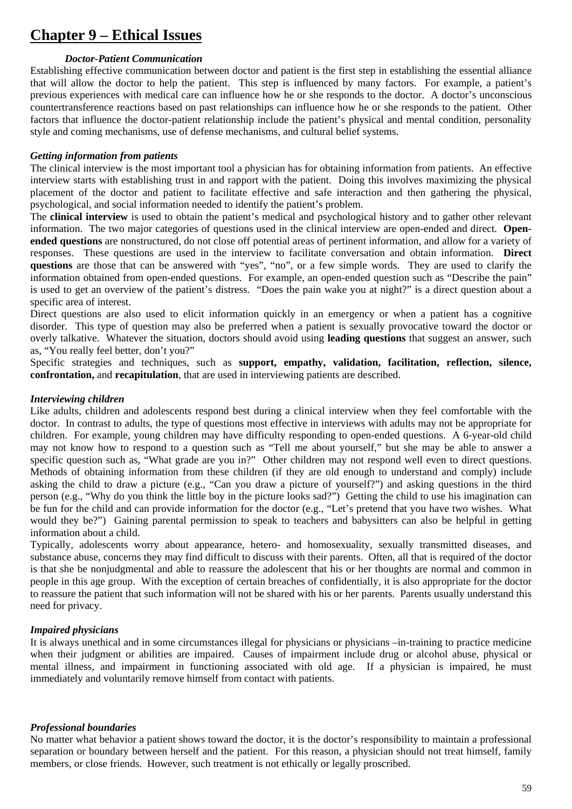# **Chapter 9 – Ethical Issues**

## *Doctor-Patient Communication*

Establishing effective communication between doctor and patient is the first step in establishing the essential alliance that will allow the doctor to help the patient. This step is influenced by many factors. For example, a patient's previous experiences with medical care can influence how he or she responds to the doctor. A doctor's unconscious countertransference reactions based on past relationships can influence how he or she responds to the patient. Other factors that influence the doctor-patient relationship include the patient's physical and mental condition, personality style and coming mechanisms, use of defense mechanisms, and cultural belief systems.

### *Getting information from patients*

The clinical interview is the most important tool a physician has for obtaining information from patients. An effective interview starts with establishing trust in and rapport with the patient. Doing this involves maximizing the physical placement of the doctor and patient to facilitate effective and safe interaction and then gathering the physical, psychological, and social information needed to identify the patient's problem.

The **clinical interview** is used to obtain the patient's medical and psychological history and to gather other relevant information. The two major categories of questions used in the clinical interview are open-ended and direct. **Openended questions** are nonstructured, do not close off potential areas of pertinent information, and allow for a variety of responses. These questions are used in the interview to facilitate conversation and obtain information. **Direct questions** are those that can be answered with "yes", "no", or a few simple words. They are used to clarify the information obtained from open-ended questions. For example, an open-ended question such as "Describe the pain" is used to get an overview of the patient's distress. "Does the pain wake you at night?" is a direct question about a specific area of interest.

Direct questions are also used to elicit information quickly in an emergency or when a patient has a cognitive disorder. This type of question may also be preferred when a patient is sexually provocative toward the doctor or overly talkative. Whatever the situation, doctors should avoid using **leading questions** that suggest an answer, such as, "You really feel better, don't you?"

Specific strategies and techniques, such as **support**, empathy, validation, facilitation, reflection, silence, **confrontation,** and **recapitulation**, that are used in interviewing patients are described.

### *Interviewing children*

Like adults, children and adolescents respond best during a clinical interview when they feel comfortable with the doctor. In contrast to adults, the type of questions most effective in interviews with adults may not be appropriate for children. For example, young children may have difficulty responding to open-ended questions. A 6-year-old child may not know how to respond to a question such as "Tell me about yourself," but she may be able to answer a specific question such as, "What grade are you in?" Other children may not respond well even to direct questions. Methods of obtaining information from these children (if they are old enough to understand and comply) include asking the child to draw a picture (e.g., "Can you draw a picture of yourself?") and asking questions in the third person (e.g., "Why do you think the little boy in the picture looks sad?") Getting the child to use his imagination can be fun for the child and can provide information for the doctor (e.g., "Let's pretend that you have two wishes. What would they be?") Gaining parental permission to speak to teachers and babysitters can also be helpful in getting information about a child.

Typically, adolescents worry about appearance, hetero- and homosexuality, sexually transmitted diseases, and substance abuse, concerns they may find difficult to discuss with their parents. Often, all that is required of the doctor is that she be nonjudgmental and able to reassure the adolescent that his or her thoughts are normal and common in people in this age group. With the exception of certain breaches of confidentially, it is also appropriate for the doctor to reassure the patient that such information will not be shared with his or her parents. Parents usually understand this need for privacy.

## *Impaired physicians*

It is always unethical and in some circumstances illegal for physicians or physicians –in-training to practice medicine when their judgment or abilities are impaired. Causes of impairment include drug or alcohol abuse, physical or mental illness, and impairment in functioning associated with old age. If a physician is impaired, he must immediately and voluntarily remove himself from contact with patients.

## *Professional boundaries*

No matter what behavior a patient shows toward the doctor, it is the doctor's responsibility to maintain a professional separation or boundary between herself and the patient. For this reason, a physician should not treat himself, family members, or close friends. However, such treatment is not ethically or legally proscribed.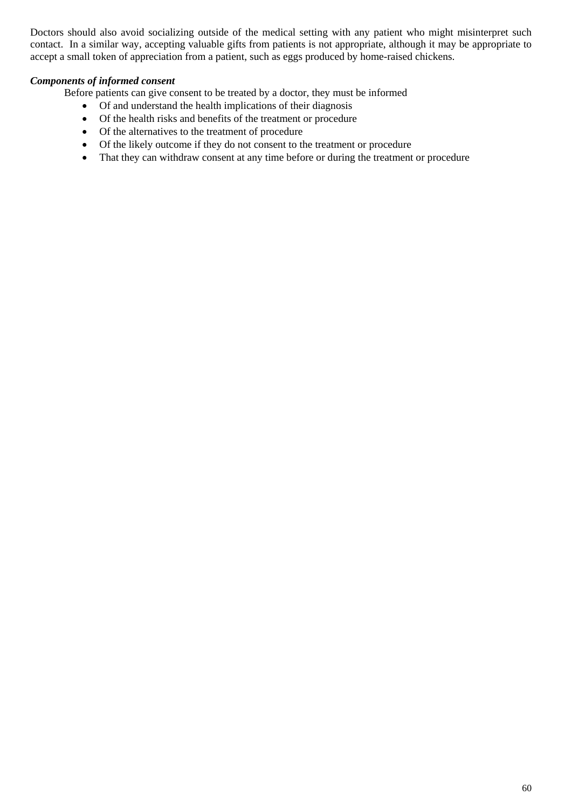Doctors should also avoid socializing outside of the medical setting with any patient who might misinterpret such contact. In a similar way, accepting valuable gifts from patients is not appropriate, although it may be appropriate to accept a small token of appreciation from a patient, such as eggs produced by home-raised chickens.

# *Components of informed consent*

Before patients can give consent to be treated by a doctor, they must be informed

- Of and understand the health implications of their diagnosis
- Of the health risks and benefits of the treatment or procedure
- Of the alternatives to the treatment of procedure
- Of the likely outcome if they do not consent to the treatment or procedure
- That they can withdraw consent at any time before or during the treatment or procedure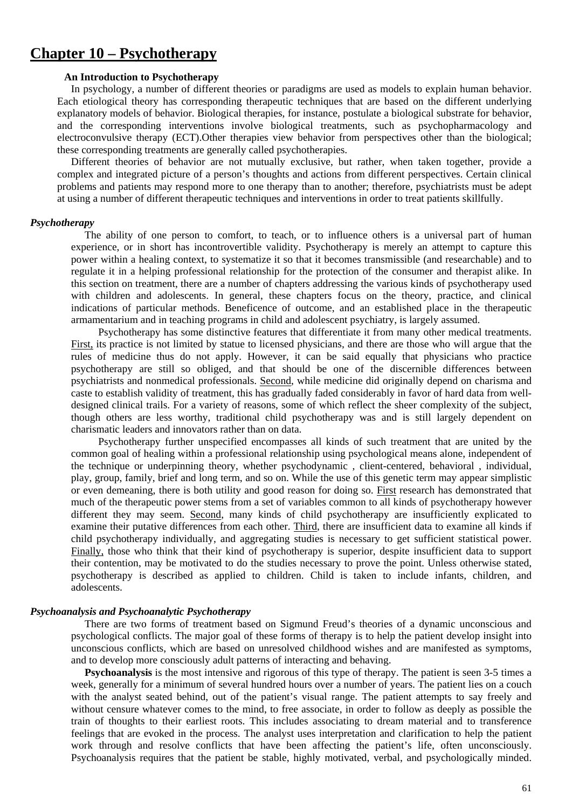# **Chapter 10 – Psychotherapy**

### **An Introduction to Psychotherapy**

In psychology, a number of different theories or paradigms are used as models to explain human behavior. Each etiological theory has corresponding therapeutic techniques that are based on the different underlying explanatory models of behavior. Biological therapies, for instance, postulate a biological substrate for behavior, and the corresponding interventions involve biological treatments, such as psychopharmacology and electroconvulsive therapy (ECT).Other therapies view behavior from perspectives other than the biological; these corresponding treatments are generally called psychotherapies.

Different theories of behavior are not mutually exclusive, but rather, when taken together, provide a complex and integrated picture of a person's thoughts and actions from different perspectives. Certain clinical problems and patients may respond more to one therapy than to another; therefore, psychiatrists must be adept at using a number of different therapeutic techniques and interventions in order to treat patients skillfully.

### *Psychotherapy*

The ability of one person to comfort, to teach, or to influence others is a universal part of human experience, or in short has incontrovertible validity. Psychotherapy is merely an attempt to capture this power within a healing context, to systematize it so that it becomes transmissible (and researchable) and to regulate it in a helping professional relationship for the protection of the consumer and therapist alike. In this section on treatment, there are a number of chapters addressing the various kinds of psychotherapy used with children and adolescents. In general, these chapters focus on the theory, practice, and clinical indications of particular methods. Beneficence of outcome, and an established place in the therapeutic armamentarium and in teaching programs in child and adolescent psychiatry, is largely assumed.

Psychotherapy has some distinctive features that differentiate it from many other medical treatments. First, its practice is not limited by statue to licensed physicians, and there are those who will argue that the rules of medicine thus do not apply. However, it can be said equally that physicians who practice psychotherapy are still so obliged, and that should be one of the discernible differences between psychiatrists and nonmedical professionals. Second, while medicine did originally depend on charisma and caste to establish validity of treatment, this has gradually faded considerably in favor of hard data from welldesigned clinical trails. For a variety of reasons, some of which reflect the sheer complexity of the subject, though others are less worthy, traditional child psychotherapy was and is still largely dependent on charismatic leaders and innovators rather than on data.

Psychotherapy further unspecified encompasses all kinds of such treatment that are united by the common goal of healing within a professional relationship using psychological means alone, independent of the technique or underpinning theory, whether psychodynamic , client-centered, behavioral , individual, play, group, family, brief and long term, and so on. While the use of this genetic term may appear simplistic or even demeaning, there is both utility and good reason for doing so. First research has demonstrated that much of the therapeutic power stems from a set of variables common to all kinds of psychotherapy however different they may seem. Second, many kinds of child psychotherapy are insufficiently explicated to examine their putative differences from each other. Third, there are insufficient data to examine all kinds if child psychotherapy individually, and aggregating studies is necessary to get sufficient statistical power. Finally, those who think that their kind of psychotherapy is superior, despite insufficient data to support their contention, may be motivated to do the studies necessary to prove the point. Unless otherwise stated, psychotherapy is described as applied to children. Child is taken to include infants, children, and adolescents.

### *Psychoanalysis and Psychoanalytic Psychotherapy*

There are two forms of treatment based on Sigmund Freud's theories of a dynamic unconscious and psychological conflicts. The major goal of these forms of therapy is to help the patient develop insight into unconscious conflicts, which are based on unresolved childhood wishes and are manifested as symptoms, and to develop more consciously adult patterns of interacting and behaving.

**Psychoanalysis** is the most intensive and rigorous of this type of therapy. The patient is seen 3-5 times a week, generally for a minimum of several hundred hours over a number of years. The patient lies on a couch with the analyst seated behind, out of the patient's visual range. The patient attempts to say freely and without censure whatever comes to the mind, to free associate, in order to follow as deeply as possible the train of thoughts to their earliest roots. This includes associating to dream material and to transference feelings that are evoked in the process. The analyst uses interpretation and clarification to help the patient work through and resolve conflicts that have been affecting the patient's life, often unconsciously. Psychoanalysis requires that the patient be stable, highly motivated, verbal, and psychologically minded.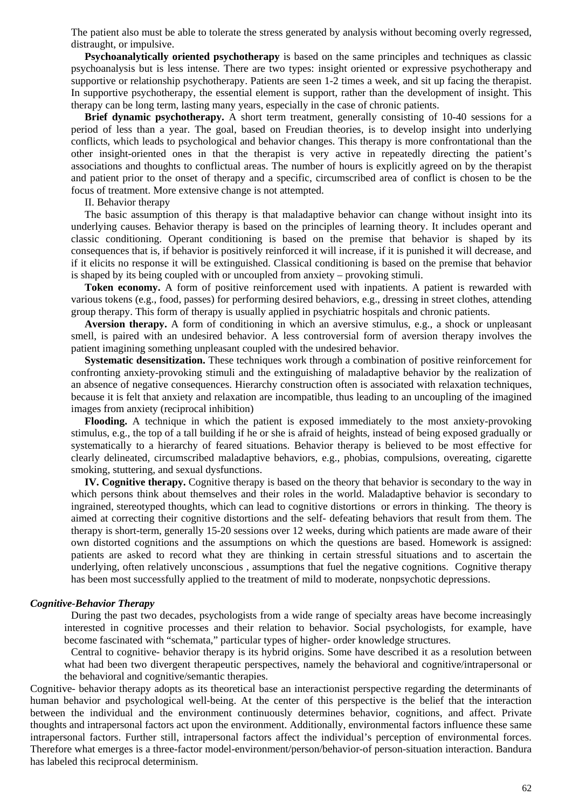The patient also must be able to tolerate the stress generated by analysis without becoming overly regressed, distraught, or impulsive.

**Psychoanalytically oriented psychotherapy** is based on the same principles and techniques as classic psychoanalysis but is less intense. There are two types: insight oriented or expressive psychotherapy and supportive or relationship psychotherapy. Patients are seen 1-2 times a week, and sit up facing the therapist. In supportive psychotherapy, the essential element is support, rather than the development of insight. This therapy can be long term, lasting many years, especially in the case of chronic patients.

**Brief dynamic psychotherapy.** A short term treatment, generally consisting of 10-40 sessions for a period of less than a year. The goal, based on Freudian theories, is to develop insight into underlying conflicts, which leads to psychological and behavior changes. This therapy is more confrontational than the other insight-oriented ones in that the therapist is very active in repeatedly directing the patient's associations and thoughts to conflictual areas. The number of hours is explicitly agreed on by the therapist and patient prior to the onset of therapy and a specific, circumscribed area of conflict is chosen to be the focus of treatment. More extensive change is not attempted.

II. Behavior therapy

The basic assumption of this therapy is that maladaptive behavior can change without insight into its underlying causes. Behavior therapy is based on the principles of learning theory. It includes operant and classic conditioning. Operant conditioning is based on the premise that behavior is shaped by its consequences that is, if behavior is positively reinforced it will increase, if it is punished it will decrease, and if it elicits no response it will be extinguished. Classical conditioning is based on the premise that behavior is shaped by its being coupled with or uncoupled from anxiety – provoking stimuli.

**Token economy.** A form of positive reinforcement used with inpatients. A patient is rewarded with various tokens (e.g., food, passes) for performing desired behaviors, e.g., dressing in street clothes, attending group therapy. This form of therapy is usually applied in psychiatric hospitals and chronic patients.

**Aversion therapy.** A form of conditioning in which an aversive stimulus, e.g., a shock or unpleasant smell, is paired with an undesired behavior. A less controversial form of aversion therapy involves the patient imagining something unpleasant coupled with the undesired behavior.

**Systematic desensitization.** These techniques work through a combination of positive reinforcement for confronting anxiety-provoking stimuli and the extinguishing of maladaptive behavior by the realization of an absence of negative consequences. Hierarchy construction often is associated with relaxation techniques, because it is felt that anxiety and relaxation are incompatible, thus leading to an uncoupling of the imagined images from anxiety (reciprocal inhibition)

**Flooding.** A technique in which the patient is exposed immediately to the most anxiety-provoking stimulus, e.g., the top of a tall building if he or she is afraid of heights, instead of being exposed gradually or systematically to a hierarchy of feared situations. Behavior therapy is believed to be most effective for clearly delineated, circumscribed maladaptive behaviors, e.g., phobias, compulsions, overeating, cigarette smoking, stuttering, and sexual dysfunctions.

**IV. Cognitive therapy.** Cognitive therapy is based on the theory that behavior is secondary to the way in which persons think about themselves and their roles in the world. Maladaptive behavior is secondary to ingrained, stereotyped thoughts, which can lead to cognitive distortions or errors in thinking. The theory is aimed at correcting their cognitive distortions and the self- defeating behaviors that result from them. The therapy is short-term, generally 15-20 sessions over 12 weeks, during which patients are made aware of their own distorted cognitions and the assumptions on which the questions are based. Homework is assigned: patients are asked to record what they are thinking in certain stressful situations and to ascertain the underlying, often relatively unconscious , assumptions that fuel the negative cognitions. Cognitive therapy has been most successfully applied to the treatment of mild to moderate, nonpsychotic depressions.

### *Cognitive-Behavior Therapy*

During the past two decades, psychologists from a wide range of specialty areas have become increasingly interested in cognitive processes and their relation to behavior. Social psychologists, for example, have become fascinated with "schemata," particular types of higher- order knowledge structures.

Central to cognitive- behavior therapy is its hybrid origins. Some have described it as a resolution between what had been two divergent therapeutic perspectives, namely the behavioral and cognitive/intrapersonal or the behavioral and cognitive/semantic therapies.

Cognitive- behavior therapy adopts as its theoretical base an interactionist perspective regarding the determinants of human behavior and psychological well-being. At the center of this perspective is the belief that the interaction between the individual and the environment continuously determines behavior, cognitions, and affect. Private thoughts and intrapersonal factors act upon the environment. Additionally, environmental factors influence these same intrapersonal factors. Further still, intrapersonal factors affect the individual's perception of environmental forces. Therefore what emerges is a three-factor model-environment/person/behavior-of person-situation interaction. Bandura has labeled this reciprocal determinism.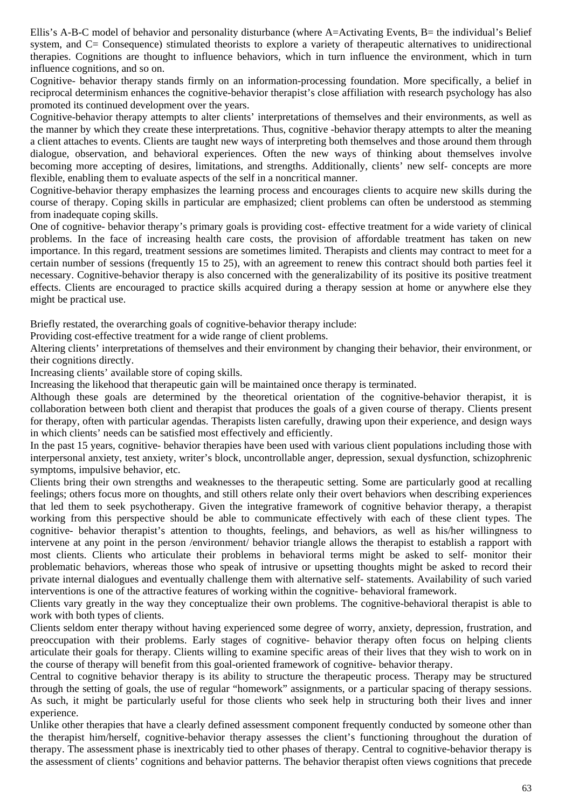Ellis's A-B-C model of behavior and personality disturbance (where A=Activating Events, B= the individual's Belief system, and C= Consequence) stimulated theorists to explore a variety of therapeutic alternatives to unidirectional therapies. Cognitions are thought to influence behaviors, which in turn influence the environment, which in turn influence cognitions, and so on.

Cognitive- behavior therapy stands firmly on an information-processing foundation. More specifically, a belief in reciprocal determinism enhances the cognitive-behavior therapist's close affiliation with research psychology has also promoted its continued development over the years.

Cognitive-behavior therapy attempts to alter clients' interpretations of themselves and their environments, as well as the manner by which they create these interpretations. Thus, cognitive -behavior therapy attempts to alter the meaning a client attaches to events. Clients are taught new ways of interpreting both themselves and those around them through dialogue, observation, and behavioral experiences. Often the new ways of thinking about themselves involve becoming more accepting of desires, limitations, and strengths. Additionally, clients' new self- concepts are more flexible, enabling them to evaluate aspects of the self in a noncritical manner.

Cognitive-behavior therapy emphasizes the learning process and encourages clients to acquire new skills during the course of therapy. Coping skills in particular are emphasized; client problems can often be understood as stemming from inadequate coping skills.

One of cognitive- behavior therapy's primary goals is providing cost- effective treatment for a wide variety of clinical problems. In the face of increasing health care costs, the provision of affordable treatment has taken on new importance. In this regard, treatment sessions are sometimes limited. Therapists and clients may contract to meet for a certain number of sessions (frequently 15 to 25), with an agreement to renew this contract should both parties feel it necessary. Cognitive-behavior therapy is also concerned with the generalizability of its positive its positive treatment effects. Clients are encouraged to practice skills acquired during a therapy session at home or anywhere else they might be practical use.

Briefly restated, the overarching goals of cognitive-behavior therapy include:

Providing cost-effective treatment for a wide range of client problems.

Altering clients' interpretations of themselves and their environment by changing their behavior, their environment, or their cognitions directly.

Increasing clients' available store of coping skills.

Increasing the likehood that therapeutic gain will be maintained once therapy is terminated.

Although these goals are determined by the theoretical orientation of the cognitive-behavior therapist, it is collaboration between both client and therapist that produces the goals of a given course of therapy. Clients present for therapy, often with particular agendas. Therapists listen carefully, drawing upon their experience, and design ways in which clients' needs can be satisfied most effectively and efficiently.

In the past 15 years, cognitive- behavior therapies have been used with various client populations including those with interpersonal anxiety, test anxiety, writer's block, uncontrollable anger, depression, sexual dysfunction, schizophrenic symptoms, impulsive behavior, etc.

Clients bring their own strengths and weaknesses to the therapeutic setting. Some are particularly good at recalling feelings; others focus more on thoughts, and still others relate only their overt behaviors when describing experiences that led them to seek psychotherapy. Given the integrative framework of cognitive behavior therapy, a therapist working from this perspective should be able to communicate effectively with each of these client types. The cognitive- behavior therapist's attention to thoughts, feelings, and behaviors, as well as his/her willingness to intervene at any point in the person /environment/ behavior triangle allows the therapist to establish a rapport with most clients. Clients who articulate their problems in behavioral terms might be asked to self- monitor their problematic behaviors, whereas those who speak of intrusive or upsetting thoughts might be asked to record their private internal dialogues and eventually challenge them with alternative self- statements. Availability of such varied interventions is one of the attractive features of working within the cognitive- behavioral framework.

Clients vary greatly in the way they conceptualize their own problems. The cognitive-behavioral therapist is able to work with both types of clients.

Clients seldom enter therapy without having experienced some degree of worry, anxiety, depression, frustration, and preoccupation with their problems. Early stages of cognitive- behavior therapy often focus on helping clients articulate their goals for therapy. Clients willing to examine specific areas of their lives that they wish to work on in the course of therapy will benefit from this goal-oriented framework of cognitive- behavior therapy.

Central to cognitive behavior therapy is its ability to structure the therapeutic process. Therapy may be structured through the setting of goals, the use of regular "homework" assignments, or a particular spacing of therapy sessions. As such, it might be particularly useful for those clients who seek help in structuring both their lives and inner experience.

Unlike other therapies that have a clearly defined assessment component frequently conducted by someone other than the therapist him/herself, cognitive-behavior therapy assesses the client's functioning throughout the duration of therapy. The assessment phase is inextricably tied to other phases of therapy. Central to cognitive-behavior therapy is the assessment of clients' cognitions and behavior patterns. The behavior therapist often views cognitions that precede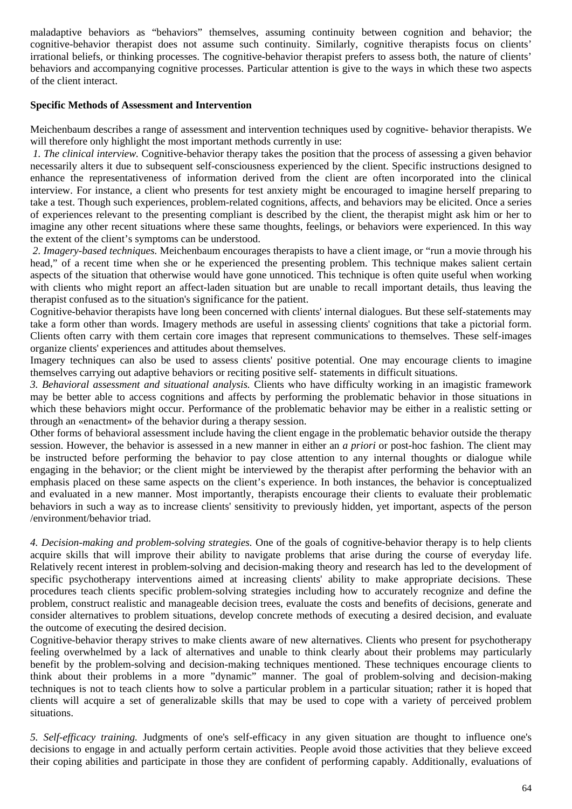maladaptive behaviors as "behaviors" themselves, assuming continuity between cognition and behavior; the cognitive-behavior therapist does not assume such continuity. Similarly, cognitive therapists focus on clients' irrational beliefs, or thinking processes. The cognitive-behavior therapist prefers to assess both, the nature of clients' behaviors and accompanying cognitive processes. Particular attention is give to the ways in which these two aspects of the client interact.

### **Specific Methods of Assessment and Intervention**

Meichenbaum describes a range of assessment and intervention techniques used by cognitive- behavior therapists. We will therefore only highlight the most important methods currently in use:

*1. The clinical interview.* Cognitive-behavior therapy takes the position that the process of assessing a given behavior necessarily alters it due to subsequent self-consciousness experienced by the client. Specific instructions designed to enhance the representativeness of information derived from the client are often incorporated into the clinical interview. For instance, a client who presents for test anxiety might be encouraged to imagine herself preparing to take a test. Though such experiences, problem-related cognitions, affects, and behaviors may be elicited. Once a series of experiences relevant to the presenting compliant is described by the client, the therapist might ask him or her to imagine any other recent situations where these same thoughts, feelings, or behaviors were experienced. In this way the extent of the client's symptoms can be understood.

*2. Imagery-based techniques.* Meichenbaum encourages therapists to have a client image, or "run a movie through his head," of a recent time when she or he experienced the presenting problem. This technique makes salient certain aspects of the situation that otherwise would have gone unnoticed. This technique is often quite useful when working with clients who might report an affect-laden situation but are unable to recall important details, thus leaving the therapist confused as to the situation's significance for the patient.

Cognitive-behavior therapists have long been concerned with clients' internal dialogues. But these self-statements may take a form other than words. Imagery methods are useful in assessing clients' cognitions that take a pictorial form. Clients often carry with them certain core images that represent communications to themselves. These self-images organize clients' experiences and attitudes about themselves.

Imagery techniques can also be used to assess clients' positive potential. One may encourage clients to imagine themselves carrying out adaptive behaviors or reciting positive self- statements in difficult situations.

*3. Behavioral assessment and situational analysis.* Clients who have difficulty working in an imagistic framework may be better able to access cognitions and affects by performing the problematic behavior in those situations in which these behaviors might occur. Performance of the problematic behavior may be either in a realistic setting or through an «enactment» of the behavior during a therapy session.

Other forms of behavioral assessment include having the client engage in the problematic behavior outside the therapy session. However, the behavior is assessed in a new manner in either an *a priori* or post-hoc fashion. The client may be instructed before performing the behavior to pay close attention to any internal thoughts or dialogue while engaging in the behavior; or the client might be interviewed by the therapist after performing the behavior with an emphasis placed on these same aspects on the client's experience. In both instances, the behavior is conceptualized and evaluated in a new manner. Most importantly, therapists encourage their clients to evaluate their problematic behaviors in such a way as to increase clients' sensitivity to previously hidden, yet important, aspects of the person /environment/behavior triad.

*4. Decision-making and problem-solving strategies.* One of the goals of cognitive-behavior therapy is to help clients acquire skills that will improve their ability to navigate problems that arise during the course of everyday life. Relatively recent interest in problem-solving and decision-making theory and research has led to the development of specific psychotherapy interventions aimed at increasing clients' ability to make appropriate decisions. These procedures teach clients specific problem-solving strategies including how to accurately recognize and define the problem, construct realistic and manageable decision trees, evaluate the costs and benefits of decisions, generate and consider alternatives to problem situations, develop concrete methods of executing a desired decision, and evaluate the outcome of executing the desired decision.

Cognitive-behavior therapy strives to make clients aware of new alternatives. Clients who present for psychotherapy feeling overwhelmed by a lack of alternatives and unable to think clearly about their problems may particularly benefit by the problem-solving and decision-making techniques mentioned. These techniques encourage clients to think about their problems in a more "dynamic" manner. The goal of problem-solving and decision-making techniques is not to teach clients how to solve a particular problem in a particular situation; rather it is hoped that clients will acquire a set of generalizable skills that may be used to cope with a variety of perceived problem situations.

*5. Self-efficacy training.* Judgments of one's self-efficacy in any given situation are thought to influence one's decisions to engage in and actually perform certain activities. People avoid those activities that they believe exceed their coping abilities and participate in those they are confident of performing capably. Additionally, evaluations of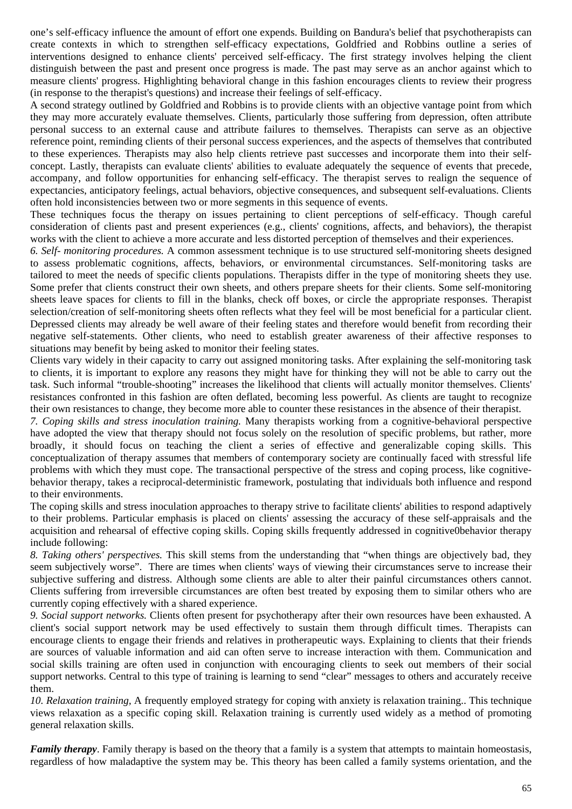one's self-efficacy influence the amount of effort one expends. Building on Bandura's belief that psychotherapists can create contexts in which to strengthen self-efficacy expectations, Goldfried and Robbins outline a series of interventions designed to enhance clients' perceived self-efficacy. The first strategy involves helping the client distinguish between the past and present once progress is made. The past may serve as an anchor against which to measure clients' progress. Highlighting behavioral change in this fashion encourages clients to review their progress (in response to the therapist's questions) and increase their feelings of self-efficacy.

A second strategy outlined by Goldfried and Robbins is to provide clients with an objective vantage point from which they may more accurately evaluate themselves. Clients, particularly those suffering from depression, often attribute personal success to an external cause and attribute failures to themselves. Therapists can serve as an objective reference point, reminding clients of their personal success experiences, and the aspects of themselves that contributed to these experiences. Therapists may also help clients retrieve past successes and incorporate them into their selfconcept. Lastly, therapists can evaluate clients' abilities to evaluate adequately the sequence of events that precede, accompany, and follow opportunities for enhancing self-efficacy. The therapist serves to realign the sequence of expectancies, anticipatory feelings, actual behaviors, objective consequences, and subsequent self-evaluations. Clients often hold inconsistencies between two or more segments in this sequence of events.

These techniques focus the therapy on issues pertaining to client perceptions of self-efficacy. Though careful consideration of clients past and present experiences (e.g., clients' cognitions, affects, and behaviors), the therapist works with the client to achieve a more accurate and less distorted perception of themselves and their experiences.

*6. Self- monitoring procedures.* A common assessment technique is to use structured self-monitoring sheets designed to assess problematic cognitions, affects, behaviors, or environmental circumstances. Self-monitoring tasks are tailored to meet the needs of specific clients populations. Therapists differ in the type of monitoring sheets they use. Some prefer that clients construct their own sheets, and others prepare sheets for their clients. Some self-monitoring sheets leave spaces for clients to fill in the blanks, check off boxes, or circle the appropriate responses. Therapist selection/creation of self-monitoring sheets often reflects what they feel will be most beneficial for a particular client. Depressed clients may already be well aware of their feeling states and therefore would benefit from recording their negative self-statements. Other clients, who need to establish greater awareness of their affective responses to situations may benefit by being asked to monitor their feeling states.

Clients vary widely in their capacity to carry out assigned monitoring tasks. After explaining the self-monitoring task to clients, it is important to explore any reasons they might have for thinking they will not be able to carry out the task. Such informal "trouble-shooting" increases the likelihood that clients will actually monitor themselves. Clients' resistances confronted in this fashion are often deflated, becoming less powerful. As clients are taught to recognize their own resistances to change, they become more able to counter these resistances in the absence of their therapist.

*7. Coping skills and stress inoculation training.* Many therapists working from a cognitive-behavioral perspective have adopted the view that therapy should not focus solely on the resolution of specific problems, but rather, more broadly, it should focus on teaching the client a series of effective and generalizable coping skills. This conceptualization of therapy assumes that members of contemporary society are continually faced with stressful life problems with which they must cope. The transactional perspective of the stress and coping process, like cognitivebehavior therapy, takes a reciprocal-deterministic framework, postulating that individuals both influence and respond to their environments.

The coping skills and stress inoculation approaches to therapy strive to facilitate clients' abilities to respond adaptively to their problems. Particular emphasis is placed on clients' assessing the accuracy of these self-appraisals and the acquisition and rehearsal of effective coping skills. Coping skills frequently addressed in cognitive0behavior therapy include following:

*8. Taking others' perspectives.* This skill stems from the understanding that "when things are objectively bad, they seem subjectively worse". There are times when clients' ways of viewing their circumstances serve to increase their subjective suffering and distress. Although some clients are able to alter their painful circumstances others cannot. Clients suffering from irreversible circumstances are often best treated by exposing them to similar others who are currently coping effectively with a shared experience.

*9. Social support networks.* Clients often present for psychotherapy after their own resources have been exhausted. A client's social support network may be used effectively to sustain them through difficult times. Therapists can encourage clients to engage their friends and relatives in protherapeutic ways. Explaining to clients that their friends are sources of valuable information and aid can often serve to increase interaction with them. Communication and social skills training are often used in conjunction with encouraging clients to seek out members of their social support networks. Central to this type of training is learning to send "clear" messages to others and accurately receive them.

*10. Relaxation training,* A frequently employed strategy for coping with anxiety is relaxation training.. This technique views relaxation as a specific coping skill. Relaxation training is currently used widely as a method of promoting general relaxation skills.

*Family therapy*. Family therapy is based on the theory that a family is a system that attempts to maintain homeostasis, regardless of how maladaptive the system may be. This theory has been called a family systems orientation, and the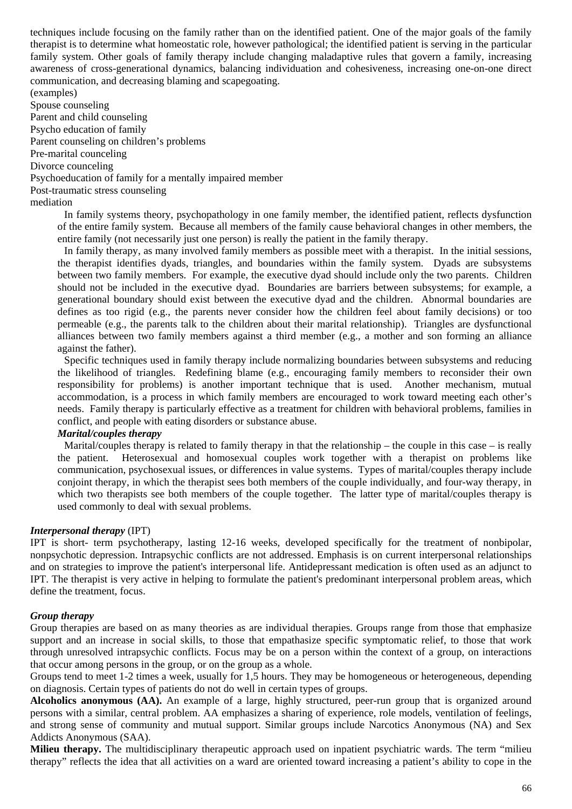techniques include focusing on the family rather than on the identified patient. One of the major goals of the family therapist is to determine what homeostatic role, however pathological; the identified patient is serving in the particular family system. Other goals of family therapy include changing maladaptive rules that govern a family, increasing awareness of cross-generational dynamics, balancing individuation and cohesiveness, increasing one-on-one direct communication, and decreasing blaming and scapegoating.

(examples) Spouse counseling Parent and child counseling Psycho education of family Parent counseling on children's problems Pre-marital counceling Divorce counceling Psychoeducation of family for a mentally impaired member Post-traumatic stress counseling

mediation

In family systems theory, psychopathology in one family member, the identified patient, reflects dysfunction of the entire family system. Because all members of the family cause behavioral changes in other members, the entire family (not necessarily just one person) is really the patient in the family therapy.

In family therapy, as many involved family members as possible meet with a therapist. In the initial sessions, the therapist identifies dyads, triangles, and boundaries within the family system. Dyads are subsystems between two family members. For example, the executive dyad should include only the two parents. Children should not be included in the executive dyad. Boundaries are barriers between subsystems; for example, a generational boundary should exist between the executive dyad and the children. Abnormal boundaries are defines as too rigid (e.g., the parents never consider how the children feel about family decisions) or too permeable (e.g., the parents talk to the children about their marital relationship). Triangles are dysfunctional alliances between two family members against a third member (e.g., a mother and son forming an alliance against the father).

Specific techniques used in family therapy include normalizing boundaries between subsystems and reducing the likelihood of triangles. Redefining blame (e.g., encouraging family members to reconsider their own responsibility for problems) is another important technique that is used. Another mechanism, mutual accommodation, is a process in which family members are encouraged to work toward meeting each other's needs. Family therapy is particularly effective as a treatment for children with behavioral problems, families in conflict, and people with eating disorders or substance abuse.

## *Marital/couples therapy*

Marital/couples therapy is related to family therapy in that the relationship – the couple in this case – is really the patient. Heterosexual and homosexual couples work together with a therapist on problems like communication, psychosexual issues, or differences in value systems. Types of marital/couples therapy include conjoint therapy, in which the therapist sees both members of the couple individually, and four-way therapy, in which two therapists see both members of the couple together. The latter type of marital/couples therapy is used commonly to deal with sexual problems.

## *Interpersonal therapy* (IPT)

IPT is short- term psychotherapy, lasting 12-16 weeks, developed specifically for the treatment of nonbipolar, nonpsychotic depression. Intrapsychic conflicts are not addressed. Emphasis is on current interpersonal relationships and on strategies to improve the patient's interpersonal life. Antidepressant medication is often used as an adjunct to IPT. The therapist is very active in helping to formulate the patient's predominant interpersonal problem areas, which define the treatment, focus.

### *Group therapy*

Group therapies are based on as many theories as are individual therapies. Groups range from those that emphasize support and an increase in social skills, to those that empathasize specific symptomatic relief, to those that work through unresolved intrapsychic conflicts. Focus may be on a person within the context of a group, on interactions that occur among persons in the group, or on the group as a whole.

Groups tend to meet 1-2 times a week, usually for 1,5 hours. They may be homogeneous or heterogeneous, depending on diagnosis. Certain types of patients do not do well in certain types of groups.

**Alcoholics anonymous (AA).** An example of a large, highly structured, peer-run group that is organized around persons with a similar, central problem. AA emphasizes a sharing of experience, role models, ventilation of feelings, and strong sense of community and mutual support. Similar groups include Narcotics Anonymous (NA) and Sex Addicts Anonymous (SAA).

**Milieu therapy.** The multidisciplinary therapeutic approach used on inpatient psychiatric wards. The term "milieu therapy" reflects the idea that all activities on a ward are oriented toward increasing a patient's ability to cope in the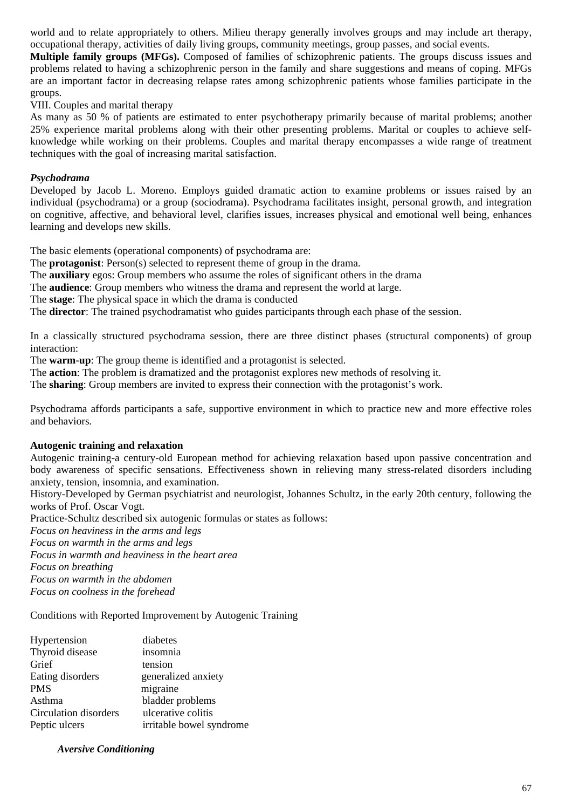world and to relate appropriately to others. Milieu therapy generally involves groups and may include art therapy, occupational therapy, activities of daily living groups, community meetings, group passes, and social events.

**Multiple family groups (MFGs).** Composed of families of schizophrenic patients. The groups discuss issues and problems related to having a schizophrenic person in the family and share suggestions and means of coping. MFGs are an important factor in decreasing relapse rates among schizophrenic patients whose families participate in the groups.

VIII. Couples and marital therapy

As many as 50 % of patients are estimated to enter psychotherapy primarily because of marital problems; another 25% experience marital problems along with their other presenting problems. Marital or couples to achieve selfknowledge while working on their problems. Couples and marital therapy encompasses a wide range of treatment techniques with the goal of increasing marital satisfaction.

## *Psychodrama*

Developed by Jacob L. Moreno. Employs guided dramatic action to examine problems or issues raised by an individual (psychodrama) or a group (sociodrama). Psychodrama facilitates insight, personal growth, and integration on cognitive, affective, and behavioral level, clarifies issues, increases physical and emotional well being, enhances learning and develops new skills.

The basic elements (operational components) of psychodrama are:

The **protagonist**: Person(s) selected to represent theme of group in the drama.

The **auxiliary** egos: Group members who assume the roles of significant others in the drama

The **audience**: Group members who witness the drama and represent the world at large.

The **stage**: The physical space in which the drama is conducted

The **director**: The trained psychodramatist who guides participants through each phase of the session.

In a classically structured psychodrama session, there are three distinct phases (structural components) of group interaction:

The **warm-up**: The group theme is identified and a protagonist is selected.

The **action**: The problem is dramatized and the protagonist explores new methods of resolving it.

The **sharing**: Group members are invited to express their connection with the protagonist's work.

Psychodrama affords participants a safe, supportive environment in which to practice new and more effective roles and behaviors.

## **Autogenic training and relaxation**

Autogenic training-a century-old European method for achieving relaxation based upon passive concentration and body awareness of specific sensations. Effectiveness shown in relieving many stress-related disorders including anxiety, tension, insomnia, and examination.

History-Developed by German psychiatrist and neurologist, Johannes Schultz, in the early 20th century, following the works of Prof. Oscar Vogt.

Practice-Schultz described six autogenic formulas or states as follows:

*Focus on heaviness in the arms and legs*

*Focus on warmth in the arms and legs*

*Focus in warmth and heaviness in the heart area*

*Focus on breathing Focus on warmth in the abdomen*

*Focus on coolness in the forehead*

Conditions with Reported Improvement by Autogenic Training

| Hypertension          | diabetes                 |
|-----------------------|--------------------------|
| Thyroid disease       | insomnia                 |
| Grief                 | tension                  |
| Eating disorders      | generalized anxiety      |
| <b>PMS</b>            | migraine                 |
| Asthma                | bladder problems         |
| Circulation disorders | ulcerative colitis       |
| Peptic ulcers         | irritable bowel syndrome |

*Aversive Conditioning*